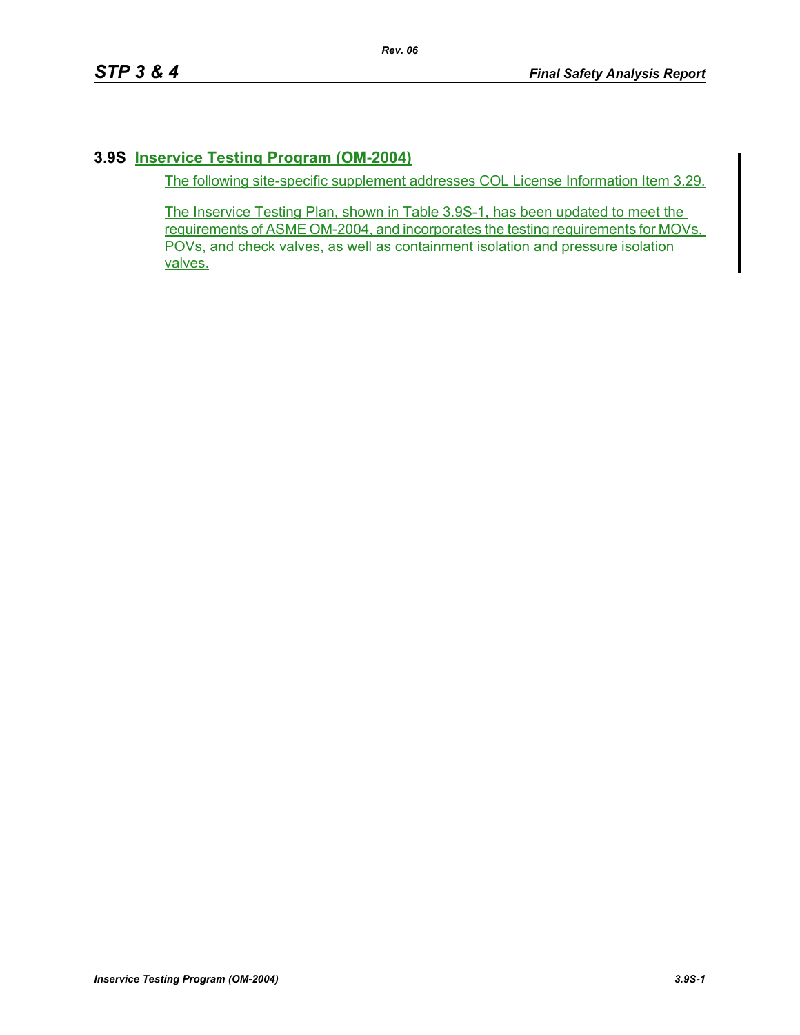## **3.9S Inservice Testing Program (OM-2004)**

The following site-specific supplement addresses COL License Information Item 3.29.

The Inservice Testing Plan, shown in Table 3.9S-1, has been updated to meet the requirements of ASME OM-2004, and incorporates the testing requirements for MOVs, POVs, and check valves, as well as containment isolation and pressure isolation valves.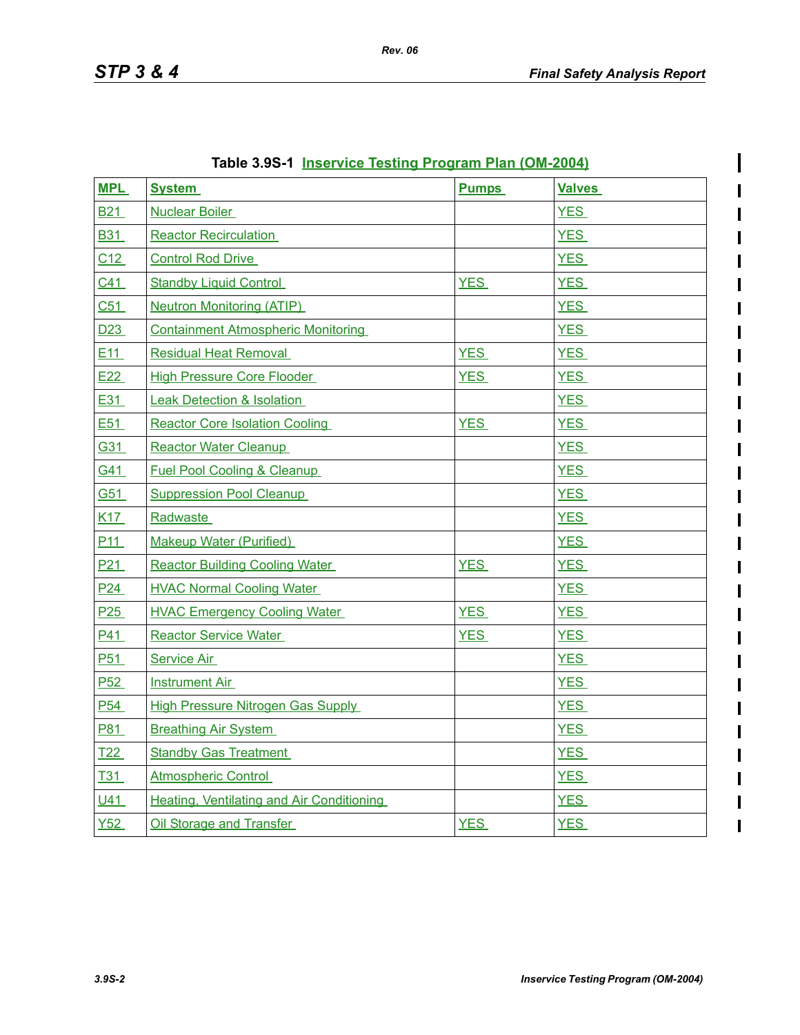$\mathsf{l}$ 

 $\overline{\phantom{a}}$ 

 $\overline{\phantom{a}}$ 

| <b>MPL</b>      | <b>System</b>                             | <b>Pumps</b> | <b>Valves</b> |
|-----------------|-------------------------------------------|--------------|---------------|
| <b>B21</b>      | <b>Nuclear Boiler</b>                     |              | <b>YES</b>    |
| <b>B31</b>      | <b>Reactor Recirculation</b>              |              | <b>YES</b>    |
| C12             | <b>Control Rod Drive</b>                  |              | <b>YES</b>    |
| C <sub>41</sub> | <b>Standby Liquid Control</b>             | <b>YES</b>   | <b>YES</b>    |
| C51             | <b>Neutron Monitoring (ATIP)</b>          |              | <b>YES</b>    |
| D <sub>23</sub> | <b>Containment Atmospheric Monitoring</b> |              | <b>YES</b>    |
| E11             | <b>Residual Heat Removal</b>              | <b>YES</b>   | <b>YES</b>    |
| E <sub>22</sub> | <b>High Pressure Core Flooder</b>         | <b>YES</b>   | <b>YES</b>    |
| E31             | <b>Leak Detection &amp; Isolation</b>     |              | <b>YES</b>    |
| E51             | <b>Reactor Core Isolation Cooling</b>     | <b>YES</b>   | <b>YES</b>    |
| G31             | <b>Reactor Water Cleanup</b>              |              | <b>YES</b>    |
| G41             | <b>Fuel Pool Cooling &amp; Cleanup</b>    |              | <b>YES</b>    |
| G51             | <b>Suppression Pool Cleanup</b>           |              | <b>YES</b>    |
| <u>K17</u>      | <b>Radwaste</b>                           |              | <b>YES</b>    |
| P <sub>11</sub> | <b>Makeup Water (Purified)</b>            |              | <b>YES</b>    |
| P <sub>21</sub> | <b>Reactor Building Cooling Water</b>     | <b>YES</b>   | <b>YES</b>    |
| P <sub>24</sub> | <b>HVAC Normal Cooling Water</b>          |              | <b>YES</b>    |
| P25             | <b>HVAC Emergency Cooling Water</b>       | <b>YES</b>   | <b>YES</b>    |
| <u>P41</u>      | <b>Reactor Service Water</b>              | <b>YES</b>   | <b>YES</b>    |
| P <sub>51</sub> | Service Air                               |              | <b>YES</b>    |
| P <sub>52</sub> | <b>Instrument Air</b>                     |              | <b>YES</b>    |
| P <sub>54</sub> | <b>High Pressure Nitrogen Gas Supply</b>  |              | <b>YES</b>    |
| P81             | <b>Breathing Air System</b>               |              | <b>YES</b>    |
| T <sub>22</sub> | <b>Standby Gas Treatment</b>              |              | <b>YES</b>    |
| <u>T31</u>      | <b>Atmospheric Control</b>                |              | <b>YES</b>    |
| U41             | Heating, Ventilating and Air Conditioning |              | <b>YES</b>    |
| Y52             | Oil Storage and Transfer                  | <b>YES</b>   | <b>YES</b>    |

| Table 3.9S-1 Inservice Testing Program Plan (OM-2004) |  |  |  |
|-------------------------------------------------------|--|--|--|
|                                                       |  |  |  |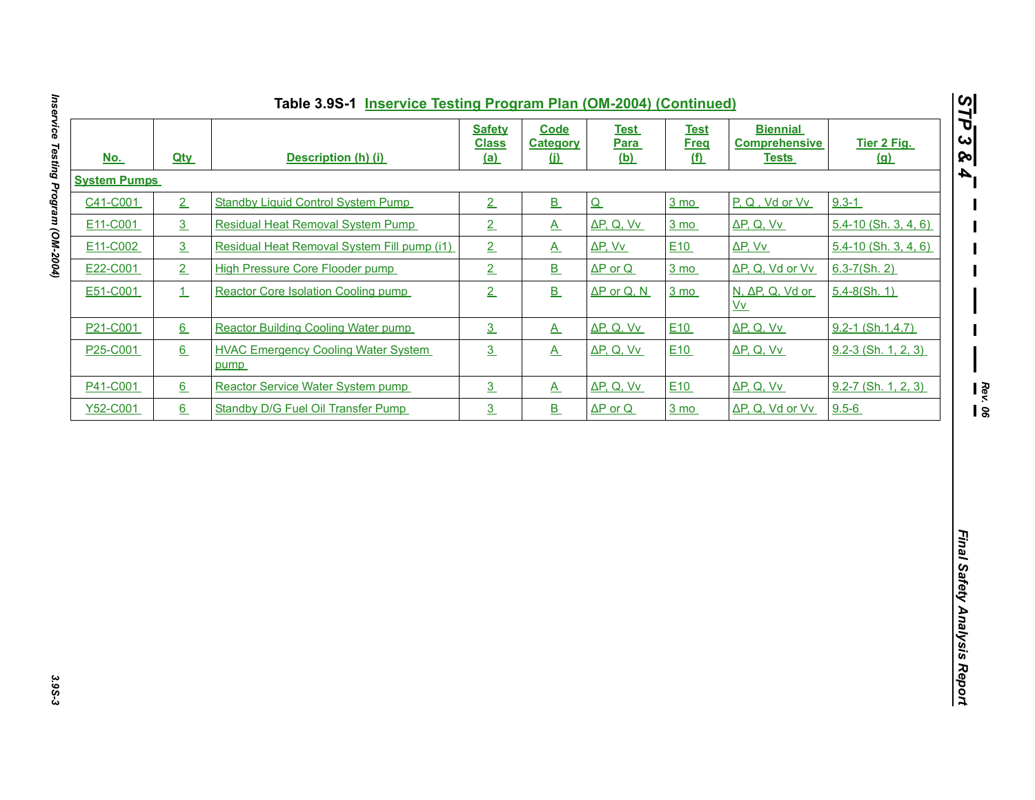| <u>No.</u>          | <b>Qty</b>     | Description (h) (i)                                | <b>Safety</b><br><b>Class</b><br><u>(a)</u> | <b>Code</b><br><b>Category</b><br>$\omega$ | <b>Test</b><br><b>Para</b><br><u>(b)</u> | <b>Test</b><br><b>Freq</b><br><u>(f)</u> | <b>Biennial</b><br><b>Comprehensive</b><br><b>Tests</b> | Tier 2 Fig.<br>(a)       |
|---------------------|----------------|----------------------------------------------------|---------------------------------------------|--------------------------------------------|------------------------------------------|------------------------------------------|---------------------------------------------------------|--------------------------|
| <b>System Pumps</b> |                |                                                    |                                             |                                            |                                          |                                          |                                                         |                          |
| C41-C001            | 2              | <b>Standby Liquid Control System Pump</b>          | 2                                           | B                                          | Q                                        | $3 \text{ mo}$                           | P, Q, Vd or Vv                                          | $9.3 - 1$                |
| E11-C001            | 3 <sub>1</sub> | <b>Residual Heat Removal System Pump</b>           | 2                                           | $\underline{A}$                            | $\Delta P$ , Q, Vv                       | $3 \text{ mo}$                           | $\Delta P$ , Q, Vv                                      | $5.4 - 10$ (Sh. 3, 4, 6) |
| E11-C002            | 3              | Residual Heat Removal System Fill pump (i1)        | $\overline{2}$                              | $\underline{A}$                            | $\Delta P$ , Vv                          | E <sub>10</sub>                          | $\Delta P$ , Vv                                         | $5.4 - 10$ (Sh. 3, 4, 6) |
| E22-C001            | 2              | <b>High Pressure Core Flooder pump</b>             | $\overline{2}$                              | B                                          | $\Delta P$ or Q                          | $3 \text{ mo}$                           | ΔP, Q, Vd or Vv                                         | $6.3 - 7(Sh. 2)$         |
| E51-C001            | $\perp$        | Reactor Core Isolation Cooling pump                | 2                                           | $\underline{\mathbf{B}}$                   | $\Delta P$ or Q, N                       | $3 \text{ mo}$                           | N, ΔP, Q, Vd or<br>$\underline{Vv}$                     | $5.4 - 8(Sh. 1)$         |
| P21-C001            | 6              | <b>Reactor Building Cooling Water pump</b>         | 3                                           | $\underline{A}$                            | $\Delta P$ , Q, Vv                       | E10                                      | $\Delta P$ , Q, Vv                                      | $9.2 - 1$ (Sh.1,4,7)     |
| P25-C001            | 6              | <b>HVAC Emergency Cooling Water System</b><br>pump | 3                                           | $\underline{A}$                            | ΔP, Q, Vv                                | E <sub>10</sub>                          | $\Delta P$ , Q, Vv                                      | $9.2 - 3$ (Sh. 1, 2, 3)  |
| P41-C001            | 6              | Reactor Service Water System pump                  | $\overline{3}$                              | $\underline{A}$                            | $\Delta P$ , Q, Vv                       | E10                                      | $\Delta P$ , Q, Vv                                      | $9.2 - 7$ (Sh. 1, 2, 3)  |
| Y52-C001            | 6              | Standby D/G Fuel Oil Transfer Pump                 | 3 <sub>1</sub>                              | $\underline{\mathbf{B}}$                   | $\Delta P$ or Q                          | $3 \text{ mo}$                           | ΔP, Q, Vd or Vv                                         | $9.5 - 6$                |
|                     |                |                                                    |                                             |                                            |                                          |                                          |                                                         |                          |
|                     |                |                                                    |                                             |                                            |                                          |                                          |                                                         |                          |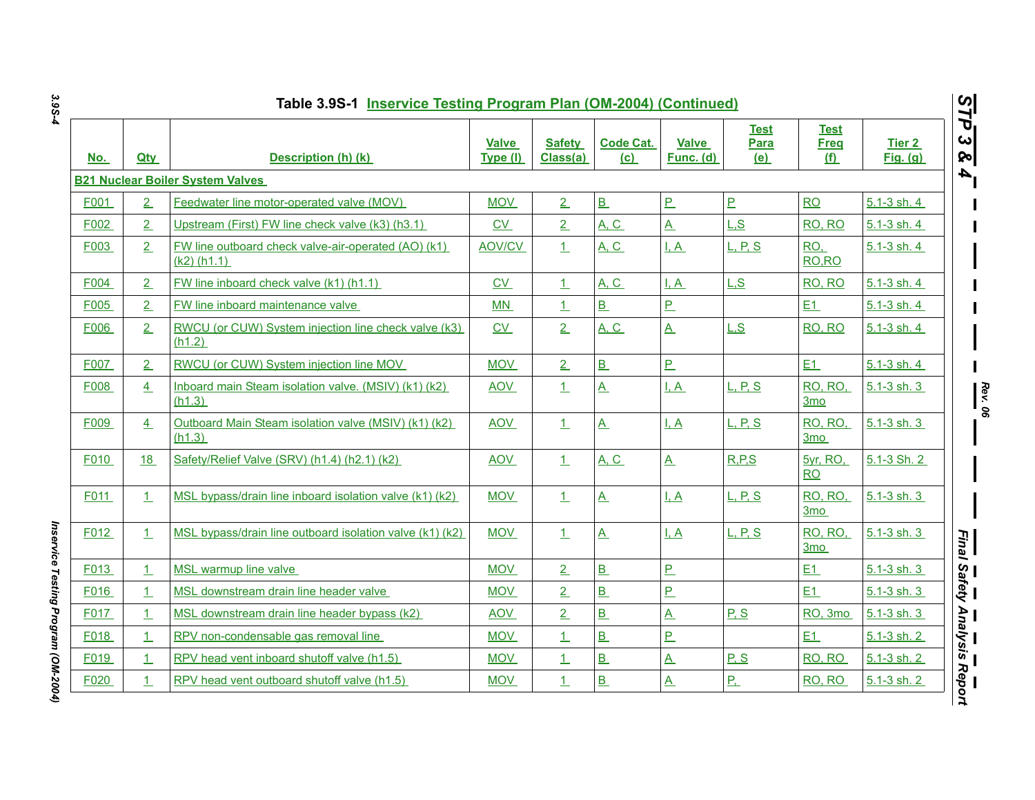| <u>No.</u> | <b>Qtv</b>     | Description (h) (k)                                                  | <b>Valve</b><br>Type (I) | <b>Safety</b><br>Class(a) | <b>Code Cat.</b><br>(c) | <b>Valve</b><br>Func. (d) | <b>Test</b><br><b>Para</b><br>(e) | <b>Test</b><br><b>Freg</b><br><u>(f)</u> | Tier 2<br><b>Fig.</b> (g) |
|------------|----------------|----------------------------------------------------------------------|--------------------------|---------------------------|-------------------------|---------------------------|-----------------------------------|------------------------------------------|---------------------------|
|            |                | <b>B21 Nuclear Boiler System Valves</b>                              |                          |                           |                         |                           |                                   |                                          |                           |
| F001       | 2              | Feedwater line motor-operated valve (MOV)                            | <b>MOV</b>               | $\overline{2}$            | B                       | P                         | P.                                | <b>RO</b>                                | $5.1 - 3 \,$ sh. 4        |
| F002       | 2              | Upstream (First) FW line check valve (k3) (h3.1)                     | CV                       | 2                         | A, C                    | $\mathbf{A}$              | L.S                               | RO, RO                                   | $5.1 - 3$ sh. 4           |
| F003       | 2              | FW line outboard check valve-air-operated (AO) (k1)<br>$(k2)$ (h1.1) | <b>AOV/CV</b>            | $\perp$                   | <b>A, C</b>             | $\frac{1}{2}$             | <u>L, P, S</u>                    | RO,<br>RO, RO                            | 5.1-3 sh. 4               |
| F004       | $\overline{2}$ | FW line inboard check valve (k1) (h1.1)                              | $CV$                     | 1                         | <b>A. C.</b>            | I.A                       | L.S                               | RO, RO                                   | 5.1-3 sh. 4               |
| F005       | $\overline{2}$ | FW line inboard maintenance valve                                    | MN                       | $\perp$                   | B                       | P                         |                                   | E1                                       | 5.1-3 sh. 4               |
| F006       | 2              | RWCU (or CUW) System injection line check valve (k3)<br>(h1.2)       | C <sub>V</sub>           | 2                         | <b>A, C</b>             | $\underline{A}$           | L.S                               | RO, RO                                   | 5.1-3 sh. 4               |
| F007       | $\overline{2}$ | RWCU (or CUW) System injection line MOV                              | <b>MOV</b>               | $\overline{2}$            | B                       | P                         |                                   | E1                                       | $5.1 - 3$ sh. 4           |
| F008       | 4              | Inboard main Steam isolation valve. (MSIV) (k1) (k2)<br>(h1.3)       | <b>AOV</b>               | $\perp$                   | $\overline{\mathsf{A}}$ | <u>I.A</u>                | <b>L</b> , P, S                   | <b>RO, RO,</b><br><u>3mo</u>             | $5.1 - 3$ sh. 3           |
| F009       | 4              | Outboard Main Steam isolation valve (MSIV) (k1) (k2)<br>(h1.3)       | <b>AOV</b>               | $\perp$                   | $\mathbf{A}$            | $L_A$                     | <u>L, P, S</u>                    | <b>RO, RO,</b><br>3mo                    | $5.1 - 3$ sh. 3           |
| F010       | <u>18</u>      | Safety/Relief Valve (SRV) (h1.4) (h2.1) (k2)                         | <b>AOV</b>               | $\perp$                   | <b>A. C.</b>            | $\mathbf{A}$              | R.P.S                             | <b>5yr, RO.</b><br><b>RO</b>             | 5.1-3 Sh. 2               |
| F011       | 1              | MSL bypass/drain line inboard isolation valve (k1) (k2)              | <b>MOV</b>               | 1                         | $\underline{A}$         | $L_A$                     | L, P, S                           | RO, RO,<br><u>3mo</u>                    | $5.1 - 3 \,$ sh. 3        |
| F012       | 1              | MSL bypass/drain line outboard isolation valve (k1) (k2)             | <b>MOV</b>               | $\perp$                   | $\mathbf{A}$            | <u>I, A</u>               | <u>L, P, S</u>                    | <b>RO, RO,</b><br>3mo                    | 5.1-3 sh. 3               |
| F013       | $\mathbf{1}$   | MSL warmup line valve                                                | <b>MOV</b>               | $\overline{2}$            | B                       | P                         |                                   | E1                                       | $5.1 - 3$ sh. 3           |
| F016       | 1              | MSL downstream drain line header valve                               | <b>MOV</b>               | $\overline{2}$            | B                       | P                         |                                   | E1                                       | $5.1 - 3$ sh. 3           |
| F017       | 1              | MSL downstream drain line header bypass (k2)                         | <b>AOV</b>               | 2                         | B                       | $\underline{A}$           | P.S                               | RO, 3mo                                  | 5.1-3 sh. 3               |
| F018       | $\mathbf{1}$   | RPV non-condensable gas removal line                                 | <b>MOV</b>               | 1                         | B                       | P                         |                                   | E1                                       | $5.1 - 3$ sh. 2           |
| F019       | $\mathbf{1}$   | RPV head vent inboard shutoff valve (h1.5)                           | <b>MOV</b>               | $\perp$                   | B                       | $\underline{A}$           | P, S                              | RO, RO                                   | $5.1 - 3$ sh. $2$         |
| F020       | 1              | RPV head vent outboard shutoff valve (h1.5)                          | <b>MOV</b>               | $\perp$                   | B                       | $\underline{A}$           | <u>P.</u>                         | RO, RO                                   | 5.1-3 sh. 2               |

Inservice Testing Program (OM-2004) *Inservice Testing Program (OM-2004)*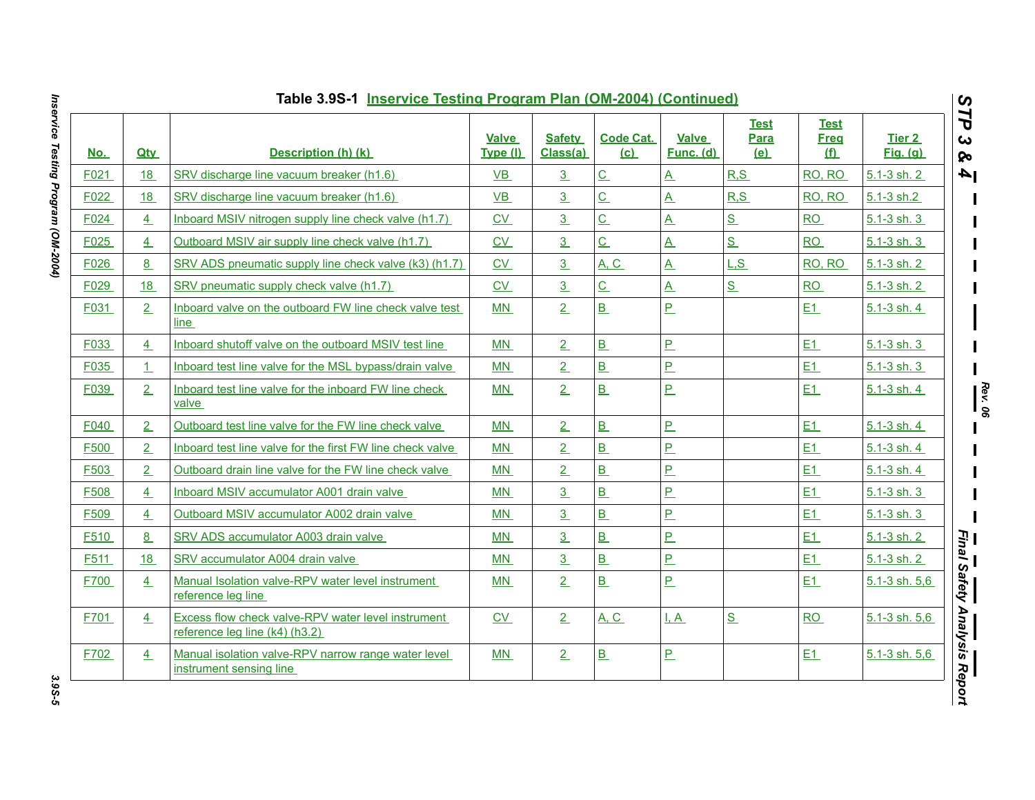| <u>No.</u> | <b>Qtv</b> | Description (h) (k)                                                                  | <b>Valve</b><br>Type (I) | <b>Safety</b><br>Class(a) | <b>Code Cat.</b><br>(c)  | <b>Valve</b><br>Func. (d) | <b>Test</b><br>Para<br>(e) | <b>Test</b><br><b>Freg</b><br><u>(f)</u> | Tier 2<br><b>Fig.</b> (g) |
|------------|------------|--------------------------------------------------------------------------------------|--------------------------|---------------------------|--------------------------|---------------------------|----------------------------|------------------------------------------|---------------------------|
| F021       | 18         | SRV discharge line vacuum breaker (h1.6)                                             | VB                       | 3                         | $\underline{C}$          | <u>A</u>                  | R, S                       | RO, RO                                   | $5.1 - 3$ sh. 2           |
| F022       | <u>18</u>  | SRV discharge line vacuum breaker (h1.6)                                             | $VB$                     | $\overline{3}$            | $\overline{C}$           | $\overline{A}$            | R.S                        | RO, RO                                   | 5.1-3 sh.2                |
| F024       | 4          | Inboard MSIV nitrogen supply line check valve (h1.7)                                 | CV                       | $\overline{3}$            | $\underline{\mathsf{C}}$ | $\underline{A}$           | S                          | <b>RO</b>                                | 5.1-3 sh. 3               |
| F025       | 4          | Outboard MSIV air supply line check valve (h1.7)                                     | $\underline{\text{CV}}$  | $\overline{3}$            | $\underline{\mathsf{C}}$ | $\underline{A}$           | S                          | <b>RO</b>                                | $5.1 - 3$ sh. 3           |
| F026       | 8          | SRV ADS pneumatic supply line check valve (k3) (h1.7)                                | CV                       | 3                         | <b>A. C.</b>             | $\underline{A}$           | L.S                        | RO, RO                                   | 5.1-3 sh. 2               |
| F029       | 18         | SRV pneumatic supply check valve (h1.7)                                              | CV                       | 3                         | $\underline{C}$          | $\underline{A}$           | S                          | RO                                       | $5.1 - 3$ sh. 2           |
| F031       | 2          | Inboard valve on the outboard FW line check valve test<br>line                       | MN                       | 2                         | B                        | $\overline{P}$            |                            | E1                                       | 5.1-3 sh. 4               |
| F033       | 4          | Inboard shutoff valve on the outboard MSIV test line                                 | MN                       | 2                         | $\overline{B}$           | $\underline{\mathsf{P}}$  |                            | E1                                       | $5.1 - 3$ sh. 3           |
| F035       | 1          | Inboard test line valve for the MSL bypass/drain valve                               | MN                       | $\overline{2}$            | B                        | P                         |                            | E1                                       | 5.1-3 sh. 3               |
| F039       | 2          | Inboard test line valve for the inboard FW line check<br>valve                       | MN                       | 2                         | $\underline{\mathbf{B}}$ | P                         |                            | E1                                       | 5.1-3 sh. 4               |
| F040       | 2          | Outboard test line valve for the FW line check valve                                 | MN                       | 2                         | B                        | P                         |                            | E1                                       | 5.1-3 sh. 4               |
| F500       | 2          | Inboard test line valve for the first FW line check valve                            | MN                       | $\overline{2}$            | B                        | $\overline{P}$            |                            | E1                                       | 5.1-3 sh. 4               |
| F503       | 2          | Outboard drain line valve for the FW line check valve                                | MN                       | 2                         | B                        | <u>P</u>                  |                            | E1                                       | $5.1 - 3$ sh. 4           |
| F508       | 4          | Inboard MSIV accumulator A001 drain valve                                            | MN                       | $\overline{3}$            | $\overline{B}$           | $\overline{P}$            |                            | E1                                       | $5.1 - 3$ sh. 3           |
| F509       | 4          | Outboard MSIV accumulator A002 drain valve                                           | MN                       | 3                         | B                        | P                         |                            | E1                                       | 5.1-3 sh. 3               |
| F510       | 8          | SRV ADS accumulator A003 drain valve                                                 | MN                       | $\overline{3}$            | $\overline{B}$           | $\overline{P}$            |                            | E1                                       | 5.1-3 sh. 2               |
| F511       | 18         | SRV accumulator A004 drain valve                                                     | <b>MN</b>                | $\overline{3}$            | B                        | $\overline{P}$            |                            | E1                                       | $5.1 - 3$ sh. 2           |
| F700       | 4          | Manual Isolation valve-RPV water level instrument<br>reference leg line              | <b>MN</b>                | 2                         | B                        | P                         |                            | E1                                       | 5.1-3 sh. 5,6             |
| F701       | 4          | Excess flow check valve-RPV water level instrument<br>reference leg line (k4) (h3.2) | $\underline{\text{CV}}$  | 2                         | <u>A, C</u>              | <u>I, A</u>               | S                          | <b>RO</b>                                | $5.1 - 3 \,$ sh. $5,6$    |
| F702       | 4          | Manual isolation valve-RPV narrow range water level<br>instrument sensing line       | MN                       | 2                         | $\underline{\mathbf{B}}$ | <u>P</u>                  |                            | E1                                       | 5.1-3 sh. 5,6             |

Inservice Testing Program (OM-2004) *Inservice Testing Program (OM-2004) 3.9S-5*

3.9S-5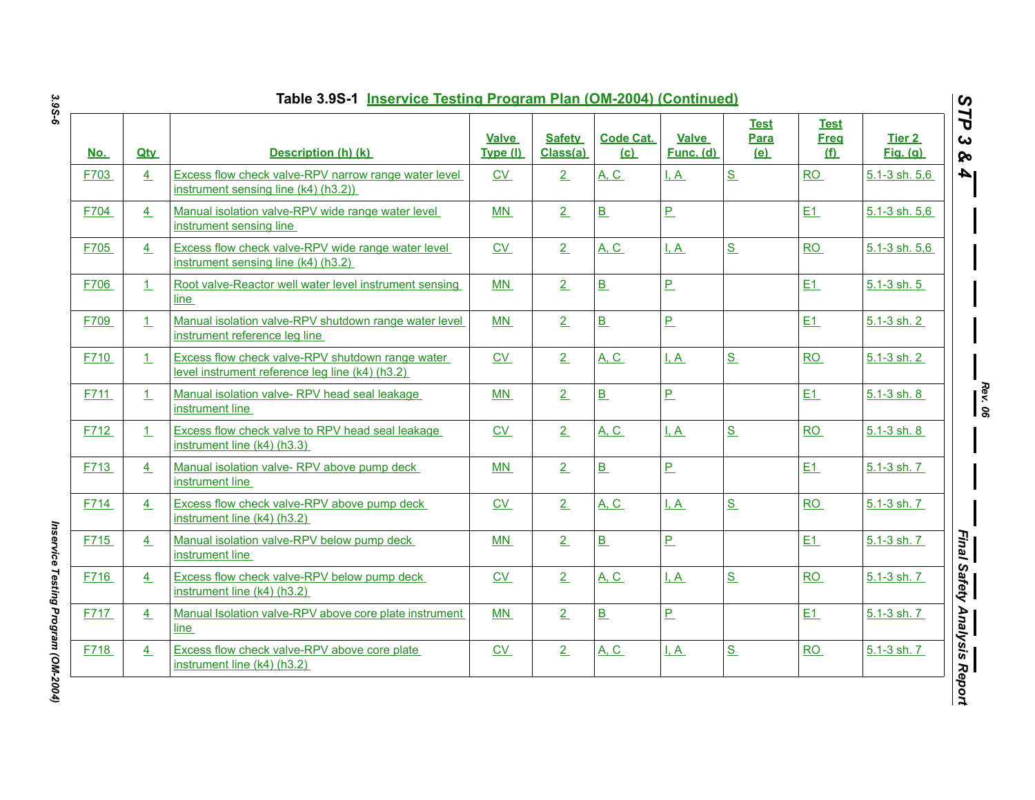| <u>No.</u> | <b>Qty</b>     | Description (h) (k)                                                                                 | <b>Valve</b><br>Type (I) | <b>Safety</b><br>Class(a) | <b>Code Cat.</b><br>(c)  | <b>Valve</b><br>Func. (d) | <b>Test</b><br>Para<br>(e) | <b>Test</b><br><b>Freg</b><br><u>(f)</u> | <b>Tier 2</b><br><b>Fig.</b> (g) |
|------------|----------------|-----------------------------------------------------------------------------------------------------|--------------------------|---------------------------|--------------------------|---------------------------|----------------------------|------------------------------------------|----------------------------------|
| F703       | $\overline{4}$ | Excess flow check valve-RPV narrow range water level<br>instrument sensing line (k4) (h3.2))        | <b>CV</b>                | 2                         | <b>A, C</b>              | I, A                      | S                          | <b>RO</b>                                | $5.1 - 3 \,$ sh. $5,6$           |
| F704       | $\overline{4}$ | Manual isolation valve-RPV wide range water level<br>instrument sensing line                        | MN                       | 2                         | B                        | $\overline{P}$            |                            | E1                                       | $5.1 - 3$ sh. $5.6$              |
| F705       | 4              | Excess flow check valve-RPV wide range water level<br>instrument sensing line (k4) (h3.2)           | CV                       | 2                         | <b>A. C.</b>             | I, A                      | S                          | <b>RO</b>                                | $5.1 - 3$ sh. $5.6$              |
| F706       | 1              | Root valve-Reactor well water level instrument sensing<br>line                                      | MN                       | 2                         | $\underline{\mathbf{B}}$ | $P_{-}$                   |                            | E1                                       | $5.1 - 3$ sh. $5$                |
| F709       | $\mathbf{1}$   | Manual isolation valve-RPV shutdown range water level<br>instrument reference leg line              | MN                       | 2                         | $\underline{\mathbf{B}}$ | $\underline{\mathsf{P}}$  |                            | E1                                       | $5.1 - 3$ sh. 2                  |
| F710       | $\mathbf{1}$   | Excess flow check valve-RPV shutdown range water<br>level instrument reference leg line (k4) (h3.2) | CV                       | 2                         | <b>A. C.</b>             | I, A                      | S                          | RO                                       | 5.1-3 sh. 2                      |
| F711       | 1              | Manual isolation valve-RPV head seal leakage<br>instrument line                                     | MN                       | 2                         | $\underline{\mathbf{B}}$ | $P_{-}$                   |                            | E1                                       | 5.1-3 sh. 8                      |
| F712       | 1              | Excess flow check valve to RPV head seal leakage<br>instrument line (k4) (h3.3)                     | $\underline{\text{CV}}$  | 2                         | <b>A, C</b>              | $\overline{A}$            | S                          | RO                                       | $5.1 - 3$ sh. $8$                |
| F713       | 4              | Manual isolation valve-RPV above pump deck<br>instrument line                                       | MN                       | 2                         | $\underline{\mathsf{B}}$ | $P_{-}$                   |                            | E1                                       | 5.1-3 sh. 7                      |
| F714       | 4              | Excess flow check valve-RPV above pump deck<br>instrument line (k4) (h3.2)                          | CV                       | 2                         | <b>A, C</b>              | $L_A$                     | S                          | RO                                       | $5.1 - 3$ sh. $7$                |
| F715       | 4              | Manual isolation valve-RPV below pump deck<br>instrument line                                       | MN                       | 2                         | $\underline{\mathbf{B}}$ | $\overline{P}$            |                            | E1                                       | $5.1 - 3$ sh. $7$                |
| F716       | 4              | Excess flow check valve-RPV below pump deck<br>instrument line (k4) (h3.2)                          | CV                       | 2                         | <b>A. C.</b>             | I, A                      | S                          | RO                                       | 5.1-3 sh. 7                      |
| F717       | $\frac{4}{ }$  | Manual Isolation valve-RPV above core plate instrument<br>line                                      | MN                       | 2                         | $\underline{\mathbf{B}}$ | $\overline{P}$            |                            | E1                                       | 5.1-3 sh. 7                      |
| F718       | 4              | Excess flow check valve-RPV above core plate<br>instrument line (k4) (h3.2)                         | $\underline{\text{CV}}$  | 2                         | <u>A, C</u>              | $\mathbf{A}$              | S                          | RO                                       | $5.1 - 3$ sh. $7$                |

Inservice Testing Program (OM-2004) *Inservice Testing Program (OM-2004)*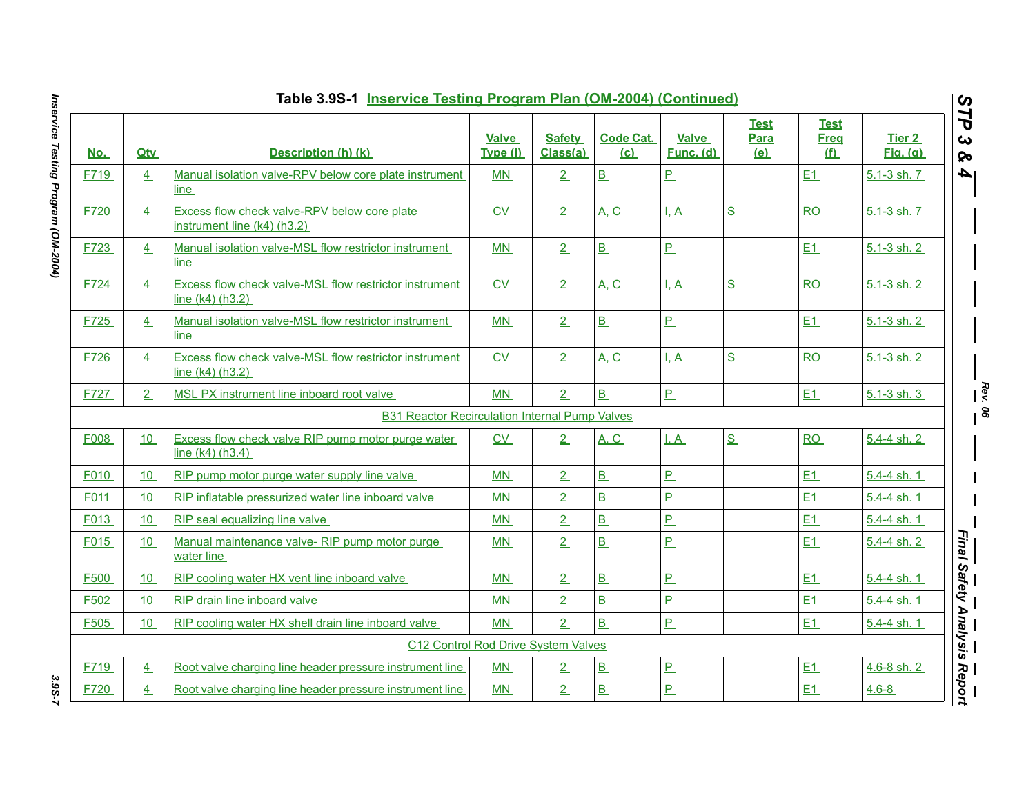|                  |                 | Table 3.9S-1 Inservice Testing Program Plan (OM-2004) (Continued)              |                   |                           |                          |                           |                            |                                 |                           | $\boldsymbol{\omega}$               |
|------------------|-----------------|--------------------------------------------------------------------------------|-------------------|---------------------------|--------------------------|---------------------------|----------------------------|---------------------------------|---------------------------|-------------------------------------|
| <u>No.</u>       | <b>Qtv</b>      | Description (h) (k)                                                            | Valve<br>Type (I) | <b>Safety</b><br>Class(a) | <b>Code Cat.</b><br>(c)  | <b>Valve</b><br>Func. (d) | <b>Test</b><br>Para<br>(e) | <b>Test</b><br><b>Freg</b><br>f | Tier 2<br><b>Fig.</b> (g) | ⊣<br>ট<br>ట<br>ନ୍ତ                  |
| F719             | $\frac{4}{1}$   | Manual isolation valve-RPV below core plate instrument<br><u>line</u>          | MN                | 2                         | B                        | <u>P</u>                  |                            | E1                              | 5.1-3 sh. 7               | A                                   |
| F720             | $\frac{4}{1}$   | Excess flow check valve-RPV below core plate<br>instrument line $(k4)$ (h3.2)  | CV                | 2                         | <b>A</b> , <b>C</b>      | I, A                      | S                          | <b>RO</b>                       | 5.1-3 sh. 7               |                                     |
| F723             | 4               | Manual isolation valve-MSL flow restrictor instrument<br>line                  | MN                | $\overline{2}$            | B                        | <u>P</u>                  |                            | E1                              | 5.1-3 sh. 2               |                                     |
| F724             | 4               | Excess flow check valve-MSL flow restrictor instrument<br>line $(k4)$ $(h3.2)$ | CV                | $\overline{2}$            | A, C                     | I, A                      | S                          | <b>RO</b>                       | 5.1-3 sh. 2               |                                     |
| F725             | 4               | Manual isolation valve-MSL flow restrictor instrument<br>line                  | MN                | 2                         | B                        | $P_{-}$                   |                            | E1                              | 5.1-3 sh. 2               |                                     |
| F726             | 4               | Excess flow check valve-MSL flow restrictor instrument<br>line (k4) (h3.2)     | C <sub>V</sub>    | 2                         | <b>A. C.</b>             | <u>I.A</u>                | S                          | RO                              | 5.1-3 sh. 2               |                                     |
| F727             | 2               | MSL PX instrument line inboard root valve                                      | <b>MN</b>         | $\overline{2}$            | B                        | P                         |                            | E1                              | $5.1 - 3$ sh. 3           | $\mathbf{R}_{\mathbf{e}\mathbf{v}}$ |
|                  |                 | <b>B31 Reactor Recirculation Internal Pump Valves</b>                          |                   |                           |                          |                           |                            |                                 |                           | ၊ နွ                                |
| F008             | 10 <sup>°</sup> | Excess flow check valve RIP pump motor purge water<br>line (k4) (h3.4)         | CV                | 2                         | A, C                     | I, A                      | S                          | RO                              | 5.4-4 sh. 2               |                                     |
| F010             | 10              | RIP pump motor purge water supply line valve                                   | MN                | $\overline{2}$            | B                        | <u>P</u>                  |                            | E1                              | 5.4-4 sh. 1               |                                     |
| F011             | 10              | RIP inflatable pressurized water line inboard valve                            | MN                | $\overline{2}$            | B                        | <u>P</u>                  |                            | E1                              | 5.4-4 sh. 1               |                                     |
| F013             | 10              | RIP seal equalizing line valve                                                 | MN                | $\overline{2}$            | B                        | <u>P</u>                  |                            | E1                              | $5.4 - 4$ sh. 1           |                                     |
| F015             | 10              | Manual maintenance valve-RIP pump motor purge<br>water line                    | MN                | $\overline{2}$            | B                        | <u>P</u>                  |                            | E1                              | 5.4-4 sh. 2               | Final Safety Analysis               |
| F500             | 10              | RIP cooling water HX vent line inboard valve                                   | MN                | $\overline{2}$            | B                        | $\overline{P}$            |                            | E1                              | $5.4 - 4 \,$ sh. 1        |                                     |
| F <sub>502</sub> | 10              | RIP drain line inboard valve                                                   | MN                | $\overline{2}$            | B                        | P                         |                            | E1                              | 5.4-4 sh. 1               |                                     |
| F <sub>505</sub> | 10              | RIP cooling water HX shell drain line inboard valve                            | MN                | 2 <sub>1</sub>            | B                        | $\overline{P}$            |                            | E1                              | $5.4 - 4$ sh. 1           |                                     |
|                  |                 | C12 Control Rod Drive System Valves                                            |                   |                           |                          |                           |                            |                                 |                           |                                     |
| F719             | $\overline{4}$  | Root valve charging line header pressure instrument line                       | MN                | $\overline{2}$            | $\underline{\mathbf{B}}$ | <u>P</u>                  |                            | E1                              | 4.6-8 sh. 2               |                                     |
| F720             | $\overline{4}$  | Root valve charging line header pressure instrument line                       | MN                | $\overline{2}$            | B                        | P                         |                            | E1                              | $4.6 - 8$                 | —<br>Report                         |
|                  |                 |                                                                                |                   |                           |                          |                           |                            |                                 |                           |                                     |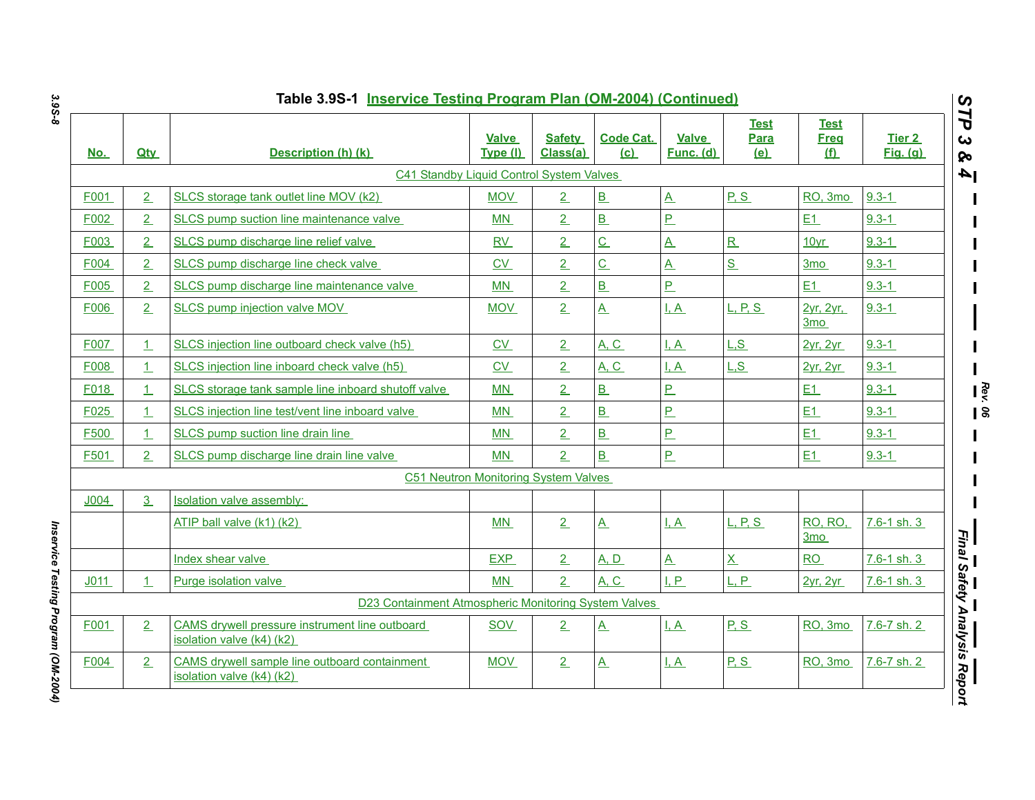| <u>No.</u>       | <b>Qtv</b>     | Description (h) (k)                                                         | <b>Valve</b><br>Type (I)             | <b>Safety</b><br>Class(a) | <b>Code Cat.</b><br>(c) | Valve<br><u>Func. (d)</u> | <b>Test</b><br>Para<br>(e) | Test<br><b>Freg</b><br><u>(f)</u> | Tier 2<br><b>Fig.</b> (g) |
|------------------|----------------|-----------------------------------------------------------------------------|--------------------------------------|---------------------------|-------------------------|---------------------------|----------------------------|-----------------------------------|---------------------------|
|                  |                | C41 Standby Liquid Control System Valves                                    |                                      |                           |                         |                           |                            |                                   |                           |
| F001             | 2              | SLCS storage tank outlet line MOV (k2)                                      | <b>MOV</b>                           | 2                         | B                       | $\underline{A}$           | P.S                        | RO, 3mo                           | $9.3 - 1$                 |
| F002             | $\overline{2}$ | SLCS pump suction line maintenance valve                                    | <b>MN</b>                            | 2                         | B                       | P.                        |                            | E1                                | $9.3 - 1$                 |
| F003             | 2              | SLCS pump discharge line relief valve                                       | RV                                   | $\overline{2}$            | $\overline{C}$          | $\underline{A}$           | $\overline{\mathbf{R}}$    | 10yr                              | $9.3 - 1$                 |
| F004             | 2              | SLCS pump discharge line check valve                                        | CV                                   | $\overline{2}$            | $\overline{C}$          | $\overline{A}$            | S                          | 3 <sub>mo</sub>                   | $9.3 - 1$                 |
| F005             | 2              | SLCS pump discharge line maintenance valve                                  | MN                                   | $\overline{2}$            | B                       | P                         |                            | E1                                | $9.3 - 1$                 |
| F006             | 2              | SLCS pump injection valve MOV                                               | <b>MOV</b>                           | $\overline{2}$            | $\underline{A}$         | <u>I, A</u>               | <u>L, P, S.</u>            | 2yr, 2yr,<br>3 <sub>mo</sub>      | $9.3 - 1$                 |
| F007             | 1              | SLCS injection line outboard check valve (h5)                               | $\underline{CV}$                     | 2                         | A, C                    | I, A                      | L.S                        | <b>2yr, 2yr</b>                   | $9.3 - 1$                 |
| F008             | $\mathbf{1}$   | SLCS injection line inboard check valve (h5)                                | CV                                   | 2                         | <b>A, C</b>             | I, A                      | L.S                        | 2yr, 2yr                          | $9.3 - 1$                 |
| F018             | $\mathbf{1}$   | SLCS storage tank sample line inboard shutoff valve                         | MN                                   | $\overline{2}$            | B                       | P.                        |                            | E1                                | $9.3 - 1$                 |
| F025             | $\mathbf{1}$   | SLCS injection line test/vent line inboard valve                            | <b>MN</b>                            | 2                         | B                       | P.                        |                            | E1                                | $9.3 - 1$                 |
| F500             | $\mathbf{1}$   | SLCS pump suction line drain line                                           | MN                                   | 2                         | $\overline{B}$          | P.                        |                            | E1                                | $9.3 - 1$                 |
| F501             | 2              | SLCS pump discharge line drain line valve                                   | MN                                   | $\overline{2}$            | $\overline{B}$          | P                         |                            | E1                                | $9.3 - 1$                 |
|                  |                |                                                                             | C51 Neutron Monitoring System Valves |                           |                         |                           |                            |                                   |                           |
| J <sub>004</sub> | 3              | Isolation valve assembly:                                                   |                                      |                           |                         |                           |                            |                                   |                           |
|                  |                | ATIP ball valve (k1) (k2)                                                   | MN                                   | 2                         | $\overline{A}$          | I.A                       | <u>L. P. S.</u>            | <b>RO, RO,</b><br>3 <sub>mo</sub> | 7.6-1 sh. 3               |
|                  |                | Index shear valve                                                           | <b>EXP</b>                           | 2                         | A, D                    | $\overline{\mathbf{A}}$   | $\overline{\mathbf{X}}$    | RO                                | $7.6 - 1$ sh. 3           |
| J <sub>011</sub> | $\mathbf{1}$   | Purge isolation valve                                                       | MN                                   | 2                         | A, C                    | LP                        | L.P.                       | <b>2yr. 2yr</b>                   | 7.6-1 sh. 3               |
|                  |                | D23 Containment Atmospheric Monitoring System Valves                        |                                      |                           |                         |                           |                            |                                   |                           |
| F001             | 2              | CAMS drywell pressure instrument line outboard<br>isolation valve (k4) (k2) | SOV                                  | 2                         | <u>A</u>                | I, A                      | P, S                       | RO, 3mo                           | 7.6-7 sh. 2               |
| F004             | 2              | CAMS drywell sample line outboard containment<br>isolation valve (k4) (k2)  | MOV                                  | 2                         | <u>A</u>                | I, A                      | P, S                       | RO, 3mo                           | 7.6-7 sh. 2               |

*Rev. 06*

*3.9S-8*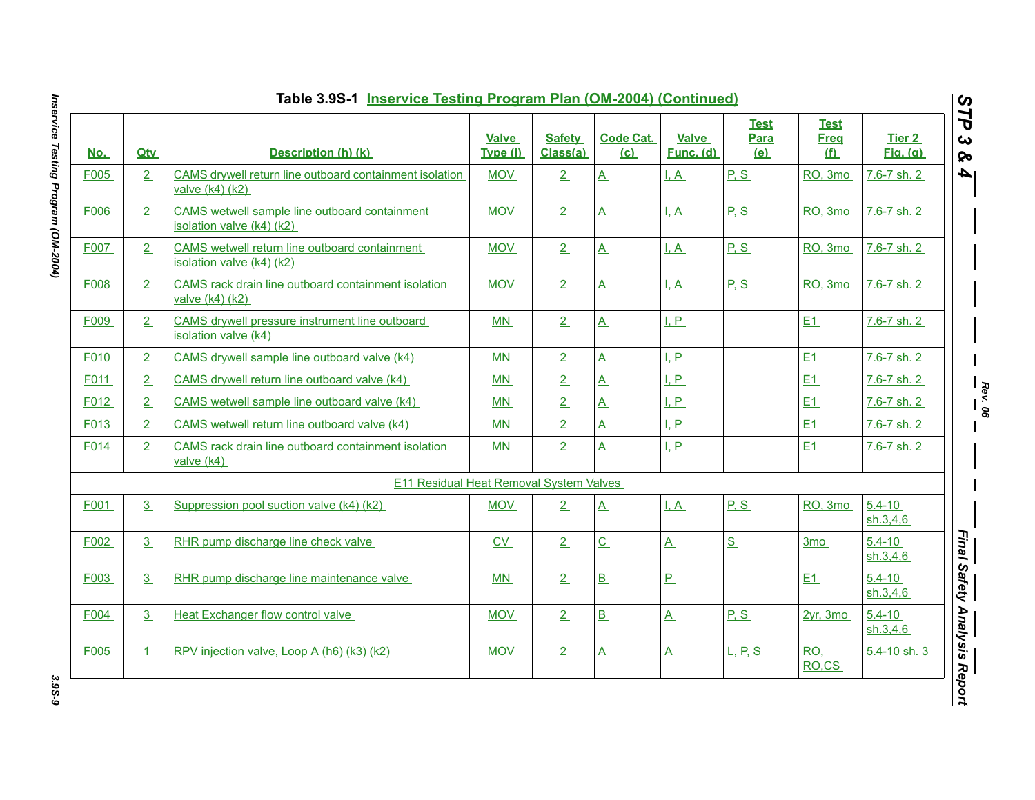| <u>No.</u> | <b>Qtv</b> | Description (h) (k)                                                        | Valve<br>Type (I) | <b>Safety</b><br>Class(a) | <b>Code Cat.</b><br>(c) | Valve<br>Func. (d)       | <b>Test</b><br><b>Para</b><br><u>(e)</u> | <b>Test</b><br><b>Freq</b><br><u>(f)</u> | Tier 2<br><b>Fig.</b> (g) |
|------------|------------|----------------------------------------------------------------------------|-------------------|---------------------------|-------------------------|--------------------------|------------------------------------------|------------------------------------------|---------------------------|
| F005       | 2          | CAMS drywell return line outboard containment isolation<br>valve (k4) (k2) | <b>MOV</b>        | 2                         | $\underline{A}$         | I, A                     | P, S                                     | RO, 3mo                                  | 7.6-7 sh. 2               |
| F006       | 2          | CAMS wetwell sample line outboard containment<br>isolation valve (k4) (k2) | <b>MOV</b>        | 2                         | $\underline{A}$         | $\overline{A}$           | P.S                                      | RO, 3mo                                  | 7.6-7 sh. 2               |
| F007       | 2          | CAMS wetwell return line outboard containment<br>isolation valve (k4) (k2) | <b>MOV</b>        | 2                         | $\mathbf{A}$            | I.A                      | P.S                                      | RO, 3mo                                  | 7.6-7 sh. 2               |
| F008       | 2          | CAMS rack drain line outboard containment isolation<br>valve (k4) (k2)     | <b>MOV</b>        | 2                         | $\underline{A}$         | I, A                     | P, S                                     | RO, 3mo                                  | 7.6-7 sh. 2               |
| F009       | 2          | CAMS drywell pressure instrument line outboard<br>isolation valve (k4)     | MN                | 2                         | $\underline{A}$         | I, P                     |                                          | E1                                       | 7.6-7 sh. 2               |
| F010       | 2          | CAMS drywell sample line outboard valve (k4)                               | MN                | 2                         | $\mathbf{A}$            | I.P                      |                                          | E1                                       | 7.6-7 sh. 2               |
| F011       | 2          | CAMS drywell return line outboard valve (k4)                               | MN                | $\overline{2}$            | $\underline{A}$         | I, P                     |                                          | E1                                       | 7.6-7 sh. 2               |
| F012       | 2          | CAMS wetwell sample line outboard valve (k4)                               | MN                | $\overline{2}$            | $\overline{A}$          | LP                       |                                          | E1                                       | 7.6-7 sh. 2               |
| F013       | 2          | CAMS wetwell return line outboard valve (k4)                               | MN                | $\overline{2}$            | $\underline{A}$         | I, P                     |                                          | E1                                       | 7.6-7 sh. 2               |
| F014       | 2          | CAMS rack drain line outboard containment isolation<br>valve (k4)          | MN                | 2                         | $\underline{A}$         | I, P                     |                                          | E1                                       | 7.6-7 sh. 2               |
|            |            | <b>E11 Residual Heat Removal System Valves</b>                             |                   |                           |                         |                          |                                          |                                          |                           |
| F001       | 3          | Suppression pool suction valve (k4) (k2)                                   | <b>MOV</b>        | 2                         | $\underline{A}$         | I, A                     | P, S                                     | RO, 3mo                                  | $5.4 - 10$<br>sh.3,4,6    |
| F002       | 3          | RHR pump discharge line check valve                                        | CV                | 2                         | $\overline{C}$          | $\overline{\mathbf{A}}$  | S                                        | 3 <sub>mo</sub>                          | $5.4 - 10$<br>sh.3,4,6    |
| F003       | 3          | RHR pump discharge line maintenance valve                                  | MN                | 2                         | B                       | $\overline{P}$           |                                          | E1                                       | $5.4 - 10$<br>sh.3,4.6    |
| F004       | 3          | Heat Exchanger flow control valve                                          | MOV               | 2                         | B                       | $\underline{A}$          | P, S                                     | $2yr$ , 3mo                              | $5.4 - 10$<br>sh.3,4,6    |
| F005       | $\perp$    | RPV injection valve, Loop A (h6) (k3) (k2)                                 | MOV               | 2                         | $\underline{A}$         | $\underline{\mathsf{A}}$ | L, P, S                                  | RO <sub>1</sub><br>RO <sub>,CS</sub>     | 5.4-10 sh. 3              |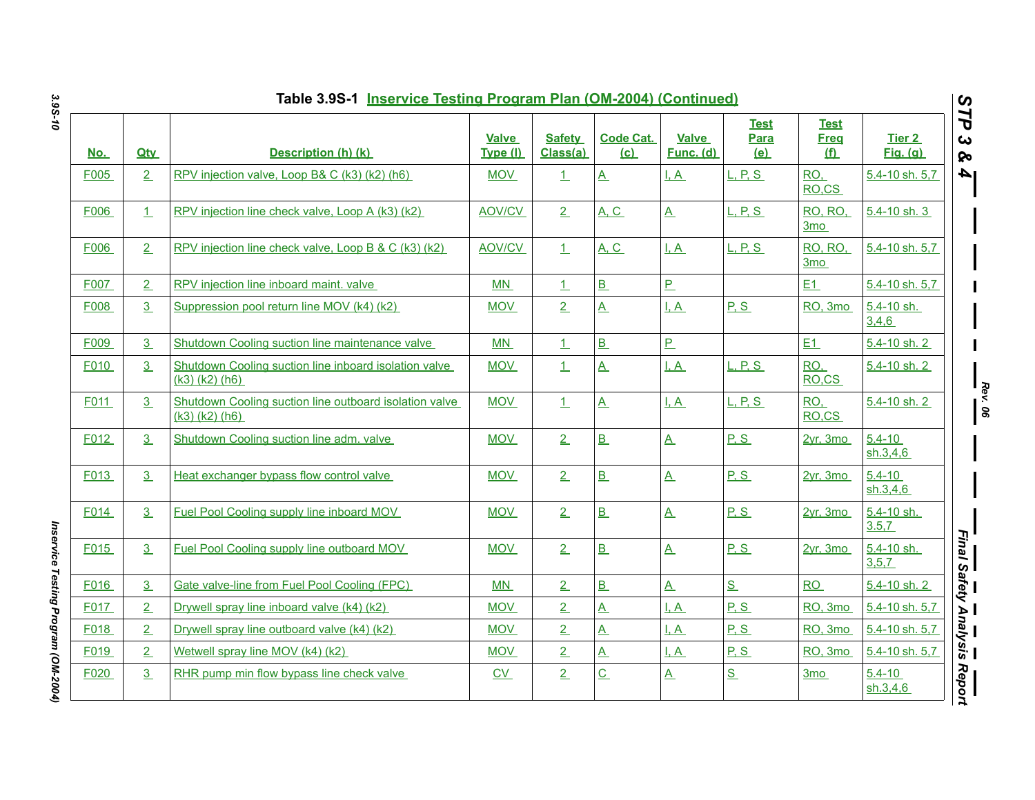|            |                | Table 3.9S-1 Inservice Testing Program Plan (OM-2004) (Continued)             |                          |                           |                         |                           |                                          |                                          |                           | $\boldsymbol{\omega}$              |
|------------|----------------|-------------------------------------------------------------------------------|--------------------------|---------------------------|-------------------------|---------------------------|------------------------------------------|------------------------------------------|---------------------------|------------------------------------|
| <u>No.</u> | <b>Qty</b>     | Description (h) (k)                                                           | <b>Valve</b><br>Type (I) | <b>Safety</b><br>Class(a) | <b>Code Cat.</b><br>(c) | <b>Valve</b><br>Func. (d) | <b>Test</b><br><b>Para</b><br><u>(e)</u> | <b>Test</b><br><b>Freq</b><br><u>(f)</u> | Tier 2<br><b>Fig.</b> (g) | 7P<br>$\boldsymbol{\omega}$<br>ନ୍ତ |
| F005       | 2              | RPV injection valve, Loop B& C (k3) (k2) (h6)                                 | <b>MOV</b>               | $\perp$                   | $\underline{A}$         | $\overline{A}$            | L, P, S                                  | RO,<br>RO.CS                             | 5.4-10 sh. 5,7            | l 4                                |
| F006       | 1              | RPV injection line check valve, Loop A (k3) (k2)                              | <b>AOV/CV</b>            | 2                         | <b>A, C</b>             | $\underline{A}$           | L, P, S                                  | RO, RO,<br>3 <sub>mo</sub>               | 5.4-10 sh. 3              |                                    |
| F006       | 2              | RPV injection line check valve, Loop B & C (k3) (k2)                          | <b>AOV/CV</b>            | $\perp$                   | A. C.                   | I. A                      | L. P. S.                                 | <b>RO, RO.</b><br>3 <sub>mo</sub>        | 5.4-10 sh. 5.7            |                                    |
| F007       | 2              | RPV injection line inboard maint. valve                                       | <b>MN</b>                | $\perp$                   | B                       | P                         |                                          | E1                                       | 5.4-10 sh. 5,7            |                                    |
| F008       | 3              | Suppression pool return line MOV (k4) (k2)                                    | <b>MOV</b>               | 2                         | $\underline{A}$         | <u>I, A</u>               | P.S                                      | RO, 3mo                                  | 5.4-10 sh.<br>3,4,6       |                                    |
| F009       | 3              | Shutdown Cooling suction line maintenance valve                               | <b>MN</b>                | $\perp$                   | B                       | $\overline{P}$            |                                          | E1                                       | 5.4-10 sh. 2              |                                    |
| F010       | 3              | Shutdown Cooling suction line inboard isolation valve<br>$(k3)$ $(k2)$ $(h6)$ | <b>MOV</b>               | $\perp$                   | $\mathbf{A}$            | I.A                       | <b>L. P. S.</b>                          | RO.<br>RO,CS                             | 5.4-10 sh. 2              |                                    |
| F011       | 3 <sup>1</sup> | Shutdown Cooling suction line outboard isolation valve<br>(k3) (k2) (h6)      | <b>MOV</b>               | $\perp$                   | $\mathbf{A}$            | I, A                      | L, P, S                                  | RO,<br>RO.CS                             | 5.4-10 sh. 2              |                                    |
| F012       | 3              | Shutdown Cooling suction line adm. valve                                      | <b>MOV</b>               | 2                         | B                       | $\underline{A}$           | P.S                                      | 2yr, 3mo                                 | $5.4 - 10$<br>sh.3,4,6    |                                    |
| F013       | 3              | Heat exchanger bypass flow control valve                                      | <b>MOV</b>               | 2                         | B                       | $\overline{A}$            | P.S                                      | 2vr. 3mo                                 | $5.4 - 10$<br>sh.3,4,6    |                                    |
| F014       | 3              | Fuel Pool Cooling supply line inboard MOV                                     | <b>MOV</b>               | 2                         | B                       | $\underline{A}$           | P.S                                      | 2yr, 3mo                                 | 5.4-10 sh.<br>3.5.7       |                                    |
| F015       | 3              | Fuel Pool Cooling supply line outboard MOV                                    | <b>MOV</b>               | 2                         | B                       | $\underline{A}$           | P.S                                      | 2yr, 3mo                                 | 5.4-10 sh.<br>3, 5, 7     |                                    |
| F016       | 3              | Gate valve-line from Fuel Pool Cooling (FPC)                                  | MN                       | 2                         | B                       | $\overline{A}$            | S                                        | RO                                       | 5.4-10 sh. 2              |                                    |
| F017       | 2              | Drywell spray line inboard valve (k4) (k2)                                    | <b>MOV</b>               | $\overline{2}$            | $\underline{A}$         | I, A                      | P, S                                     | RO, 3mo                                  | 5.4-10 sh. 5,7            |                                    |
| F018       | 2              | Drywell spray line outboard valve (k4) (k2)                                   | <b>MOV</b>               | $\overline{2}$            | $\underline{A}$         | $\overline{A}$            | P.S                                      | RO, 3mo                                  | 5.4-10 sh. 5,7            |                                    |
| F019       | 2              | Wetwell spray line MOV (k4) (k2)                                              | <b>MOV</b>               | 2                         | $\underline{A}$         | <u>I, A</u>               | P.S                                      | RO, 3mo                                  | 5.4-10 sh. 5.7            |                                    |
| F020       | 3              | RHR pump min flow bypass line check valve                                     | CV                       | $\overline{2}$            | $\underline{C}$         | $\underline{A}$           | $S_{-}$                                  | 3 <sub>mo</sub>                          | $5.4 - 10$<br>sh.3,4,6    | Report                             |

Inservice Testing Program (OM-2004) *Inservice Testing Program (OM-2004)*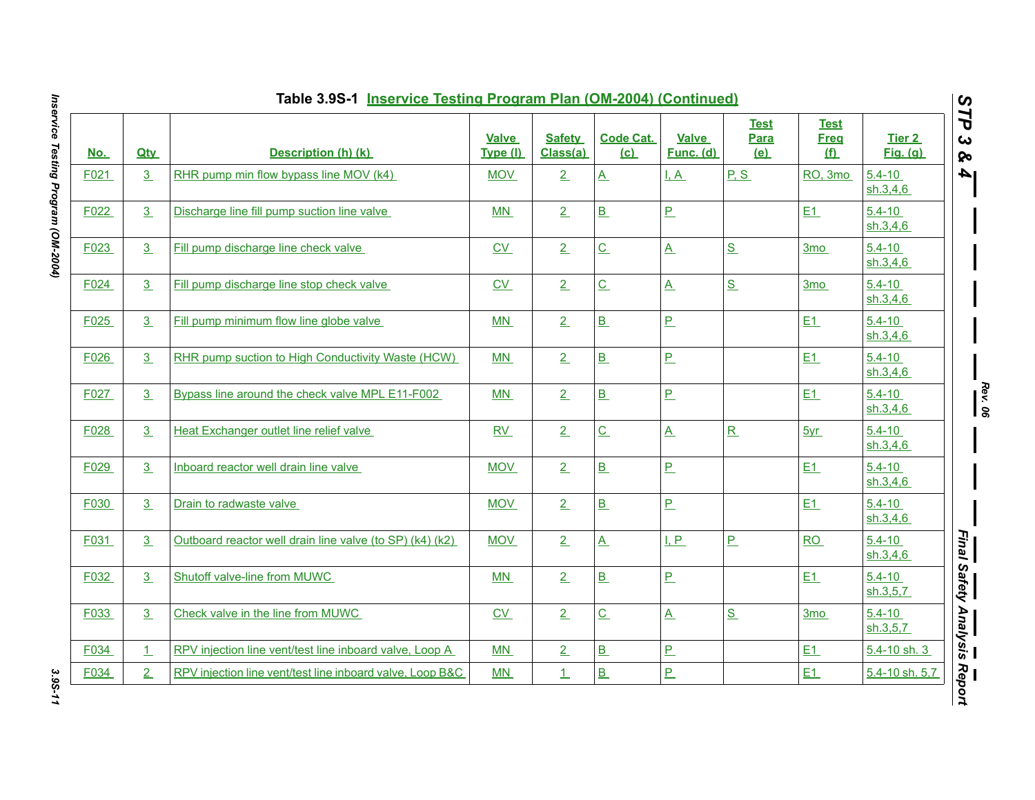|            |                | Table 3.9S-1 Inservice Testing Program Plan (OM-2004) (Continued) |                          |                           |                             |                           |                                   |                                 |                          |
|------------|----------------|-------------------------------------------------------------------|--------------------------|---------------------------|-----------------------------|---------------------------|-----------------------------------|---------------------------------|--------------------------|
| <u>No.</u> | <b>Qtv</b>     | <b>Description (h) (k)</b>                                        | <b>Valve</b><br>Type (I) | <b>Safety</b><br>Class(a) | <b>Code Cat.</b><br>(c)     | <b>Valve</b><br>Func. (d) | <b>Test</b><br><b>Para</b><br>(e) | <b>Test</b><br><b>Freq</b><br>f | Tier 2<br>Fig. (q)       |
| F021       | 3 <sub>1</sub> | RHR pump min flow bypass line MOV (k4)                            | <b>MOV</b>               | 2                         | $\underline{A}$             | I, A                      | P.S                               | RO, 3mo                         | $5.4 - 10$<br>sh.3.4.6   |
| F022       | 3              | Discharge line fill pump suction line valve                       | MN                       | 2                         | B                           | $\overline{P}$            |                                   | E1                              | $5.4 - 10$<br>sh.3,4,6   |
| F023       | 3 <sub>1</sub> | Fill pump discharge line check valve                              | CV                       | 2                         | $\underline{C}$             | $\underline{A}$           | S                                 | 3 <sub>mo</sub>                 | $5.4 - 10$<br>sh.3,4,6   |
| F024       | 3 <sub>1</sub> | Fill pump discharge line stop check valve                         | $\underline{CV}$         | 2                         | $\underline{\mathsf{C}}$    | $\underline{A}$           | S                                 | 3 <sub>mo</sub>                 | $5.4 - 10$<br>sh.3,4.6   |
| F025       | 3              | Fill pump minimum flow line globe valve                           | <b>MN</b>                | 2                         | B                           | $\overline{P}$            |                                   | E1                              | $5.4 - 10$<br>sh.3,4,6   |
| F026       | 3 <sub>1</sub> | RHR pump suction to High Conductivity Waste (HCW)                 | MN                       | 2                         | B                           | $\overline{P}$            |                                   | E1                              | $5.4 - 10$<br>sh.3,4,6   |
| F027       | 3 <sub>1</sub> | Bypass line around the check valve MPL E11-F002                   | MN                       | 2                         | B                           | $\underline{\mathsf{P}}$  |                                   | E1                              | $5.4 - 10$<br>sh.3,4.6   |
| F028       | 3 <sub>1</sub> | Heat Exchanger outlet line relief valve                           | RV                       | 2                         | $\underline{\mathsf{C}}$    | $\underline{A}$           | R                                 | 5yr                             | $5.4 - 10$<br>sh.3,4,6   |
| F029       | 3 <sub>1</sub> | Inboard reactor well drain line valve                             | <b>MOV</b>               | 2                         | B                           | $P_{-}$                   |                                   | E1                              | $5.4 - 10$<br>sh.3,4,6   |
| F030       | 3 <sub>1</sub> | Drain to radwaste valve                                           | <b>MOV</b>               | 2                         | B                           | $\overline{P}$            |                                   | E1                              | $5.4 - 10$<br>sh.3,4.6   |
| F031       | 3 <sub>1</sub> | Outboard reactor well drain line valve (to SP) (k4) (k2)          | <b>MOV</b>               | 2                         | $\underline{A}$             | L.P                       | $\overline{P}$                    | RO                              | $5.4 - 10$<br>sh.3,4,6   |
| F032       | 3 <sub>1</sub> | Shutoff valve-line from MUWC                                      | MN                       | 2                         | B                           | $\overline{P}$            |                                   | E1                              | $5.4 - 10$<br>sh.3, 5, 7 |
| F033       | 3              | Check valve in the line from MUWC                                 | $\underline{CV}$         | 2                         | $\underline{\underline{C}}$ | $\underline{A}$           | S                                 | 3 <sub>mo</sub>                 | $5.4 - 10$<br>sh.3,5,7   |
| F034       | $\perp$        | RPV injection line vent/test line inboard valve, Loop A           | MN                       | 2                         | B                           | $\overline{P}$            |                                   | E1                              | 5.4-10 sh. 3             |
| F034       | 2 <sub>1</sub> | RPV injection line vent/test line inboard valve, Loop B&C         | MN                       | 1                         | B                           | $\overline{P}$            |                                   | E1                              | 5.4-10 sh. 5,7           |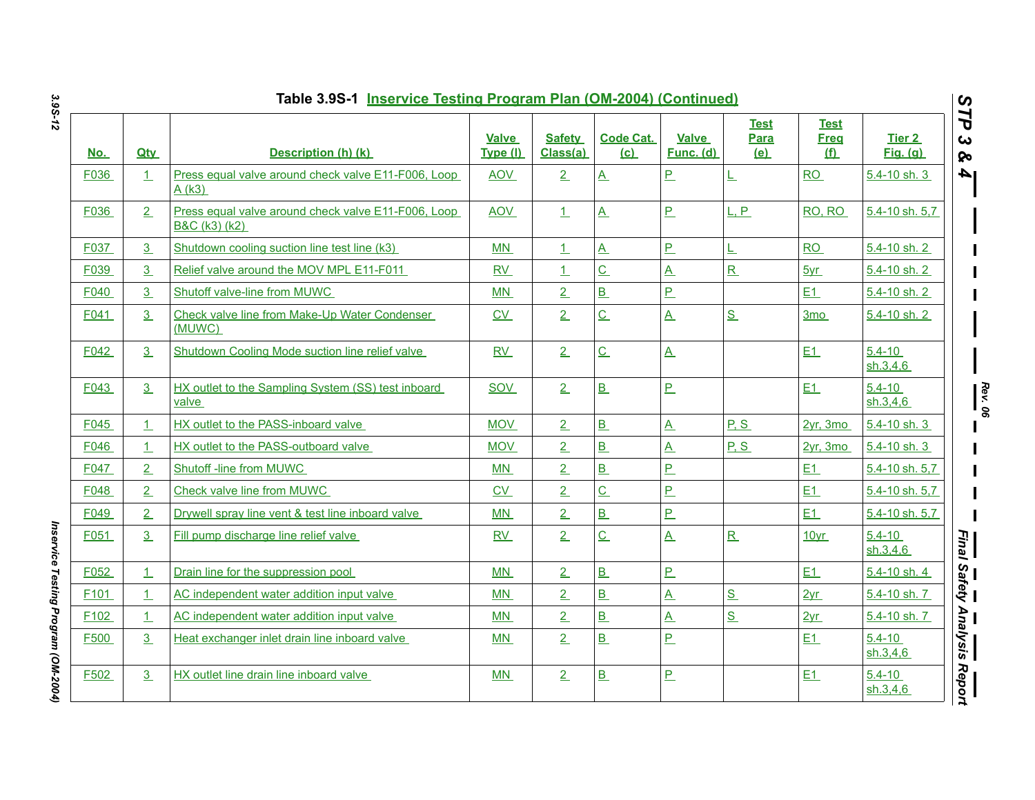|                  |                | Table 3.9S-1 Inservice Testing Program Plan (OM-2004) (Continued)    |                          |                           |                         |                           |                            |                                          |                           | $\boldsymbol{\omega}$             |
|------------------|----------------|----------------------------------------------------------------------|--------------------------|---------------------------|-------------------------|---------------------------|----------------------------|------------------------------------------|---------------------------|-----------------------------------|
| <u>No.</u>       | <b>Qtv</b>     | Description (h) (k)                                                  | <b>Valve</b><br>Type (I) | <b>Safety</b><br>Class(a) | <b>Code Cat.</b><br>(c) | <b>Valve</b><br>Func. (d) | <b>Test</b><br>Para<br>(e) | <b>Test</b><br><b>Freq</b><br><u>(f)</u> | Tier 2<br><b>Fig.</b> (g) | Ë<br>$\boldsymbol{\omega}$<br>ନ୍ତ |
| F036             | 1              | Press equal valve around check valve E11-F006, Loop<br>A(k3)         | <b>AOV</b>               | 2                         | $\underline{A}$         | P.                        | 上                          | <b>RO</b>                                | 5.4-10 sh. 3              | I4                                |
| F036             | 2              | Press equal valve around check valve E11-F006, Loop<br>B&C (k3) (k2) | AOV                      | 1                         | $\underline{A}$         | $\mathbf{P}$              | L, P                       | <b>RO, RO</b>                            | 5.4-10 sh. 5,7            |                                   |
| F037             | 3              | Shutdown cooling suction line test line (k3)                         | MN                       | $\perp$                   | $\underline{A}$         | $\overline{P}$            | L                          | RO                                       | 5.4-10 sh. 2              |                                   |
| F039             | 3              | Relief valve around the MOV MPL E11-F011                             | RV                       | 1                         | $\underline{C}$         | $\underline{\mathsf{A}}$  | $\mathbf R$                | 5yr                                      | 5.4-10 sh. 2              |                                   |
| F040             | 3              | Shutoff valve-line from MUWC                                         | MN                       | 2                         | B                       | $\overline{P}$            |                            | E1                                       | 5.4-10 sh. 2              |                                   |
| F041             | 3              | Check valve line from Make-Up Water Condenser<br>(MUWC)              | CV                       | $\overline{2}$            | $\overline{C}$          | $\underline{A}$           | S                          | 3 <sub>mo</sub>                          | 5.4-10 sh. 2              |                                   |
| F042             | 3              | Shutdown Cooling Mode suction line relief valve                      | RV                       | 2                         | $\underline{C}$         | $\underline{A}$           |                            | E1                                       | $5.4 - 10$<br>sh.3,4,6    |                                   |
| F043             | 3              | HX outlet to the Sampling System (SS) test inboard<br>valve          | SOV                      | 2                         | B                       | <u>P</u>                  |                            | E1                                       | $5.4 - 10$<br>sh.3,4,6    |                                   |
| F045             | $\perp$        | HX outlet to the PASS-inboard valve                                  | <b>MOV</b>               | 2                         | B                       | $\overline{\mathbf{A}}$   | P.S                        | 2vr, 3mo                                 | 5.4-10 sh. 3              | $\frac{ReV}{ReV}$                 |
| F046             | $\perp$        | HX outlet to the PASS-outboard valve                                 | <b>MOV</b>               | $\overline{2}$            | B                       | $\underline{\mathsf{A}}$  | P.S                        | $2yr$ , 3mo                              | $5.4 - 10$ sh. 3          |                                   |
| F047             | 2              | Shutoff -line from MUWC                                              | <b>MN</b>                | $\overline{2}$            | B                       | P.                        |                            | E1                                       | 5.4-10 sh. 5,7            |                                   |
| F048             | 2              | Check valve line from MUWC                                           | C <sub>V</sub>           | $\overline{2}$            | $\overline{C}$          | P                         |                            | E1                                       | 5.4-10 sh. 5.7            |                                   |
| F049             | $\overline{2}$ | Drywell spray line vent & test line inboard valve                    | MN                       | $\overline{2}$            | B                       | P                         |                            | E1                                       | 5.4-10 sh. 5,7            |                                   |
| F051             | 3              | Fill pump discharge line relief valve                                | <b>RV</b>                | $\overline{2}$            | $\underline{C}$         | $\underline{A}$           | R                          | 10yr                                     | $5.4 - 10$<br>sh.3,4.6    | <b>Final</b>                      |
| F052             | $\perp$        | Drain line for the suppression pool                                  | <b>MN</b>                | 2                         | B                       | $\overline{P}$            |                            | E1                                       | 5.4-10 sh. 4              |                                   |
| F <sub>101</sub> | $\perp$        | AC independent water addition input valve                            | MN                       | $\overline{2}$            | B                       | $\underline{A}$           | S                          | 2yr                                      | 5.4-10 sh. 7              | Safety                            |
| F <sub>102</sub> | $\perp$        | AC independent water addition input valve                            | MN                       | 2 <sub>1</sub>            | B                       | $\overline{\mathbf{A}}$   | $S_{-}$                    | 2yr                                      | 5.4-10 sh. 7              |                                   |
| F500             | 3              | Heat exchanger inlet drain line inboard valve                        | MN                       | $\overline{2}$            | B                       | P.                        |                            | E1                                       | $5.4 - 10$<br>sh.3,4,6    | ' Analysis                        |
| F502             | 3              | HX outlet line drain line inboard valve                              | MN                       | 2                         | B                       | $\overline{P}$            |                            | E1                                       | $5.4 - 10$<br>sh.3,4,6    | Report                            |

*Inservice Testing Program (OM-2004)* 

Inservice Testing Program (OM-2004)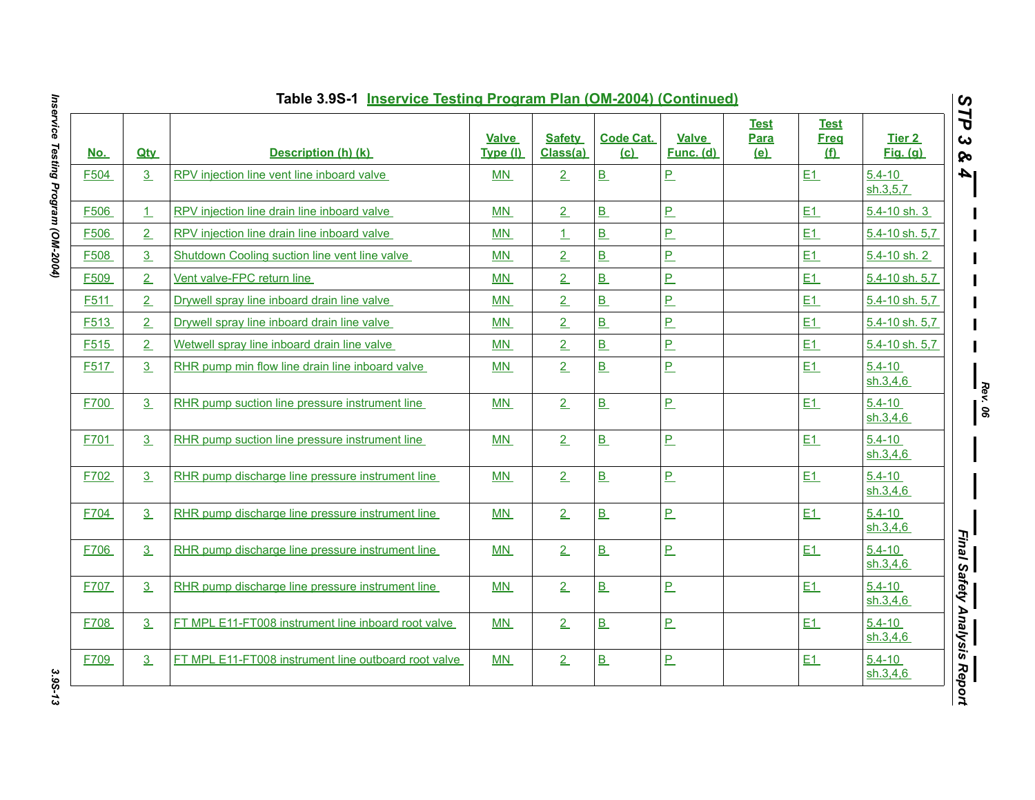| <u>No.</u>       | <b>Qty</b>     | Description (h) (k)                                  | <b>Valve</b><br>Type (I) | <b>Safety</b><br>Class(a) | <b>Code Cat.</b><br>(c)  | <b>Valve</b><br>Func. (d) | <b>Test</b><br>Para<br>(e) | <b>Test</b><br><b>Freq</b><br>f | Tier 2<br><b>Fig.</b> (g) |
|------------------|----------------|------------------------------------------------------|--------------------------|---------------------------|--------------------------|---------------------------|----------------------------|---------------------------------|---------------------------|
| F504             | 3              | RPV injection line vent line inboard valve           | MN                       | 2                         | B                        | <u>P</u>                  |                            | E1                              | $5.4 - 10$<br>sh.3,5,7    |
| F506             | 1              | RPV injection line drain line inboard valve          | <b>MN</b>                | 2                         | B                        | $\overline{P}$            |                            | E1                              | 5.4-10 sh. 3              |
| F506             | 2              | RPV injection line drain line inboard valve          | MN                       | 1                         | B                        | <u>P</u>                  |                            | E1                              | 5.4-10 sh. 5,7            |
| F508             | 3 <sub>1</sub> | Shutdown Cooling suction line vent line valve        | MN                       | 2                         | B                        | $\overline{P}$            |                            | E1                              | 5.4-10 sh. 2              |
| F509             | 2              | Vent valve-FPC return line                           | MN                       | 2                         | B                        | P                         |                            | E1                              | 5.4-10 sh. 5,7            |
| F <sub>511</sub> | 2              | Drywell spray line inboard drain line valve          | M <sub>N</sub>           | 2                         | B                        | $\overline{P}$            |                            | E1                              | 5.4-10 sh. 5,7            |
| F513             | $\overline{2}$ | Drywell spray line inboard drain line valve          | MN                       | $\overline{2}$            | B                        | P                         |                            | E1                              | 5.4-10 sh. 5,7            |
| F515             | 2              | Wetwell spray line inboard drain line valve          | MN                       | 2                         | $\overline{B}$           | P                         |                            | E1                              | 5.4-10 sh. 5,7            |
| F517             | 3              | RHR pump min flow line drain line inboard valve      | MN                       | 2                         | B                        | $\overline{P}$            |                            | E1                              | $5.4 - 10$<br>sh.3,4,6    |
| F700             | 3              | RHR pump suction line pressure instrument line       | MN                       | 2                         | B                        | $\overline{P}$            |                            | E1                              | $5.4 - 10$<br>sh.3,4,6    |
| F701             | 3              | RHR pump suction line pressure instrument line       | <b>MN</b>                | 2                         | B                        | $\overline{P}$            |                            | E1                              | $5.4 - 10$<br>sh.3,4,6    |
| F702             | 3              | RHR pump discharge line pressure instrument line     | MN                       | 2                         | B                        | $\overline{P}$            |                            | E1                              | $5.4 - 10$<br>sh.3,4.6    |
| F704             | 3              | RHR pump discharge line pressure instrument line     | MN                       | 2                         | B                        | <u>P</u>                  |                            | E1                              | $5.4 - 10$<br>sh.3,4,6    |
| F706             | 3              | RHR pump discharge line pressure instrument line     | MN                       | 2                         | B                        | $\underline{\mathsf{P}}$  |                            | E1                              | $5.4 - 10$<br>sh.3,4,6    |
| F707             | 3              | RHR pump discharge line pressure instrument line     | MN                       | 2                         | B                        | P                         |                            | E1                              | $5.4 - 10$<br>sh.3,4.6    |
| F708             | 3              | FT MPL E11-FT008 instrument line inboard root valve  | MN                       | 2                         | B                        | P                         |                            | E1                              | $5.4 - 10$<br>sh.3,4,6    |
| F709             | 3              | FT MPL E11-FT008 instrument line outboard root valve | MN                       | 2                         | $\underline{\mathbf{B}}$ | <u>P</u>                  |                            | E1                              | $5.4 - 10$<br>sh.3,4,6    |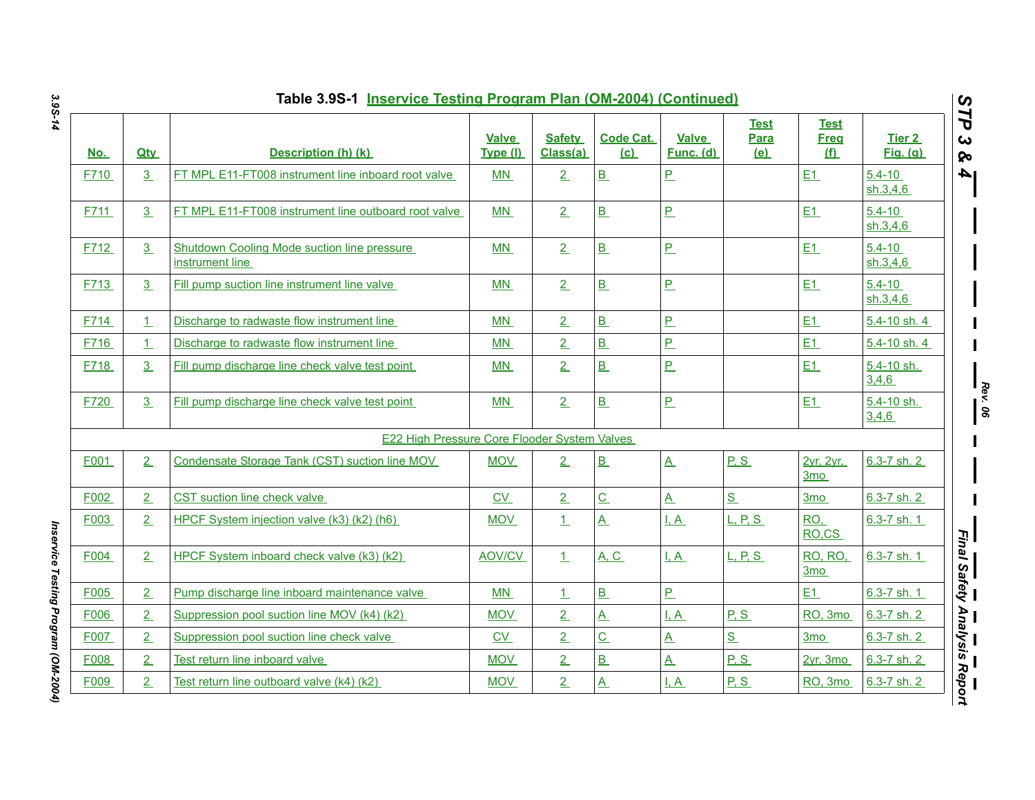|            |                | Table 3.9S-1 Inservice Testing Program Plan (OM-2004) (Continued) |                          |                           |                                      |                           |                                   |                                   |                           |                                                   |
|------------|----------------|-------------------------------------------------------------------|--------------------------|---------------------------|--------------------------------------|---------------------------|-----------------------------------|-----------------------------------|---------------------------|---------------------------------------------------|
| <u>No.</u> | <b>Qtv</b>     | Description (h) (k)                                               | <b>Valve</b><br>Type (I) | <b>Safety</b><br>Class(a) | <b>Code Cat.</b><br>(c)              | <b>Valve</b><br>Func. (d) | <b>Test</b><br>Para<br><u>(e)</u> | <b>Test</b><br><b>Freg</b><br>(f) | Tier 2<br><b>Fig.</b> (g) | STP<br>ట<br>ନ୍ତ                                   |
| F710       | $\overline{3}$ | FT MPL E11-FT008 instrument line inboard root valve               | <b>MN</b>                | 2                         | $\underline{\mathbf{B}}$             | $\overline{P}$            |                                   | E1                                | $5.4 - 10$<br>sh.3,4,6    | l 4                                               |
| F711       | 3 <sub>2</sub> | FT MPL E11-FT008 instrument line outboard root valve              | <b>MN</b>                | 2                         | B                                    | $\overline{P}$            |                                   | E1                                | $5.4 - 10$<br>sh.3,4,6    |                                                   |
| F712       | 3 <sub>1</sub> | Shutdown Cooling Mode suction line pressure<br>instrument line    | MN                       | 2                         | B                                    | $\overline{P}$            |                                   | E1                                | $5.4 - 10$<br>sh.3,4,6    |                                                   |
| F713       | 3 <sub>1</sub> | Fill pump suction line instrument line valve                      | <b>MN</b>                | 2                         | B                                    | $\overline{P}$            |                                   | E1                                | $5.4 - 10$<br>sh.3,4.6    |                                                   |
| F714       | $\perp$        | Discharge to radwaste flow instrument line                        | MN                       | $\overline{2}$            | B                                    | $\overline{P}$            |                                   | E1                                | 5.4-10 sh. 4              |                                                   |
| F716       | 1              | Discharge to radwaste flow instrument line                        | <b>MN</b>                | $\overline{2}$            | B                                    | $\overline{P}$            |                                   | E1                                | 5.4-10 sh. 4              |                                                   |
| F718       | $\overline{3}$ | Fill pump discharge line check valve test point                   | MN                       | $\overline{2}$            | B                                    | P                         |                                   | E1                                | 5.4-10 sh.<br>3,4,6       |                                                   |
| F720       | 3 <sub>1</sub> | Fill pump discharge line check valve test point                   | MN                       | 2                         | B                                    | $\overline{P}$            |                                   | E1                                | 5.4-10 sh.<br>3,4,6       | $\frac{Rev \cdot 06}{\text{Rev} \cdot \text{06}}$ |
|            |                | E22 High Pressure Core Flooder System Valves                      |                          |                           |                                      |                           |                                   |                                   |                           |                                                   |
| F001       | 2              | Condensate Storage Tank (CST) suction line MOV                    | <b>MOV</b>               | 2                         | B                                    | $\underline{A}$           | P.S                               | 2yr, 2yr,<br>3 <sub>mo</sub>      | $6.3 - 7$ sh. 2           |                                                   |
| F002       | 2              | CST suction line check valve                                      | CV                       | 2                         | $\underline{C}$                      | $\underline{A}$           | S                                 | 3 <sub>mo</sub>                   | $6.3 - 7$ sh. 2           |                                                   |
| F003       | 2              | HPCF System injection valve (k3) (k2) (h6)                        | <b>MOV</b>               | 1                         | $\underline{A}$                      | $\overline{A}$            | L, P, S                           | RO,<br>RO.CS                      | $6.3 - 7$ sh. 1           |                                                   |
| F004       | 2              | HPCF System inboard check valve (k3) (k2)                         | AOV/CV                   | $\perp$                   | <b>A, C</b>                          | $\overline{A}$            | L, P, S                           | RO, RO,<br>3 <sub>mo</sub>        | 6.3-7 sh. 1               | —<br>Final Safety Analysis Report                 |
| F005       | $\overline{2}$ | Pump discharge line inboard maintenance valve                     | MN                       | $\perp$                   | B                                    | $\overline{P}$            |                                   | E1                                | 6.3-7 sh. 1               |                                                   |
| F006       | $\overline{2}$ | Suppression pool suction line MOV (k4) (k2)                       | <b>MOV</b>               | $\overline{2}$            | $\overline{A}$                       | I, A                      | P, S                              | RO, 3mo                           | $6.3 - 7$ sh. 2           |                                                   |
| F007       | $\overline{2}$ | Suppression pool suction line check valve                         | CV                       | $\overline{2}$            | $\underline{\underline{\mathsf{C}}}$ | $\underline{A}$           | S                                 | 3 <sub>mo</sub>                   | $6.3 - 7$ sh. 2           |                                                   |
| F008       | $\overline{2}$ | Test return line inboard valve                                    | <b>MOV</b>               | 2                         | B                                    | $\underline{A}$           | P.S                               | $2yr$ , $3mo$                     | 6.3-7 sh. 2               |                                                   |
| F009       | $\overline{2}$ | Test return line outboard valve (k4) (k2)                         | <b>MOV</b>               | $\overline{2}$            | $\overline{A}$                       | I, A                      | P.S                               | RO, 3mo                           | $6.3 - 7$ sh. 2           |                                                   |

Inservice Testing Program (OM-2004) *Inservice Testing Program (OM-2004)*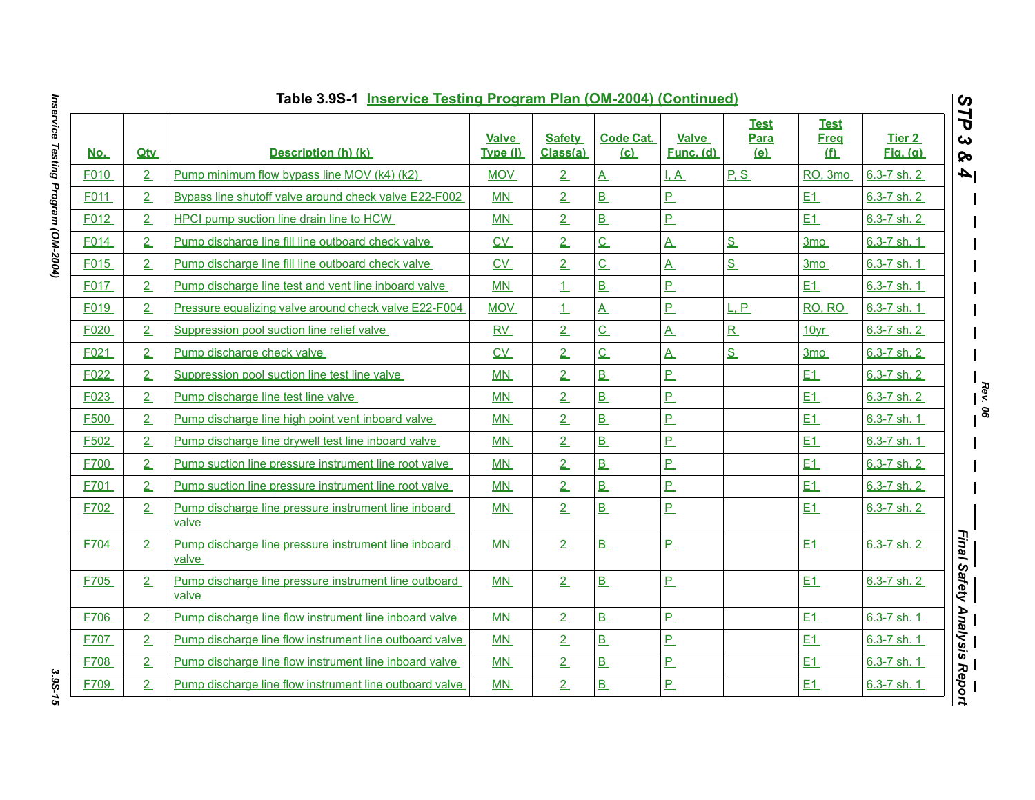|            |                | Table 3.9S-1 Inservice Testing Program Plan (OM-2004) (Continued) |                          |                           |                         |                           |                            |                                 |                                      | $\boldsymbol{\omega}$        |
|------------|----------------|-------------------------------------------------------------------|--------------------------|---------------------------|-------------------------|---------------------------|----------------------------|---------------------------------|--------------------------------------|------------------------------|
| <u>No.</u> | <b>Qtv</b>     | Description (h) (k)                                               | <b>Valve</b><br>Type (I) | <b>Safety</b><br>Class(a) | <b>Code Cat.</b><br>(c) | <b>Valve</b><br>Func. (d) | <b>Test</b><br>Para<br>(e) | <b>Test</b><br><b>Freg</b><br>f | Tier <sub>2</sub><br><b>Fig.</b> (g) | ĽP<br>ట<br>ନ୍ତ               |
| F010       | $\overline{2}$ | Pump minimum flow bypass line MOV (k4) (k2)                       | <b>MOV</b>               | 2                         | $\underline{A}$         | I, A                      | P.S                        | RO, 3mo                         | $6.3 - 7$ sh. 2                      | $\mathbf{A}$                 |
| F011       | 2              | Bypass line shutoff valve around check valve E22-F002             | MN                       | $\overline{2}$            | B                       | $\overline{P}$            |                            | E1                              | 6.3-7 sh. 2                          |                              |
| F012       | 2              | HPCI pump suction line drain line to HCW                          | MN                       | $\overline{2}$            | $\overline{B}$          | $\overline{P}$            |                            | E1                              | 6.3-7 sh. 2                          |                              |
| F014       | 2              | Pump discharge line fill line outboard check valve                | $\underline{CV}$         | $\overline{2}$            | $\underline{C}$         | $\underline{A}$           | S                          | 3 <sub>mo</sub>                 | 6.3-7 sh. 1                          |                              |
| F015       | 2              | Pump discharge line fill line outboard check valve                | C <sub>V</sub>           | 2                         | $\overline{C}$          | $\underline{A}$           | S                          | 3 <sub>mo</sub>                 | 6.3-7 sh. 1                          |                              |
| F017       | 2              | Pump discharge line test and vent line inboard valve              | MN                       | 1                         | B                       | <u>P</u>                  |                            | E1                              | 6.3-7 sh. 1                          |                              |
| F019       | 2              | Pressure equalizing valve around check valve E22-F004             | <b>MOV</b>               | $\perp$                   | <u>A</u>                | $\overline{P}$            | L, P                       | RO, RO                          | 6.3-7 sh. 1                          |                              |
| F020       | 2              | Suppression pool suction line relief valve                        | RV                       | $\overline{2}$            | $\overline{C}$          | $\underline{A}$           | R                          | 10 <sub>yr</sub>                | 6.3-7 sh. 2                          |                              |
| F021       | 2              | Pump discharge check valve                                        | C <sub>V</sub>           | $\overline{2}$            | $\overline{C}$          | $\underline{A}$           | S                          | 3 <sub>mo</sub>                 | 6.3-7 sh. 2                          |                              |
| F022       | 2              | Suppression pool suction line test line valve                     | MN                       | 2                         | B                       | $\overline{P}$            |                            | E1                              | 6.3-7 sh. 2                          |                              |
| F023       | 2              | Pump discharge line test line valve                               | MN                       | 2 <sub>1</sub>            | B                       | $\overline{P}$            |                            | E1                              | 6.3-7 sh. 2                          |                              |
| F500       | 2              | Pump discharge line high point vent inboard valve                 | <b>MN</b>                | $\overline{2}$            | B                       | $\overline{P}$            |                            | E1                              | 6.3-7 sh. 1                          |                              |
| F502       | 2              | Pump discharge line drywell test line inboard valve               | MN                       | $\overline{2}$            | B                       | $\overline{P}$            |                            | E1                              | 6.3-7 sh. 1                          |                              |
| F700       | 2              | Pump suction line pressure instrument line root valve             | MN                       | $\overline{2}$            | B                       | <u>P</u>                  |                            | E1                              | 6.3-7 sh. 2                          |                              |
| F701       | 2              | Pump suction line pressure instrument line root valve             | MN                       | $\overline{2}$            | B                       | $\overline{P}$            |                            | E1                              | $6.3 - 7$ sh. 2                      |                              |
| F702       | 2              | Pump discharge line pressure instrument line inboard<br>valve     | MN                       | $\overline{2}$            | B                       | $\overline{P}$            |                            | E1                              | 6.3-7 sh. 2                          |                              |
| F704       | 2              | Pump discharge line pressure instrument line inboard<br>valve     | MN                       | 2                         | B                       | $\overline{P}$            |                            | E1                              | 6.3-7 sh. 2                          | Final Safety Analysis Report |
| F705       | 2              | Pump discharge line pressure instrument line outboard<br>valve    | MN                       | 2                         | B                       | $\overline{P}$            |                            | E1                              | 6.3-7 sh. 2                          |                              |
| F706       | 2              | Pump discharge line flow instrument line inboard valve            | <b>MN</b>                | $\overline{2}$            | B                       | $\overline{P}$            |                            | E1                              | 6.3-7 sh. 1                          |                              |
| F707       | 2              | Pump discharge line flow instrument line outboard valve           | MN                       | 2 <sub>1</sub>            | B                       | P                         |                            | E1                              | 6.3-7 sh. 1                          |                              |
| F708       | 2              | Pump discharge line flow instrument line inboard valve            | MN                       | $\overline{2}$            | B                       | $\overline{P}$            |                            | E1                              | 6.3-7 sh. 1                          |                              |
| F709       | 2              | Pump discharge line flow instrument line outboard valve           | MN                       | $\overline{2}$            | B                       | $\overline{P}$            |                            | E1                              | 6.3-7 sh. 1                          |                              |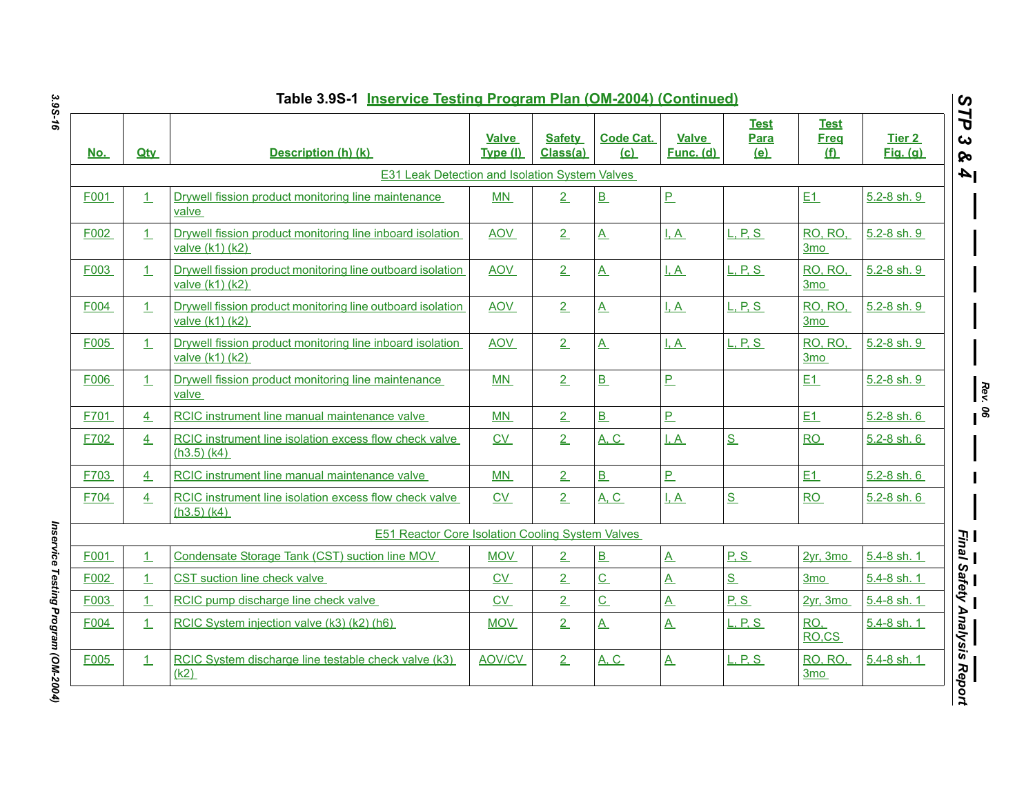| <u>No.</u> | <b>Qtv</b>   | Description (h) (k)                                                              | <b>Valve</b><br>Type (I) | <b>Safety</b><br>Class(a) | <b>Code Cat.</b><br>(c)  | <b>Valve</b><br>Func. (d) | <b>Test</b><br>Para<br>(e) | <b>Test</b><br><b>Freg</b><br>f   | <b>Tier 2</b><br>Fig. (a) |
|------------|--------------|----------------------------------------------------------------------------------|--------------------------|---------------------------|--------------------------|---------------------------|----------------------------|-----------------------------------|---------------------------|
|            |              | <b>E31 Leak Detection and Isolation System Valves</b>                            |                          |                           |                          |                           |                            |                                   |                           |
| F001       | $\perp$      | Drywell fission product monitoring line maintenance<br>valve                     | MN                       | 2                         | $\underline{\mathbf{B}}$ | $\underline{\mathsf{P}}$  |                            | E1                                | 5.2-8 sh. 9               |
| F002       | $\perp$      | Drywell fission product monitoring line inboard isolation<br>valve (k1) (k2)     | <b>AOV</b>               | $\overline{2}$            | $\underline{A}$          | $\overline{A}$            | L, P, S                    | RO, RO,<br>3 <sub>mo</sub>        | 5.2-8 sh. 9               |
| F003       | $\perp$      | Drywell fission product monitoring line outboard isolation<br>valve (k1) (k2)    | <b>AOV</b>               | 2                         | $\overline{A}$           | I, A                      | L, P, S                    | RO, RO,<br>3 <sub>mo</sub>        | 5.2-8 sh. 9               |
| F004       | $\perp$      | Drywell fission product monitoring line outboard isolation<br>valve (k1) (k2)    | <b>AOV</b>               | 2                         | $\underline{A}$          | <u>I.A</u>                | <u>L. P. S.</u>            | <b>RO, RO.</b><br>3 <sub>mo</sub> | 5.2-8 sh. 9               |
| F005       | 1            | Drywell fission product monitoring line inboard isolation<br>valve $(k1)$ $(k2)$ | <b>AOV</b>               | 2                         | $\underline{A}$          | $\overline{A}$            | L, P, S                    | RO, RO,<br>3 <sub>mo</sub>        | 5.2-8 sh. 9               |
| F006       | $\perp$      | Drywell fission product monitoring line maintenance<br>valve                     | MN                       | $\overline{2}$            | B                        | $\overline{P}$            |                            | E1                                | 5.2-8 sh. 9               |
| F701       | 4            | RCIC instrument line manual maintenance valve                                    | MN                       | 2                         | B                        | $\overline{P}$            |                            | E1                                | 5.2-8 sh. 6               |
| F702       | 4            | RCIC instrument line isolation excess flow check valve<br>$(h3.5)$ (k4)          | $\underline{\text{CV}}$  | $\overline{2}$            | <u>A, C</u>              | $\overline{A}$            | S                          | RO                                | 5.2-8 sh. 6               |
| F703       | 4            | RCIC instrument line manual maintenance valve                                    | MN                       | $\overline{2}$            | B                        | $P_{-}$                   |                            | E1                                | $5.2 - 8$ sh. $6$         |
| F704       | 4            | RCIC instrument line isolation excess flow check valve<br>$(h3.5)$ (k4)          | CV                       | $\overline{2}$            | <b>A, C</b>              | $\overline{A}$            | S                          | <b>RO</b>                         | 5.2-8 sh. 6               |
|            |              | <b>E51 Reactor Core Isolation Cooling System Valves</b>                          |                          |                           |                          |                           |                            |                                   |                           |
| F001       | $\perp$      | Condensate Storage Tank (CST) suction line MOV                                   | <b>MOV</b>               | $\overline{2}$            | $\underline{\mathbf{B}}$ | $\underline{A}$           | P.S                        | $2yr$ , 3mo                       | 5.4-8 sh. 1               |
| F002       | $\mathbf{1}$ | CST suction line check valve                                                     | CV                       | 2                         | $\underline{\mathsf{C}}$ | <u>A</u>                  | S                          | 3 <sub>mo</sub>                   | 5.4-8 sh. 1               |
| F003       | 1            | RCIC pump discharge line check valve                                             | C <sub>V</sub>           | $\overline{2}$            | $\overline{C}$           | $\underline{A}$           | P.S                        | 2vr. 3mo                          | $5.4 - 8$ sh. 1           |
| F004       | 1            | RCIC System injection valve (k3) (k2) (h6)                                       | <b>MOV</b>               | $\overline{2}$            | $\mathbf{A}$             | $\underline{A}$           | L, P, S                    | RO,<br>RO,CS                      | 5.4-8 sh. 1               |
| F005       | $\perp$      | RCIC System discharge line testable check valve (k3)<br>(k2)                     | <b>AOV/CV</b>            | 2                         | A, C                     | $\overline{A}$            | L. P. S.                   | <b>RO, RO,</b><br>3 <sub>mo</sub> | 5.4-8 sh. 1               |

Inservice Testing Program (OM-2004) *Inservice Testing Program (OM-2004)*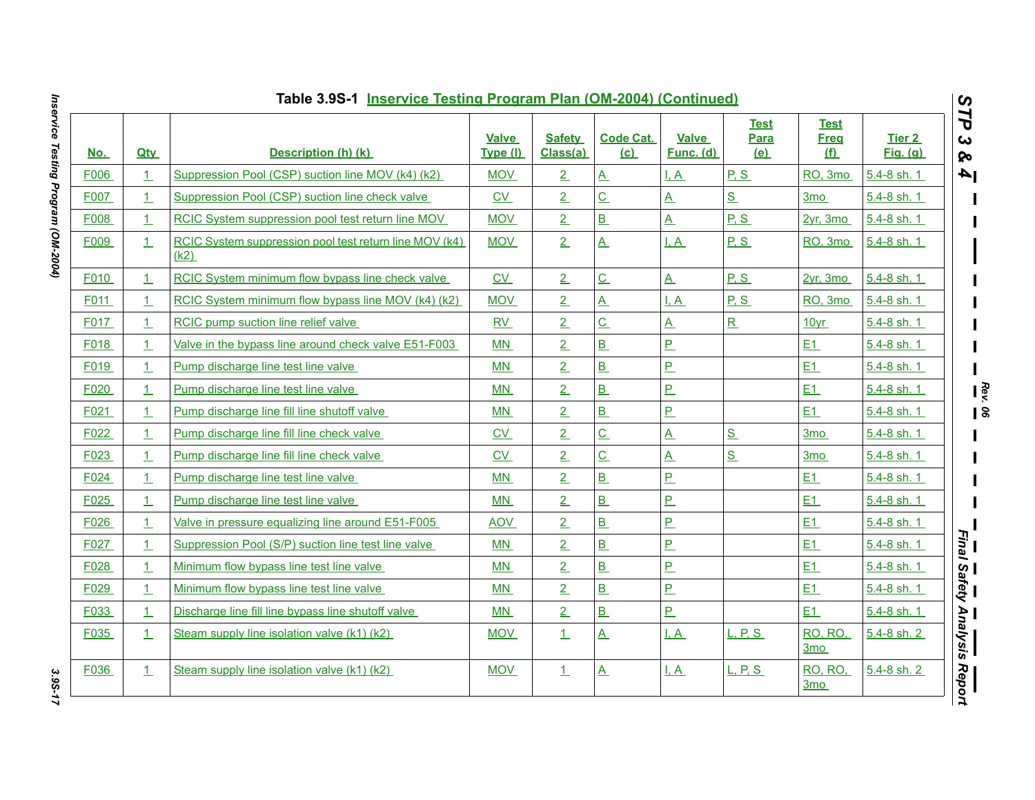|            |            | Table 3.9S-1 Inservice Testing Program Plan (OM-2004) (Continued) |                          |                           |                          |                           |                            |                                 |                           |
|------------|------------|-------------------------------------------------------------------|--------------------------|---------------------------|--------------------------|---------------------------|----------------------------|---------------------------------|---------------------------|
| <u>No.</u> | <b>Qtv</b> | Description (h) (k)                                               | <b>Valve</b><br>Type (I) | <b>Safety</b><br>Class(a) | <b>Code Cat.</b><br>(c)  | <b>Valve</b><br>Func. (d) | <b>Test</b><br>Para<br>(e) | <b>Test</b><br><b>Freg</b><br>f | Tier 2<br><b>Fig.</b> (g) |
| F006       | $\perp$    | Suppression Pool (CSP) suction line MOV (k4) (k2)                 | <b>MOV</b>               | 2                         | $\underline{A}$          | I, A                      | P.S                        | RO, 3mo                         | $5.4 - 8$ sh. 1           |
| F007       | 1          | Suppression Pool (CSP) suction line check valve                   | C <sub>V</sub>           | $\overline{2}$            | $\overline{C}$           | $\overline{\mathbf{A}}$   | S                          | 3 <sub>mo</sub>                 | 5.4-8 sh. 1               |
| F008       | $\perp$    | RCIC System suppression pool test return line MOV                 | <b>MOV</b>               | $\overline{2}$            | $\overline{B}$           | $\underline{A}$           | P, S                       | 2yr, 3mo                        | $5.4 - 8$ sh. 1           |
| F009       | 1          | RCIC System suppression pool test return line MOV (k4)<br>(k2)    | <b>MOV</b>               | 2                         | $\underline{A}$          | I, A                      | P.S                        | RO, 3mo                         | 5.4-8 sh. 1               |
| F010       | 1          | RCIC System minimum flow bypass line check valve                  | C <sub>V</sub>           | 2                         | $\underline{\mathsf{C}}$ | $\underline{A}$           | P, S                       | $2yr$ , 3mo                     | 5.4-8 sh. 1               |
| F011       | $\perp$    | RCIC System minimum flow bypass line MOV (k4) (k2)                | <b>MOV</b>               | $\overline{2}$            | $\mathbf{A}$             | I, A                      | P, S                       | RO, 3mo                         | 5.4-8 sh. 1               |
| F017       | $\perp$    | RCIC pump suction line relief valve                               | RV                       | 2                         | $\overline{C}$           | <u>A</u>                  | $\mathbf R$                | 10yr                            | 5.4-8 sh. 1               |
| F018       | $\perp$    | Valve in the bypass line around check valve E51-F003              | MN                       | $\overline{2}$            | $\overline{B}$           | <u>P</u>                  |                            | E1                              | 5.4-8 sh. 1               |
| F019       | $\perp$    | Pump discharge line test line valve                               | MN                       | $\overline{2}$            | $\overline{B}$           | P                         |                            | E1                              | 5.4-8 sh. 1               |
| F020       | 1          | Pump discharge line test line valve                               | MN                       | 2                         | B                        | <u>P</u>                  |                            | E1                              | 5.4-8 sh. 1               |
| F021       | 1          | Pump discharge line fill line shutoff valve                       | MN                       | $\overline{2}$            | $\overline{B}$           | $\overline{P}$            |                            | E1                              | 5.4-8 sh. 1               |
| F022       | 1          | Pump discharge line fill line check valve                         | CV                       | $\overline{2}$            | $\underline{\mathsf{C}}$ | $\underline{A}$           | S                          | 3 <sub>mo</sub>                 | 5.4-8 sh. 1               |
| F023       | 1          | Pump discharge line fill line check valve                         | C <sub>V</sub>           | $\overline{2}$            | $\overline{C}$           | $\underline{A}$           | S                          | 3 <sub>mo</sub>                 | 5.4-8 sh. 1               |
| F024       | $\perp$    | Pump discharge line test line valve                               | MN                       | $\overline{2}$            | $\overline{B}$           | P                         |                            | E1                              | 5.4-8 sh. 1               |
| F025       | $\perp$    | Pump discharge line test line valve                               | MN                       | $\overline{2}$            | $\overline{B}$           | <u>P</u>                  |                            | E1                              | 5.4-8 sh. 1               |
| F026       | 1          | Valve in pressure equalizing line around E51-F005                 | <b>AOV</b>               | $\overline{2}$            | B                        | $\overline{P}$            |                            | E1                              | 5.4-8 sh. 1               |
| F027       | $\perp$    | Suppression Pool (S/P) suction line test line valve               | MN                       | $\overline{2}$            | B                        | <u>P</u>                  |                            | E1                              | 5.4-8 sh. 1               |
| F028       | $\perp$    | Minimum flow bypass line test line valve                          | MN                       | $\overline{2}$            | $\overline{B}$           | $\overline{P}$            |                            | E1                              | 5.4-8 sh. 1               |
| F029       | $\perp$    | Minimum flow bypass line test line valve                          | MN                       | 2                         | B                        | P                         |                            | E1                              | 5.4-8 sh. 1               |
| F033       | 1          | Discharge line fill line bypass line shutoff valve                | MN                       | $2-$                      | B                        | P                         |                            | E1                              | 5.4-8 sh. 1               |
| F035       | 1          | Steam supply line isolation valve (k1) (k2)                       | <b>MOV</b>               | $\perp$                   | $\underline{A}$          | I, A                      | L, P, S                    | <b>RO, RO,</b><br><u>3mo </u>   | $5.4 - 8$ sh. 2           |
| F036       | $\perp$    | Steam supply line isolation valve (k1) (k2)                       | <b>MOV</b>               | $\perp$                   | $\underline{A}$          | I, A                      | L, P, S                    | <b>RO, RO,</b><br>3mo           | $5.4 - 8$ sh. 2           |

Inservice Testing Program (OM-2004) *Inservice Testing Program (OM-2004) 3.9S-17*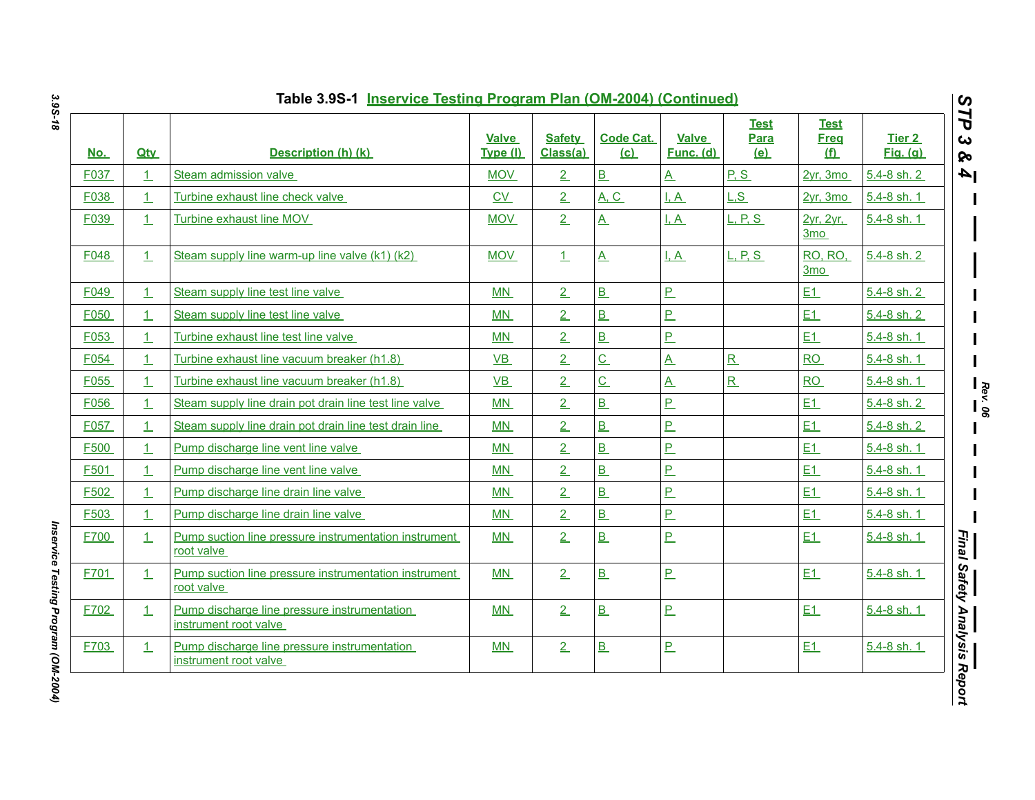| <u>No.</u> | <b>Qty</b> | Description (h) (k)                                                   | <b>Valve</b><br>Type (I) | <b>Safety</b><br>Class(a) | <b>Code Cat.</b><br>(c)  | <b>Valve</b><br>Func. (d) | <b>Test</b><br><b>Para</b><br><u>(e)</u> | <b>Test</b><br><b>Freq</b><br><u>(f)</u> | <b>Tier 2</b><br><u>Fig. (g)</u> |
|------------|------------|-----------------------------------------------------------------------|--------------------------|---------------------------|--------------------------|---------------------------|------------------------------------------|------------------------------------------|----------------------------------|
| F037       | $\perp$    | Steam admission valve                                                 | <b>MOV</b>               | $\overline{2}$            | $\underline{\mathbf{B}}$ | $\underline{A}$           | P.S                                      | 2yr, 3mo                                 | 5.4-8 sh. 2                      |
| F038       | 1          | Turbine exhaust line check valve                                      | CV                       | 2                         | <b>A. C.</b>             | I, A                      | L.S                                      | 2vr. 3mo                                 | 5.4-8 sh. 1                      |
| F039       | 1          | Turbine exhaust line MOV                                              | <b>MOV</b>               | 2                         | $\underline{A}$          | <u>I, A</u>               | L, P, S                                  | 2yr, 2yr,<br>3mo                         | 5.4-8 sh. 1                      |
| F048       | 1          | Steam supply line warm-up line valve (k1) (k2)                        | <b>MOV</b>               | 1                         | $\underline{A}$          | <u>I.A</u>                | <u>L. P. S.</u>                          | <b>RO. RO.</b><br>3 <sub>mo</sub>        | $5.4 - 8$ sh. 2                  |
| F049       | 1          | Steam supply line test line valve                                     | <b>MN</b>                | 2                         | B                        | <u>P</u>                  |                                          | E1                                       | 5.4-8 sh. 2                      |
| F050       | 1          | Steam supply line test line valve                                     | MN                       | $\overline{2}$            | B                        | P                         |                                          | E1                                       | 5.4-8 sh. 2                      |
| F053       | 1          | Turbine exhaust line test line valve                                  | <b>MN</b>                | $\overline{2}$            | B                        | P                         |                                          | E1                                       | 5.4-8 sh. 1                      |
| F054       | 1          | Turbine exhaust line vacuum breaker (h1.8)                            | <b>VB</b>                | $\overline{2}$            | $\overline{C}$           | <u>A</u>                  | R                                        | <b>RO</b>                                | 5.4-8 sh. 1                      |
| F055       | $\perp$    | Turbine exhaust line vacuum breaker (h1.8)                            | $VB$                     | 2                         | $\overline{C}$           | <u>A</u>                  | R                                        | RO                                       | 5.4-8 sh. 1                      |
| F056       | 1          | Steam supply line drain pot drain line test line valve                | <b>MN</b>                | $\overline{2}$            | B                        | P                         |                                          | E1                                       | $5.4 - 8$ sh. 2                  |
| F057       | 1          | Steam supply line drain pot drain line test drain line                | <b>MN</b>                | $\overline{2}$            | B                        | <u>P</u>                  |                                          | E1                                       | 5.4-8 sh. 2                      |
| F500       | 1          | Pump discharge line vent line valve                                   | MN                       | 2                         | B                        | <u>P</u>                  |                                          | E1                                       | 5.4-8 sh. 1                      |
| F501       | 1          | Pump discharge line vent line valve                                   | MN                       | $\overline{2}$            | B                        | <u>P</u>                  |                                          | E1                                       | 5.4-8 sh. 1                      |
| F502       | 1          | Pump discharge line drain line valve                                  | <b>MN</b>                | $\overline{2}$            | B                        | <u>P</u>                  |                                          | E1                                       | 5.4-8 sh. 1                      |
| F503       | 1          | Pump discharge line drain line valve                                  | MN                       | $\overline{2}$            | B                        | P                         |                                          | E1                                       | 5.4-8 sh. 1                      |
| F700       | $\perp$    | Pump suction line pressure instrumentation instrument<br>root valve   | MN                       | 2                         | B                        | P                         |                                          | E1                                       | 5.4-8 sh. 1                      |
| F701       | 1          | Pump suction line pressure instrumentation instrument<br>root valve   | <b>MN</b>                | 2                         | B                        | P                         |                                          | E1                                       | 5.4-8 sh. 1                      |
| F702       | $\perp$    | Pump discharge line pressure instrumentation<br>instrument root valve | MN                       | 2                         | B                        | $\overline{P}$            |                                          | E1                                       | 5.4-8 sh. 1                      |
| F703       | 1          | Pump discharge line pressure instrumentation<br>instrument root valve | MN                       | 2                         | $\underline{\mathbf{B}}$ | <u>P</u>                  |                                          | E1                                       | 5.4-8 sh. 1                      |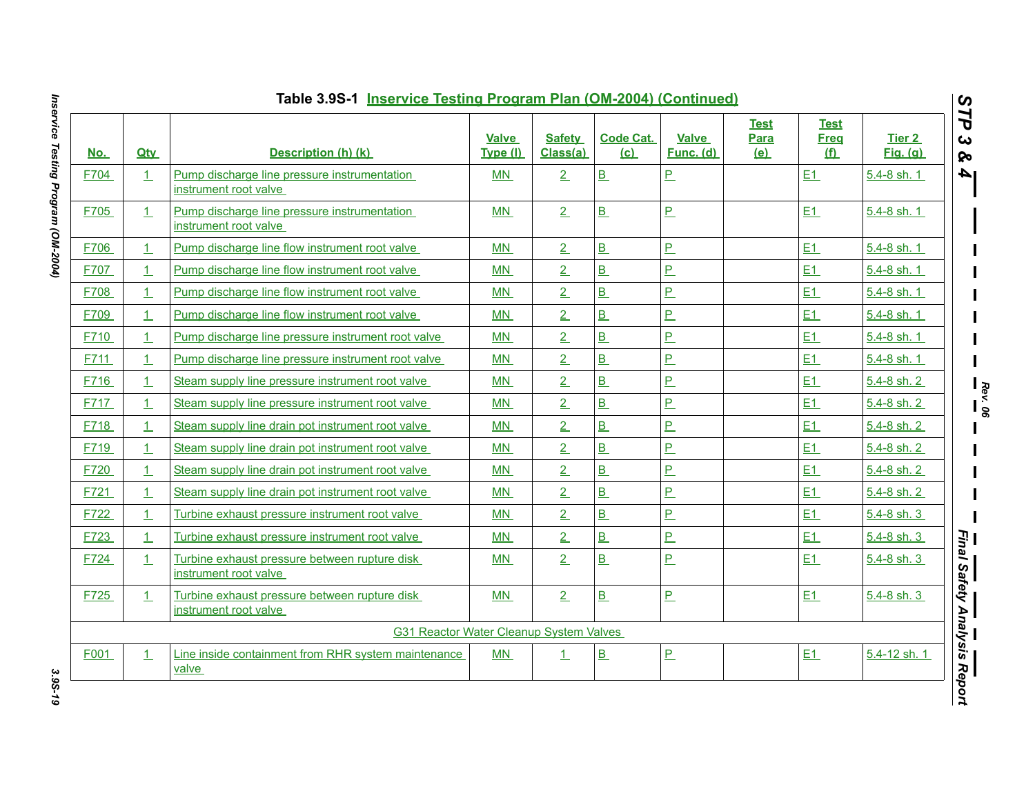| <u>No.</u> | <b>Qty</b>   | Description (h) (k)                                                    | <b>Valve</b><br>Type (I) | <b>Safety</b><br>Class(a) | <b>Code Cat.</b><br>(c)  | <b>Valve</b><br>Func. (d) | <b>Test</b><br>Para<br>(e) | <b>Test</b><br><b>Freq</b><br><u>(f)</u> | Tier 2<br><b>Fig.</b> (g) |
|------------|--------------|------------------------------------------------------------------------|--------------------------|---------------------------|--------------------------|---------------------------|----------------------------|------------------------------------------|---------------------------|
| F704       | $\perp$      | Pump discharge line pressure instrumentation<br>instrument root valve  | MN                       | 2                         | B                        | $\overline{P}$            |                            | E1                                       | $5.4 - 8$ sh. 1           |
| F705       | 1            | Pump discharge line pressure instrumentation<br>instrument root valve  | MN                       | 2                         | B                        | P                         |                            | E1                                       | 5.4-8 sh. 1               |
| F706       | 1            | Pump discharge line flow instrument root valve                         | <b>MN</b>                | 2                         | B                        | P                         |                            | E1                                       | 5.4-8 sh. 1               |
| F707       | $\perp$      | Pump discharge line flow instrument root valve                         | MN                       | 2                         | B                        | $\overline{P}$            |                            | E1                                       | 5.4-8 sh. 1               |
| F708       | $\perp$      | Pump discharge line flow instrument root valve                         | MN                       | 2                         | B                        | $\overline{P}$            |                            | E1                                       | 5.4-8 sh. 1               |
| F709       | $\perp$      | Pump discharge line flow instrument root valve                         | MN                       | 2                         | B                        | $\overline{P}$            |                            | E1                                       | 5.4-8 sh. 1               |
| F710       | $\perp$      | Pump discharge line pressure instrument root valve                     | MN                       | $\overline{2}$            | $\overline{B}$           | $\overline{P}$            |                            | E1                                       | 5.4-8 sh. 1               |
| F711       | $\perp$      | Pump discharge line pressure instrument root valve                     | MN                       | $\overline{2}$            | B                        | $\overline{P}$            |                            | E1                                       | 5.4-8 sh. 1               |
| F716       | $\perp$      | Steam supply line pressure instrument root valve                       | MN                       | 2                         | B                        | $\overline{P}$            |                            | E1                                       | $5.4 - 8$ sh. 2           |
| F717       | 1            | Steam supply line pressure instrument root valve                       | MN                       | $\overline{2}$            | B                        | P                         |                            | E1                                       | 5.4-8 sh. 2               |
| F718       | $\perp$      | Steam supply line drain pot instrument root valve                      | MN                       | $\overline{2}$            | $\overline{B}$           | $\overline{P}$            |                            | E1                                       | $5.4 - 8$ sh. 2           |
| F719       | $\mathbf{1}$ | Steam supply line drain pot instrument root valve                      | MN                       | 2                         | B                        | $\overline{P}$            |                            | E1                                       | 5.4-8 sh. 2               |
| F720       | 1.           | Steam supply line drain pot instrument root valve                      | MN                       | $\overline{2}$            | $\overline{B}$           | $\overline{P}$            |                            | E1                                       | $5.4 - 8$ sh. 2           |
| F721       | $\perp$      | Steam supply line drain pot instrument root valve                      | MN                       | $\overline{2}$            | $\overline{B}$           | $\overline{P}$            |                            | E1                                       | $5.4 - 8$ sh. 2           |
| F722       | $\perp$      | Turbine exhaust pressure instrument root valve                         | MN                       | $\overline{2}$            | B                        | P                         |                            | E1                                       | 5.4-8 sh. 3               |
| F723       | $\perp$      | Turbine exhaust pressure instrument root valve                         | MN                       | 2                         | B                        | P                         |                            | E1                                       | $5.4 - 8$ sh. 3           |
| F724       | $\perp$      | Turbine exhaust pressure between rupture disk<br>instrument root valve | MN                       | 2                         | B                        | $\overline{P}$            |                            | E1                                       | $5.4 - 8 \,$ sh. 3        |
| F725       | $\mathbf{1}$ | Turbine exhaust pressure between rupture disk<br>instrument root valve | MN                       | 2                         | $\underline{\mathbf{B}}$ | $\underline{\mathsf{P}}$  |                            | E1                                       | 5.4-8 sh. 3               |
|            |              | <b>G31 Reactor Water Cleanup System Valves</b>                         |                          |                           |                          |                           |                            |                                          |                           |
| F001       | $\mathbf{1}$ | Line inside containment from RHR system maintenance<br>valve           | MN                       | 1                         | B                        | $P_{-}$                   |                            | E1                                       | 5.4-12 sh. 1              |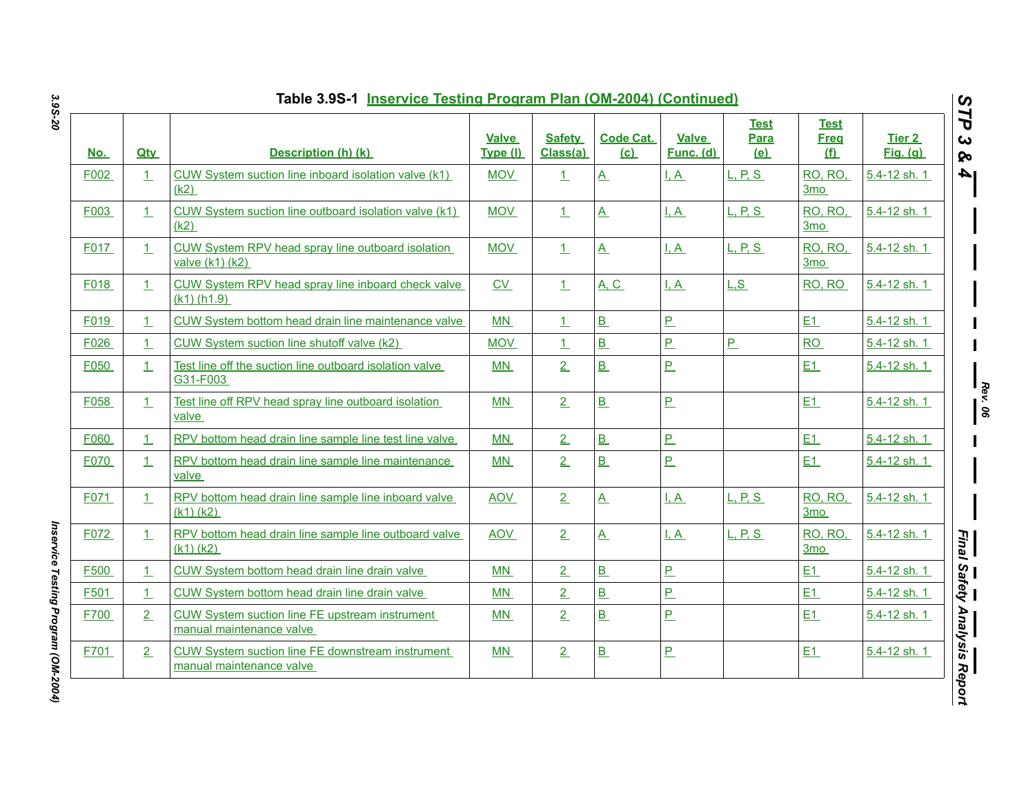| <u>No.</u>  | <b>Qtv</b> | Description (h) (k)                                                                 | <b>Valve</b><br>Type (I) | <b>Safety</b><br>Class(a) | <b>Code Cat.</b><br>(c)  | <b>Valve</b><br>Func. (d) | <b>Test</b><br><b>Para</b><br>(e) | <b>Test</b><br><b>Freq</b><br><u>(f)</u> | Tier 2<br><b>Fig.</b> (g) |
|-------------|------------|-------------------------------------------------------------------------------------|--------------------------|---------------------------|--------------------------|---------------------------|-----------------------------------|------------------------------------------|---------------------------|
| F002        | 1          | CUW System suction line inboard isolation valve (k1)<br>(k2)                        | <b>MOV</b>               | $\perp$                   | $\underline{A}$          | I, A                      | L, P, S                           | <b>RO, RO,</b><br>3 <sub>mo</sub>        | 5.4-12 sh. 1              |
| F003        | $\perp$    | CUW System suction line outboard isolation valve (k1)<br>(k2)                       | <b>MOV</b>               | 1                         | $\underline{A}$          | <u>I.A</u>                | L, P, S                           | RO, RO,<br>3mo                           | 5.4-12 sh. 1              |
| F017        | 1          | CUW System RPV head spray line outboard isolation<br>valve $(k1)$ $(k2)$            | <b>MOV</b>               | $\perp$                   | $\underline{A}$          | I.A                       | L. P. S.                          | <b>RO, RO,</b><br>3 <sub>mo</sub>        | 5.4-12 sh. 1              |
| F018        | $\perp$    | CUW System RPV head spray line inboard check valve<br>$(k1)$ (h1.9)                 | $\underline{\text{CV}}$  | $\perp$                   | <b>A, C</b>              | I, A                      | L.S                               | RO, RO                                   | 5.4-12 sh. 1              |
| F019        | $\perp$    | CUW System bottom head drain line maintenance valve                                 | MN                       | 1                         | <u>B</u>                 | P                         |                                   | E1                                       | 5.4-12 sh. 1              |
| F026        | 1          | CUW System suction line shutoff valve (k2)                                          | MOV                      | $\perp$                   | B                        | $\overline{P}$            | P                                 | <b>RO</b>                                | 5.4-12 sh. 1              |
| F050        | 1          | Test line off the suction line outboard isolation valve<br>G31-F003                 | MN                       | $\overline{2}$            | $\underline{\mathbf{B}}$ | $\overline{P}$            |                                   | E1                                       | 5.4-12 sh. 1              |
| F058        | $\perp$    | Test line off RPV head spray line outboard isolation<br>valve                       | <b>MN</b>                | 2                         | B                        | P                         |                                   | E1                                       | 5.4-12 sh. 1              |
| F060        | 1          | RPV bottom head drain line sample line test line valve                              | MN                       | $\overline{2}$            | B                        | P                         |                                   | E1                                       | 5.4-12 sh. 1              |
| <b>F070</b> | $\perp$    | RPV bottom head drain line sample line maintenance<br>valve                         | MN                       | 2                         | $\underline{\mathbf{B}}$ | $\underline{\mathsf{P}}$  |                                   | E1                                       | 5.4-12 sh. 1              |
| F071        | 1          | RPV bottom head drain line sample line inboard valve<br>$(k1)$ $(k2)$               | <b>AOV</b>               | 2                         | $\underline{A}$          | $L_A$                     | L, P, S                           | RO, RO,<br>3mo                           | 5.4-12 sh. 1              |
| F072        | $\perp$    | RPV bottom head drain line sample line outboard valve<br>$(k1)$ $(k2)$              | <b>AOV</b>               | 2                         | $\mathbf{A}$             | I, A                      | L, P, S                           | <b>RO, RO,</b><br>3mo                    | 5.4-12 sh. 1              |
| F500        | 1          | CUW System bottom head drain line drain valve                                       | MN                       | $\overline{2}$            | B                        | P                         |                                   | E1                                       | 5.4-12 sh. 1              |
| F501        | 1          | CUW System bottom head drain line drain valve                                       | MN                       | $\overline{2}$            | $\underline{\mathbf{B}}$ | $\overline{P}$            |                                   | E1                                       | 5.4-12 sh. 1              |
| F700        | 2          | <b>CUW System suction line FE upstream instrument</b><br>manual maintenance valve   | MN                       | 2                         | B                        | P                         |                                   | E1                                       | 5.4-12 sh. 1              |
| F701        | 2          | <b>CUW System suction line FE downstream instrument</b><br>manual maintenance valve | MN                       | 2                         | B                        | $\underline{\mathsf{P}}$  |                                   | E1                                       | 5.4-12 sh. 1              |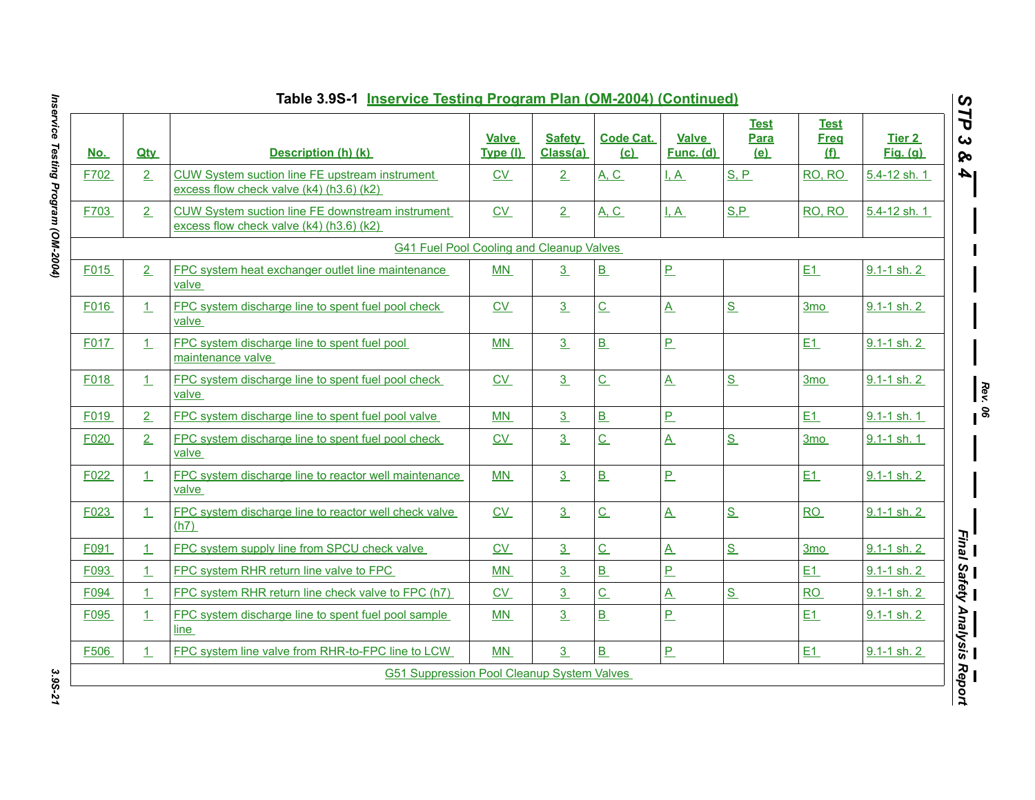| <u>No.</u> | <b>Qtv</b>     | Description (h) (k)                                                                              | <b>Valve</b><br>Type (I) | <b>Safety</b><br>Class(a) | <b>Code Cat.</b><br>(c)  | <b>Valve</b><br><b>Func. (d)</b> | <b>Test</b><br>Para<br>(e) | <b>Test</b><br><b>Freq</b><br><u>(f)</u> | <b>Tier 2</b><br><b>Fig.</b> (g) |
|------------|----------------|--------------------------------------------------------------------------------------------------|--------------------------|---------------------------|--------------------------|----------------------------------|----------------------------|------------------------------------------|----------------------------------|
| F702       | 2 <sub>1</sub> | CUW System suction line FE upstream instrument<br>excess flow check valve (k4) (h3.6) (k2)       | $\underline{\text{CV}}$  | 2                         | <b>A, C</b>              | <u>I.A</u>                       | S, P                       | RO, RO                                   | 5.4-12 sh. 1                     |
| F703       | 2 <sub>1</sub> | CUW System suction line FE downstream instrument<br>excess flow check valve $(k4)$ (h3.6) $(k2)$ | C <sub>V</sub>           | 2                         | A, C                     | I, A                             | S.P                        | RO, RO                                   | 5.4-12 sh. 1                     |
|            |                | <b>G41 Fuel Pool Cooling and Cleanup Valves</b>                                                  |                          |                           |                          |                                  |                            |                                          |                                  |
| F015       | 2 <sub>1</sub> | FPC system heat exchanger outlet line maintenance<br>valve                                       | MN                       | 3                         | $\underline{\mathbf{B}}$ | P                                |                            | E1                                       | $9.1 - 1$ sh. 2                  |
| F016       | $\perp$        | FPC system discharge line to spent fuel pool check<br>valve                                      | C <sub>V</sub>           | 3 <sub>1</sub>            | $\overline{C}$           | $\mathbf{A}$                     | S                          | 3 <sub>mo</sub>                          | 9.1-1 sh. 2                      |
| F017       | 1              | FPC system discharge line to spent fuel pool<br>maintenance valve                                | MN                       | 3                         | $\overline{B}$           | $\overline{P}$                   |                            | E1                                       | $9.1 - 1$ sh. $2$                |
| F018       | $\perp$        | FPC system discharge line to spent fuel pool check<br>valve                                      | CV                       | 3                         | $\underline{\mathsf{C}}$ | $\underline{A}$                  | $S_{-}$                    | 3 <sub>mo</sub>                          | $9.1 - 1$ sh. 2                  |
| F019       | 2 <sub>1</sub> | FPC system discharge line to spent fuel pool valve                                               | MN                       | 3                         | B                        | $\overline{P}$                   |                            | E1                                       | $9.1 - 1$ sh. 1                  |
| F020       | 2              | FPC system discharge line to spent fuel pool check<br>valve                                      | CV                       | 3                         | $\underline{\mathsf{C}}$ | $\underline{A}$                  | S                          | 3 <sub>mo</sub>                          | 9.1-1 sh. 1                      |
| F022       | $\perp$        | FPC system discharge line to reactor well maintenance<br>valve                                   | MN                       | 3                         | B                        | P                                |                            | E1                                       | 9.1-1 sh. 2                      |
| F023       | 1              | FPC system discharge line to reactor well check valve<br>(h7)                                    | CV                       | 3                         | $\underline{\mathsf{C}}$ | $\underline{A}$                  | $S_{-}$                    | RO                                       | $9.1 - 1$ sh. 2                  |
| F091       | 1              | FPC system supply line from SPCU check valve                                                     | CV                       | 3                         | $\overline{c}$           | $\underline{A}$                  | S                          | 3 <sub>mo</sub>                          | $9.1 - 1$ sh. $2$                |
| F093       | $\perp$        | FPC system RHR return line valve to FPC                                                          | MN                       | 3                         | B                        | $\overline{P}$                   |                            | E1                                       | 9.1-1 sh. 2                      |
| F094       | 1              | FPC system RHR return line check valve to FPC (h7)                                               | CV                       | 3 <sub>1</sub>            | $\overline{C}$           | $\underline{A}$                  | $S_{-}$                    | RO                                       | 9.1-1 sh. 2                      |
| F095       | 1              | FPC system discharge line to spent fuel pool sample<br>line                                      | MN                       | 3                         | B                        | $\overline{P}$                   |                            | E1                                       | $9.1 - 1$ sh. 2                  |
|            | 1              | FPC system line valve from RHR-to-FPC line to LCW                                                | <b>MN</b>                | 3                         | B                        | P                                |                            | E1                                       | 9.1-1 sh. 2                      |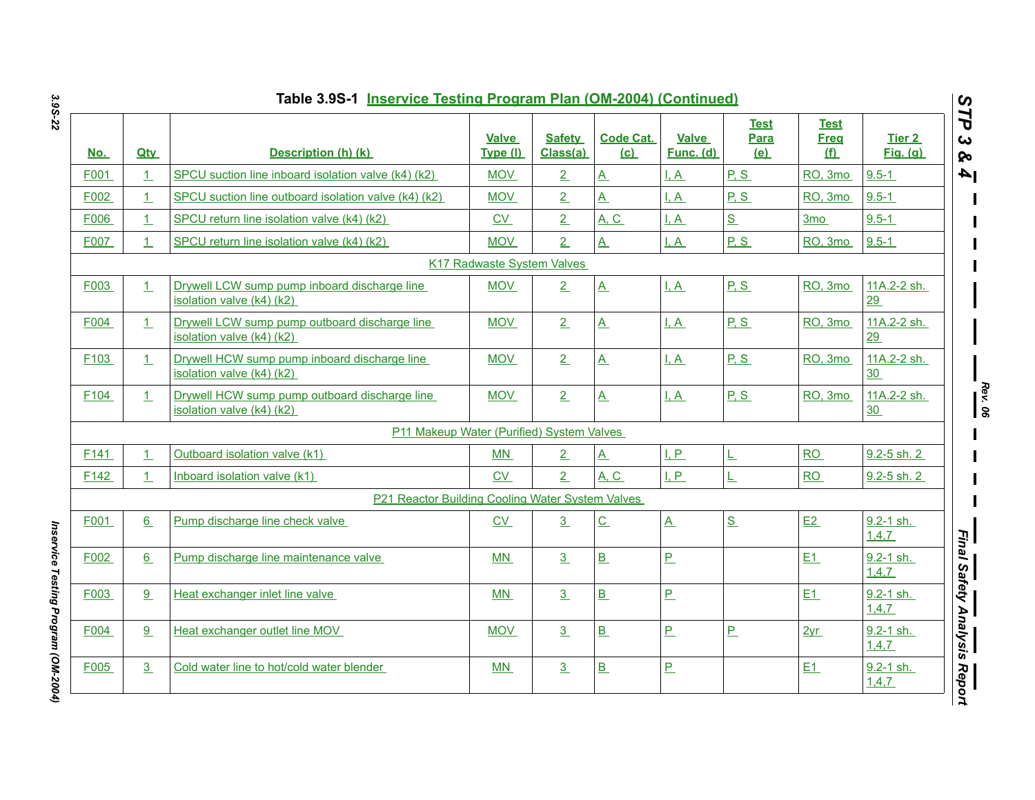|                  |                | Table 3.9S-1 Inservice Testing Program Plan (OM-2004) (Continued)          |                                   |                           |                           |                           |                            |                                          |                                  |
|------------------|----------------|----------------------------------------------------------------------------|-----------------------------------|---------------------------|---------------------------|---------------------------|----------------------------|------------------------------------------|----------------------------------|
| <u>No.</u>       | <b>Qtv</b>     | Description (h) (k)                                                        | <b>Valve</b><br>Type (I)          | <b>Safety</b><br>Class(a) | <b>Code Cat.</b><br>(c) = | <b>Valve</b><br>Func. (d) | <b>Test</b><br>Para<br>(e) | <u>Test</u><br><b>Freg</b><br><u>(f)</u> | <b>Tier 2</b><br><b>Fig.</b> (g) |
| F001             | $\mathbf{1}$   | SPCU suction line inboard isolation valve (k4) (k2)                        | <b>MOV</b>                        | $\overline{2}$            | $\underline{A}$           | I, A                      | P, S                       | RO, 3mo                                  | $9.5 - 1$                        |
| F002             | $\perp$        | SPCU suction line outboard isolation valve (k4) (k2)                       | <b>MOV</b>                        | $\overline{2}$            | $\mathbf{A}$              | I.A                       | P.S                        | RO, 3mo                                  | $9.5 - 1$                        |
| F006             | 1 <sup>1</sup> | SPCU return line isolation valve (k4) (k2)                                 | CV                                | $\overline{2}$            | A, C                      | $\overline{A}$            | $S_{\cdot}$                | 3 <sub>mo</sub>                          | $9.5 - 1$                        |
| F007             | $\mathbf{1}$   | SPCU return line isolation valve (k4) (k2)                                 | <b>MOV</b>                        | $\overline{2}$            | $\overline{\mathsf{A}}$   | I, A                      | P, S                       | RO, 3mo                                  | $9.5 - 1$                        |
|                  |                |                                                                            | <b>K17 Radwaste System Valves</b> |                           |                           |                           |                            |                                          |                                  |
| F003             | $\mathbf{1}$   | Drywell LCW sump pump inboard discharge line<br>isolation valve (k4) (k2)  | <b>MOV</b>                        | 2                         | $\underline{A}$           | $\overline{A}$            | P.S                        | RO, 3mo                                  | 11A.2-2 sh.<br>29                |
| F004             | 1              | Drywell LCW sump pump outboard discharge line<br>isolation valve (k4) (k2) | <b>MOV</b>                        | 2                         | $\mathbf{A}$              | I, A                      | P.S                        | RO, 3mo                                  | 11A.2-2 sh.<br>29                |
| F103             | $\perp$        | Drywell HCW sump pump inboard discharge line<br>isolation valve (k4) (k2)  | <b>MOV</b>                        | $\overline{2}$            | $\underline{A}$           | $\overline{A}$            | P.S                        | RO, 3mo                                  | 11A.2-2 sh.<br>30                |
| F <sub>104</sub> | 1              | Drywell HCW sump pump outboard discharge line<br>isolation valve (k4) (k2) | <b>MOV</b>                        | 2                         | $\underline{A}$           | $\overline{A}$            | P.S                        | RO, 3mo                                  | 11A.2-2 sh.<br>30                |
|                  |                | P11 Makeup Water (Purified) System Valves                                  |                                   |                           |                           |                           |                            |                                          |                                  |
| F141             | $\mathbf{1}$   | Outboard isolation valve (k1)                                              | ΜN                                | $\overline{2}$            | $\underline{A}$           | I, P                      | ᄔ                          | RO                                       | 9.2-5 sh. 2                      |
| F142             | 1              | Inboard isolation valve (k1)                                               | <b>CV</b>                         | $\overline{2}$            | A, C                      | I, P                      | L                          | <b>RO</b>                                | $9.2 - 5$ sh. 2                  |
|                  |                | P21 Reactor Building Cooling Water System Valves                           |                                   |                           |                           |                           |                            |                                          |                                  |
| F001             | 6              | Pump discharge line check valve                                            | CV                                | 3                         | $\underline{\mathsf{C}}$  | $\underline{A}$           | S                          | E2                                       | 9.2-1 sh.<br>1,4,7               |
| F002             | 6              | Pump discharge line maintenance valve                                      | <b>MN</b>                         | $\overline{3}$            | B                         | $P_{-}$                   |                            | E1                                       | $9.2 - 1$ sh.<br>1,4,7           |
| F003             | 9              | Heat exchanger inlet line valve                                            | <b>MN</b>                         | $\overline{3}$            | B                         | $\overline{P}$            |                            | E1                                       | 9.2-1 sh.<br>1,4,7               |
| F004             | 9              | Heat exchanger outlet line MOV                                             | <b>MOV</b>                        | 3 <sub>1</sub>            | B                         | $\overline{P}$            | $\overline{P}$             | 2yr                                      | $9.2 - 1$ sh.<br>1,4,7           |
| F005             | 3              | Cold water line to hot/cold water blender                                  | MN                                | $\overline{3}$            | B                         | $\underline{\mathsf{P}}$  |                            | E1                                       | 9.2-1 sh.<br>1,4,7               |

Inservice Testing Program (OM-2004) *Inservice Testing Program (OM-2004)*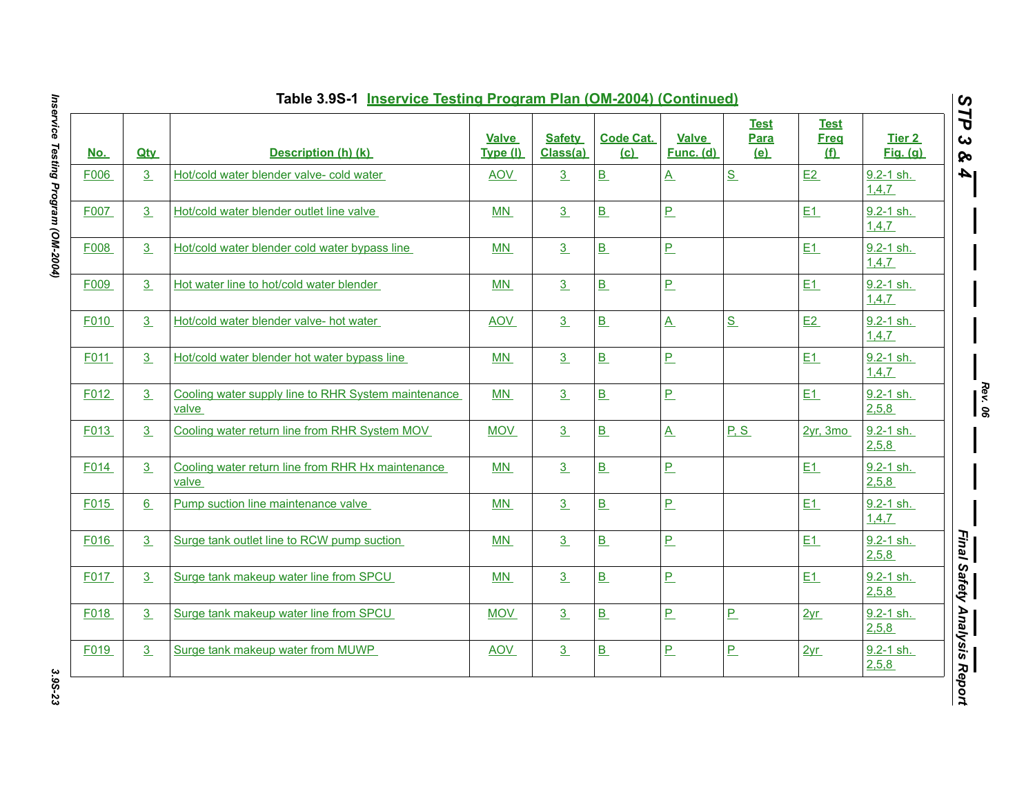| <u>No.</u> | <b>Qty</b> | Description (h) (k)                                          | <b>Valve</b><br>Type (I) | <b>Safety</b><br>Class(a) | <b>Code Cat.</b><br>(c)  | <b>Valve</b><br>Func. (d) | <b>Test</b><br>Para<br><u>(e)</u> | <b>Test</b><br><b>Freq</b><br><u>(f)</u> | Tier 2<br><b>Fig.</b> (g) |
|------------|------------|--------------------------------------------------------------|--------------------------|---------------------------|--------------------------|---------------------------|-----------------------------------|------------------------------------------|---------------------------|
| F006       | 3          | Hot/cold water blender valve- cold water                     | <b>AOV</b>               | $\overline{3}$            | $\underline{\mathbf{B}}$ | $\underline{A}$           | S                                 | E2                                       | 9.2-1 sh.<br>1,4,7        |
| F007       | 3          | Hot/cold water blender outlet line valve                     | MN                       | $\overline{3}$            | $\underline{\mathsf{B}}$ | $\overline{P}$            |                                   | E1                                       | 9.2-1 sh.<br>1,4,7        |
| F008       | 3          | Hot/cold water blender cold water bypass line                | MN                       | 3                         | $\underline{\mathbf{B}}$ | $\overline{P}$            |                                   | E1                                       | 9.2-1 sh.<br>1,4,7        |
| F009       | 3          | Hot water line to hot/cold water blender                     | MN                       | $\overline{3}$            | B                        | $\overline{P}$            |                                   | E1                                       | 9.2-1 sh.<br>1,4,7        |
| F010       | 3          | Hot/cold water blender valve- hot water                      | <b>AOV</b>               | 3                         | $\underline{\mathsf{B}}$ | $\underline{A}$           | $S_{\perp}$                       | E2                                       | $9.2 - 1$ sh.<br>1,4,7    |
| F011       | 3          | Hot/cold water blender hot water bypass line                 | MN                       | 3                         | $\underline{\mathsf{B}}$ | $P_{-}$                   |                                   | E1                                       | $9.2 - 1$ sh.<br>1,4,7    |
| F012       | 3          | Cooling water supply line to RHR System maintenance<br>valve | MN                       | 3                         | B                        | $\underline{\mathsf{P}}$  |                                   | E1                                       | $9.2 - 1$ sh.<br>2,5,8    |
| F013       | 3          | Cooling water return line from RHR System MOV                | <b>MOV</b>               | 3                         | $\underline{\mathsf{B}}$ | $\underline{A}$           | P, S                              | $2yr$ , 3mo                              | 9.2-1 sh.<br>2,5,8        |
| F014       | 3          | Cooling water return line from RHR Hx maintenance<br>valve   | MN                       | 3 <sup>2</sup>            | B                        | $\underline{\mathsf{P}}$  |                                   | <b>E1</b>                                | 9.2-1 sh.<br>2,5,8        |
| F015       | 6          | Pump suction line maintenance valve                          | $MN$                     | 3                         | $\underline{\mathbf{B}}$ | $\overline{P}$            |                                   | E1                                       | $9.2 - 1$ sh.<br>1,4,7    |
| F016       | 3          | Surge tank outlet line to RCW pump suction                   | MN                       | 3                         | B                        | $\overline{P}$            |                                   | E1                                       | $9.2 - 1$ sh.<br>2,5,8    |
| F017       | 3          | Surge tank makeup water line from SPCU                       | MN                       | 3                         | $\underline{\mathbf{B}}$ | $\overline{P}$            |                                   | E1                                       | 9.2-1 sh.<br>2,5,8        |
| F018       | 3          | Surge tank makeup water line from SPCU                       | <b>MOV</b>               | $\overline{3}$            | $\underline{\mathbf{B}}$ | $\overline{P}$            | $\overline{P}$                    | 2yr                                      | 9.2-1 sh.<br>2,5,8        |
| F019       | 3          | Surge tank makeup water from MUWP                            | <b>AOV</b>               | 3                         | B                        | $\overline{P}$            | $\overline{P}$                    | 2yr                                      | $9.2 - 1$ sh.<br>2,5,8    |

Inservice Testing Program (OM-2004) *Inservice Testing Program (OM-2004) 3.9S-23*

3.9S-23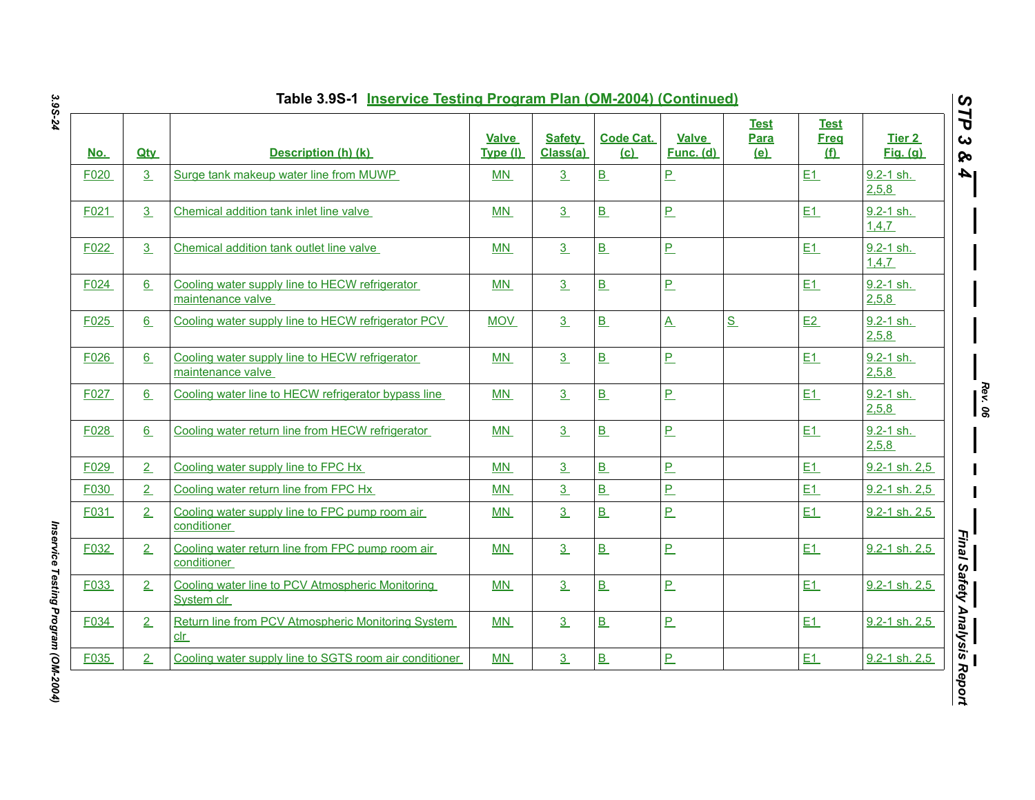| No.  | <b>Qtv</b> | Description (h) (k)                                                   | <b>Valve</b><br>Type (I) | <b>Safety</b><br>Class(a) | <b>Code Cat.</b><br>(c) | <b>Valve</b><br>Func. (d) | <b>Test</b><br><b>Para</b><br>(e) | <b>Test</b><br><b>Freq</b><br>(f) | Tier 2<br><b>Fig.</b> (g) |
|------|------------|-----------------------------------------------------------------------|--------------------------|---------------------------|-------------------------|---------------------------|-----------------------------------|-----------------------------------|---------------------------|
| F020 | 3          | Surge tank makeup water line from MUWP                                | <b>MN</b>                | 3                         | B                       | P                         |                                   | E1                                | $9.2 - 1$ sh.<br>2,5,8    |
| F021 | 3          | Chemical addition tank inlet line valve                               | MN                       | $\overline{3}$            | B                       | P                         |                                   | E1                                | 9.2-1 sh.<br>1,4,7        |
| F022 | 3          | Chemical addition tank outlet line valve                              | MN                       | 3                         | B                       | $\underline{\mathsf{P}}$  |                                   | E1                                | 9.2-1 sh.<br>1,4,7        |
| F024 | 6          | Cooling water supply line to HECW refrigerator<br>maintenance valve   | <b>MN</b>                | $\overline{3}$            | B                       | $\overline{P}$            |                                   | E1                                | $9.2 - 1$ sh.<br>2,5,8    |
| F025 | 6          | Cooling water supply line to HECW refrigerator PCV                    | <b>MOV</b>               | 3                         | B                       | $\underline{A}$           | S                                 | E2                                | $9.2 - 1$ sh.<br>2,5,8    |
| F026 | 6          | Cooling water supply line to HECW refrigerator<br>maintenance valve   | MN                       | 3                         | B                       | <u>P</u>                  |                                   | E1                                | 9.2-1 sh.<br>2,5,8        |
| F027 | 6          | Cooling water line to HECW refrigerator bypass line                   | <b>MN</b>                | 3                         | B                       | $\underline{\mathsf{P}}$  |                                   | E1                                | $9.2 - 1$ sh.<br>2,5,8    |
| F028 | 6          | Cooling water return line from HECW refrigerator                      | <b>MN</b>                | $\overline{3}$            | B                       | $\overline{P}$            |                                   | E1                                | $9.2 - 1$ sh.<br>2,5,8    |
| F029 | 2          | Cooling water supply line to FPC Hx                                   | MN                       | $\overline{3}$            | B                       | P                         |                                   | E1                                | 9.2-1 sh. 2,5             |
| F030 | 2          | Cooling water return line from FPC Hx                                 | <b>MN</b>                | 3                         | B                       | P                         |                                   | E1                                | 9.2-1 sh. 2,5             |
| F031 | 2          | Cooling water supply line to FPC pump room air<br>conditioner         | <b>MN</b>                | 3                         | B                       | $\overline{P}$            |                                   | E1                                | $9.2 - 1$ sh. $2.5$       |
| F032 | 2          | Cooling water return line from FPC pump room air<br>conditioner       | <b>MN</b>                | 3                         | B                       | $\overline{P}$            |                                   | E1                                | 9.2-1 sh. 2,5             |
| F033 | 2          | Cooling water line to PCV Atmospheric Monitoring<br>System clr        | MN                       | 3                         | B                       | P                         |                                   | E1                                | 9.2-1 sh. 2,5             |
| F034 | 2          | Return line from PCV Atmospheric Monitoring System<br>$_{\text{clr}}$ | MN                       | 3                         | B                       | <u>P</u>                  |                                   | E1                                | 9.2-1 sh. 2,5             |
| F035 | 2          | Cooling water supply line to SGTS room air conditioner                | MN                       | $\underline{3}$           | B                       | P                         |                                   | E1                                | 9.2-1 sh. 2,5             |

Inservice Testing Program (OM-2004) *Inservice Testing Program (OM-2004)*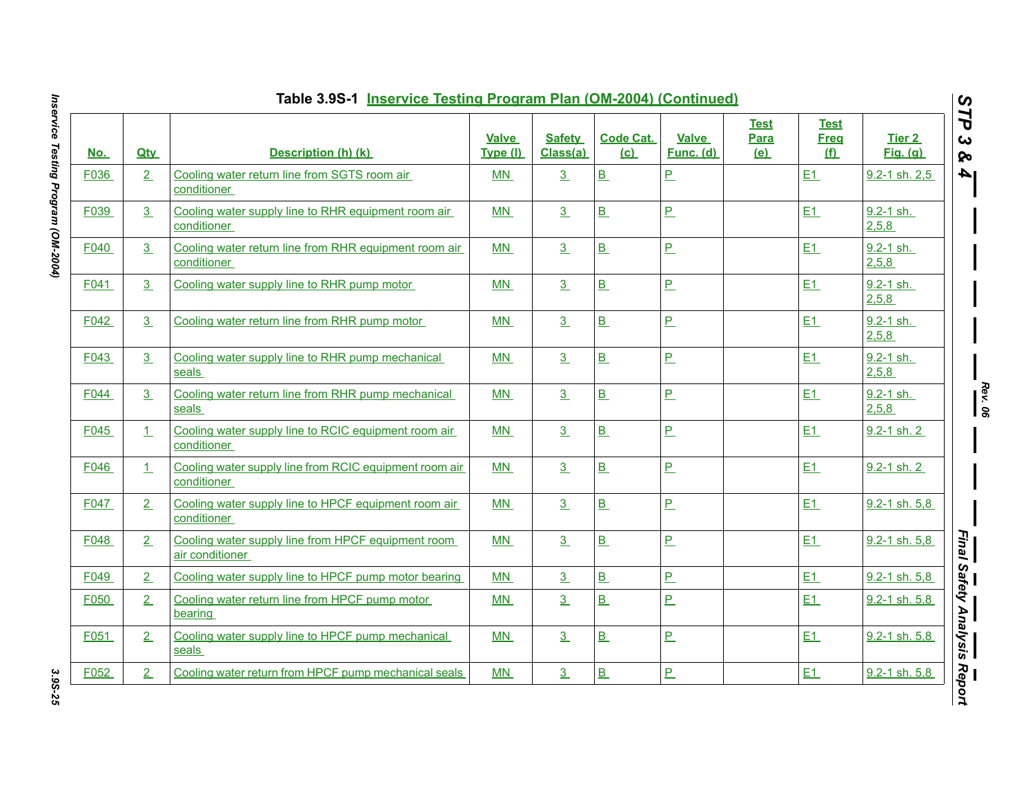|                  | Table 3.9S-1 Inservice Testing Program Plan (OM-2004) (Continued) |                                                                       |                   |                           |                         |                           |                                   |                                          |                           |  |  |  |
|------------------|-------------------------------------------------------------------|-----------------------------------------------------------------------|-------------------|---------------------------|-------------------------|---------------------------|-----------------------------------|------------------------------------------|---------------------------|--|--|--|
| <u>No.</u>       | <b>Qtv</b>                                                        | Description (h) (k)                                                   | Valve<br>Type (I) | <b>Safety</b><br>Class(a) | <b>Code Cat.</b><br>(c) | <b>Valve</b><br>Func. (d) | <b>Test</b><br>Para<br><u>(e)</u> | <b>Test</b><br><b>Freq</b><br><u>(f)</u> | Tier 2<br><b>Fig.</b> (g) |  |  |  |
| F036             | 2                                                                 | Cooling water return line from SGTS room air<br>conditioner           | MN                | 3                         | B                       | $\overline{P}$            |                                   | E1                                       | $9.2 - 1$ sh. $2.5$       |  |  |  |
| F039             | 3                                                                 | Cooling water supply line to RHR equipment room air<br>conditioner    | MN                | 3                         | B                       | $\overline{P}$            |                                   | E1                                       | $9.2 - 1$ sh.<br>2,5,8    |  |  |  |
| F040             | 3                                                                 | Cooling water return line from RHR equipment room air<br>conditioner  | <b>MN</b>         | 3                         | B                       | $\overline{P}$            |                                   | E1                                       | $9.2 - 1$ sh.<br>2,5,8    |  |  |  |
| F041             | 3                                                                 | Cooling water supply line to RHR pump motor                           | MN                | 3                         | B                       | $\overline{P}$            |                                   | E1                                       | $9.2 - 1$ sh.<br>2,5,8    |  |  |  |
| F042             | 3                                                                 | Cooling water return line from RHR pump motor                         | MN                | 3                         | B                       | $\overline{P}$            |                                   | E1                                       | $9.2 - 1$ sh.<br>2,5,8    |  |  |  |
| F043             | 3                                                                 | Cooling water supply line to RHR pump mechanical<br>seals             | MN                | 3                         | B                       | P                         |                                   | E1                                       | 9.2-1 sh.<br>2,5,8        |  |  |  |
| F <sub>044</sub> | 3                                                                 | Cooling water return line from RHR pump mechanical<br>seals           | <b>MN</b>         | 3                         | B                       | $\overline{P}$            |                                   | E1                                       | $9.2 - 1$ sh.<br>2,5,8    |  |  |  |
| F045             | 1                                                                 | Cooling water supply line to RCIC equipment room air<br>conditioner   | <b>MN</b>         | 3                         | B                       | $\overline{P}$            |                                   | E1                                       | $9.2 - 1$ sh. 2           |  |  |  |
| F046             | $\perp$                                                           | Cooling water supply line from RCIC equipment room air<br>conditioner | MN                | 3                         | B                       | P                         |                                   | E1                                       | 9.2-1 sh. 2               |  |  |  |
| F047             | 2                                                                 | Cooling water supply line to HPCF equipment room air<br>conditioner   | <b>MN</b>         | 3                         | B                       | $\overline{P}$            |                                   | E1                                       | $9.2 - 1$ sh. $5.8$       |  |  |  |
| F048             | 2                                                                 | Cooling water supply line from HPCF equipment room<br>air conditioner | <b>MN</b>         | 3                         | B                       | $\overline{P}$            |                                   | E1                                       | 9.2-1 sh. 5,8             |  |  |  |
| F049             | 2                                                                 | Cooling water supply line to HPCF pump motor bearing                  | MN                | 3                         | B                       | P                         |                                   | E1                                       | $9.2 - 1$ sh. 5.8         |  |  |  |
| F050             | 2                                                                 | Cooling water return line from HPCF pump motor<br>bearing             | <b>MN</b>         | 3                         | $\overline{B}$          | $\overline{P}$            |                                   | E1                                       | $9.2 - 1$ sh. 5,8         |  |  |  |
| F051             | 2                                                                 | Cooling water supply line to HPCF pump mechanical<br>seals            | <b>MN</b>         | 3 <sup>2</sup>            | B                       | P                         |                                   | E1                                       | 9.2-1 sh. 5,8             |  |  |  |
| F052             | 2                                                                 | Cooling water return from HPCF pump mechanical seals                  | <b>MN</b>         | 3                         | B                       | $\overline{P}$            |                                   | E1                                       | 9.2-1 sh. 5,8             |  |  |  |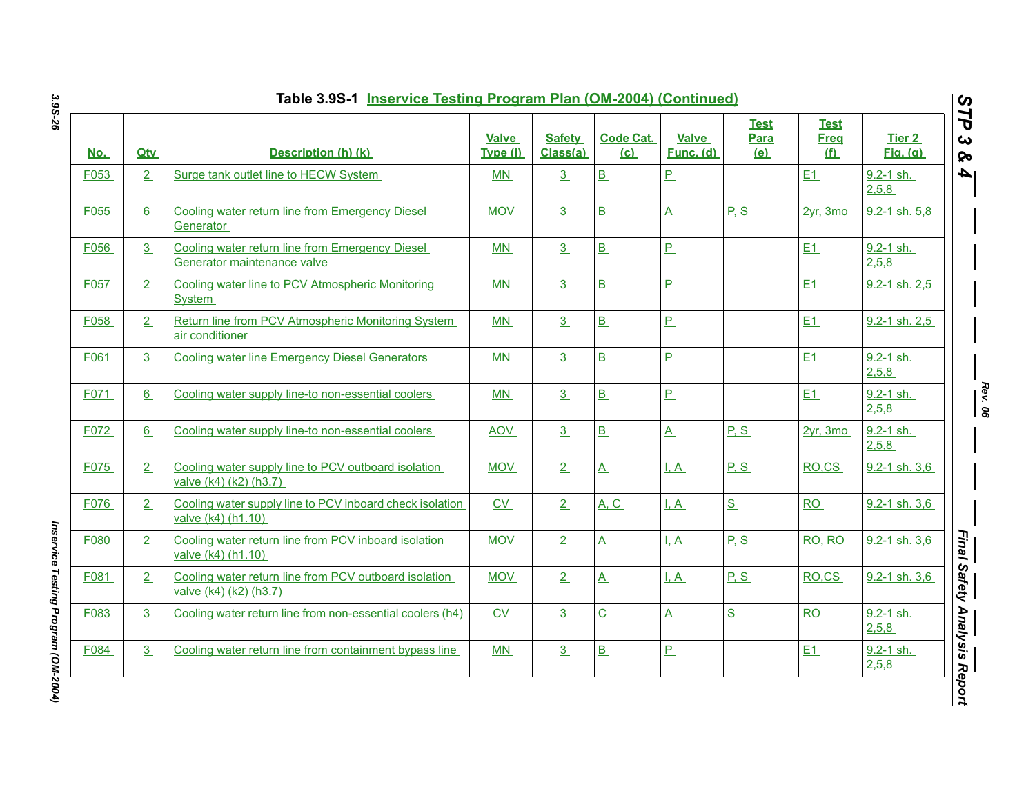| <u>No.</u> | <b>Qtv</b>     | Description (h) (k)                                                             | <b>Valve</b><br>Type (I) | <b>Safety</b><br>Class(a) | <b>Code Cat.</b><br>(c)  | <b>Valve</b><br>Func. (d) | <b>Test</b><br>Para<br>(e) | <b>Test</b><br><b>Freq</b><br>$f(\mathbf{f})$ | <b>Tier 2</b><br><b>Fig.</b> (g) |
|------------|----------------|---------------------------------------------------------------------------------|--------------------------|---------------------------|--------------------------|---------------------------|----------------------------|-----------------------------------------------|----------------------------------|
| F053       | 2              | Surge tank outlet line to HECW System                                           | MN                       | 3                         | $\underline{\mathbf{B}}$ | $\overline{P}$            |                            | E1                                            | $9.2 - 1$ sh.<br>2,5,8           |
| F055       | 6              | Cooling water return line from Emergency Diesel<br>Generator                    | <b>MOV</b>               | 3                         | $\underline{\mathbf{B}}$ | $\underline{A}$           | P.S                        | 2yr, 3mo                                      | $9.2 - 1$ sh. 5,8                |
| F056       | $\overline{3}$ | Cooling water return line from Emergency Diesel<br>Generator maintenance valve  | MN                       | $\overline{3}$            | B                        | $\overline{P}$            |                            | E1                                            | $9.2 - 1$ sh.<br>2,5,8           |
| F057       | 2              | Cooling water line to PCV Atmospheric Monitoring<br><b>System</b>               | MN                       | 3                         | $\underline{\mathbf{B}}$ | $\mathbf{P}$              |                            | E1                                            | 9.2-1 sh. 2,5                    |
| F058       | 2              | Return line from PCV Atmospheric Monitoring System<br>air conditioner           | MN                       | 3                         | B                        | $P_{-}$                   |                            | E1                                            | 9.2-1 sh. 2,5                    |
| F061       | 3              | <b>Cooling water line Emergency Diesel Generators</b>                           | MN                       | 3                         | $\underline{\mathbf{B}}$ | $P_{-}$                   |                            | E1                                            | 9.2-1 sh.<br>2,5,8               |
| F071       | 6              | Cooling water supply line-to non-essential coolers                              | MN                       | $\overline{3}$            | B                        | $P_{-}$                   |                            | E1                                            | $9.2 - 1$ sh.<br>2,5,8           |
| F072       | 6              | Cooling water supply line-to non-essential coolers                              | <b>AOV</b>               | 3                         | B                        | $\overline{A}$            | P, S                       | $2yr$ , 3mo                                   | $9.2 - 1$ sh.<br>2,5,8           |
| F075       | 2              | Cooling water supply line to PCV outboard isolation<br>valve (k4) (k2) (h3.7)   | <b>MOV</b>               | 2                         | $\overline{A}$           | <u>I.A</u>                | P.S                        | RO.CS                                         | 9.2-1 sh. 3.6                    |
| F076       | 2              | Cooling water supply line to PCV inboard check isolation<br>valve (k4) (h1.10)  | $\underline{CV}$         | 2                         | <u>A, C</u>              | $L_A$                     | S                          | RO                                            | $9.2 - 1$ sh. 3,6                |
| F080       | 2              | Cooling water return line from PCV inboard isolation<br>valve (k4) (h1.10)      | <b>MOV</b>               | 2                         | $\underline{A}$          | I, A                      | P.S                        | RO, RO                                        | 9.2-1 sh. 3,6                    |
| F081       | 2              | Cooling water return line from PCV outboard isolation<br>valve (k4) (k2) (h3.7) | <b>MOV</b>               | 2                         | $\underline{A}$          | I, A                      | P.S                        | RO.CS                                         | 9.2-1 sh. 3.6                    |
| F083       | 3              | Cooling water return line from non-essential coolers (h4)                       | $\underline{\text{CV}}$  | 3                         | $\overline{C}$           | $\underline{A}$           | S                          | RO                                            | $9.2 - 1$ sh.<br>2,5,8           |
| F084       | 3              | Cooling water return line from containment bypass line                          | MN                       | 3                         | $\underline{\mathbf{B}}$ | $\overline{P}$            |                            | E1                                            | $9.2 - 1$ sh.<br>2,5,8           |

Inservice Testing Program (OM-2004) *Inservice Testing Program (OM-2004)*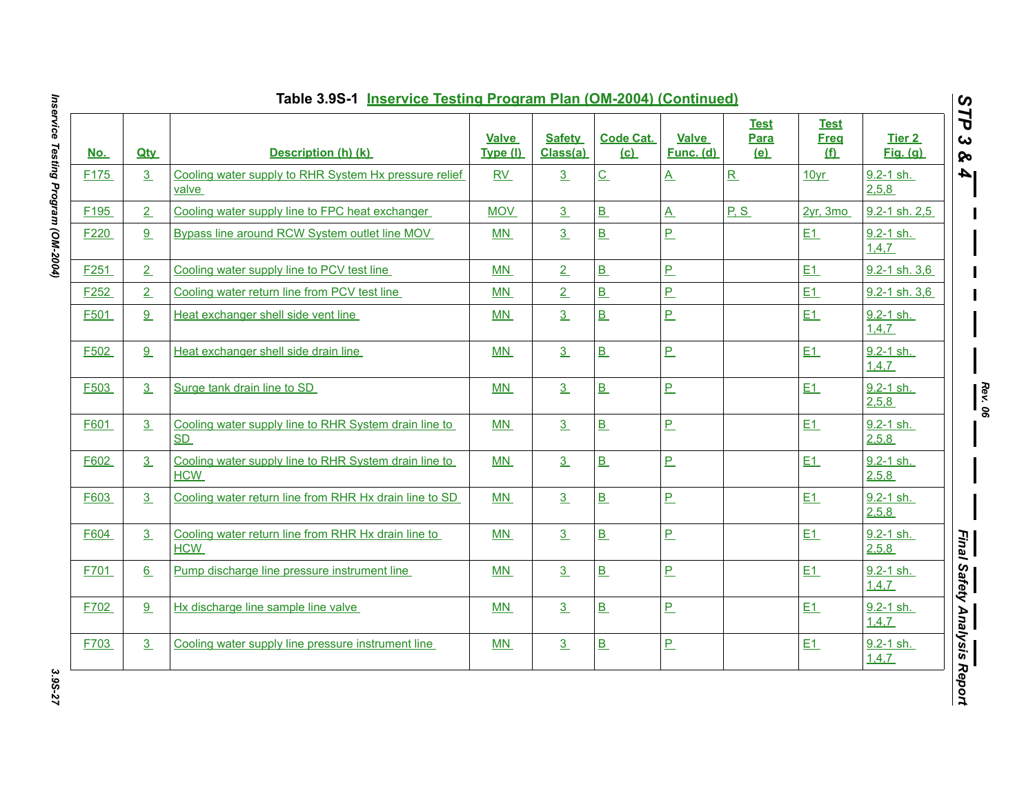| <u>No.</u>       | <b>Qtv</b>     | Description (h) (k)                                                 | <b>Valve</b><br>Type (I) | <b>Safety</b><br>Class(a) | <b>Code Cat.</b><br>(c)  | <b>Valve</b><br>Func. (d) | <b>Test</b><br><b>Para</b><br>(e) | <b>Test</b><br><b>Freq</b><br>(f) | <b>Tier 2</b><br><b>Fig.</b> (g) |
|------------------|----------------|---------------------------------------------------------------------|--------------------------|---------------------------|--------------------------|---------------------------|-----------------------------------|-----------------------------------|----------------------------------|
| F <sub>175</sub> | 3              | Cooling water supply to RHR System Hx pressure relief<br>valve      | RV                       | 3                         | $\underline{\mathsf{C}}$ | $\underline{A}$           | R                                 | 10yr                              | 9.2-1 sh.<br>2,5,8               |
| F <sub>195</sub> | 2              | Cooling water supply line to FPC heat exchanger                     | <b>MOV</b>               | 3                         | $\underline{\mathbf{B}}$ | $\underline{\mathsf{A}}$  | P.S                               | $2yr$ , 3mo                       | 9.2-1 sh. 2,5                    |
| F <sub>220</sub> | 9              | Bypass line around RCW System outlet line MOV                       | M <sub>N</sub>           | 3                         | B                        | $\overline{P}$            |                                   | E1                                | 9.2-1 sh.<br>1,4,7               |
| F <sub>251</sub> | 2              | Cooling water supply line to PCV test line                          | MN                       | 2                         | B                        | $\overline{P}$            |                                   | E1                                | 9.2-1 sh. 3,6                    |
| F252             | 2              | Cooling water return line from PCV test line                        | MN                       | $\overline{2}$            | B                        | $\overline{P}$            |                                   | E1                                | 9.2-1 sh. 3,6                    |
| F501             | 9              | Heat exchanger shell side vent line                                 | MN                       | 3                         | $\underline{\mathbf{B}}$ | <u>P</u>                  |                                   | E1                                | 9.2-1 sh.<br>1,4,7               |
| F502             | 9              | Heat exchanger shell side drain line                                | MN                       | 3                         | B                        | $\underline{\mathsf{P}}$  |                                   | E1                                | 9.2-1 sh.<br>1,4,7               |
| F503             | 3              | Surge tank drain line to SD                                         | MN                       | 3                         | B                        | <u>P</u>                  |                                   | E1                                | $9.2 - 1$ sh.<br>2,5,8           |
| F601             | 3              | Cooling water supply line to RHR System drain line to<br>SD         | MN                       | 3                         | B                        | $\overline{P}$            |                                   | E1                                | 9.2-1 sh.<br>2,5,8               |
| F602             | $\overline{3}$ | Cooling water supply line to RHR System drain line to<br><b>HCW</b> | MN                       | 3                         | $\underline{\mathbf{B}}$ | $\overline{P}$            |                                   | E1                                | $9.2 - 1$ sh.<br>2,5,8           |
| F603             | 3              | Cooling water return line from RHR Hx drain line to SD              | MN                       | 3                         | $\underline{\mathsf{B}}$ | $\overline{\mathsf{P}}$   |                                   | E1                                | 9.2-1 sh.<br>2,5,8               |
| F604             | 3              | Cooling water return line from RHR Hx drain line to<br><b>HCW</b>   | MN                       | 3                         | $\underline{\mathbf{B}}$ | $\underline{\mathsf{P}}$  |                                   | E1                                | $9.2 - 1$ sh.<br>2,5,8           |
| F701             | 6              | Pump discharge line pressure instrument line                        | MN                       | 3                         | $\underline{\mathsf{B}}$ | <u>P</u>                  |                                   | E1                                | $9.2 - 1$ sh.<br>1,4,7           |
| F702             | 9              | Hx discharge line sample line valve                                 | MN                       | 3                         | B                        | $\overline{P}$            |                                   | E1                                | $9.2 - 1$ sh.<br>1,4,7           |
| F703             | 3              | Cooling water supply line pressure instrument line                  | MN                       | 3 <sub>2</sub>            | B                        | $\underline{\mathsf{P}}$  |                                   | E1                                | 9.2-1 sh.<br>1,4,7               |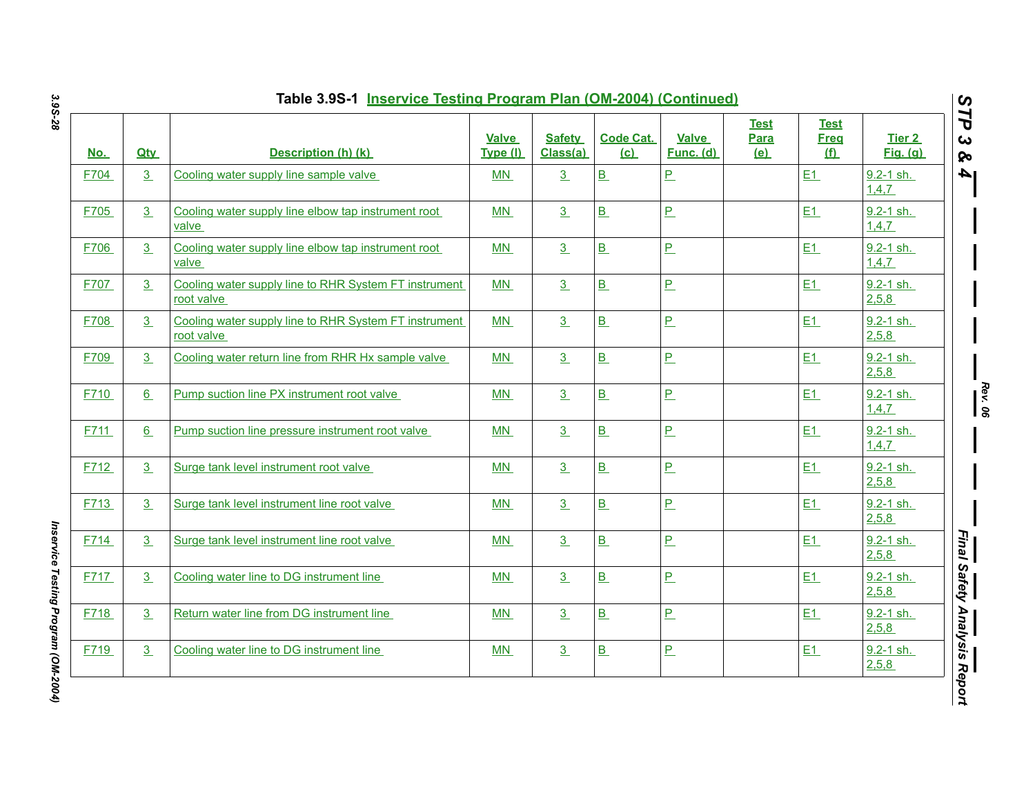| <u>No.</u> | <b>Qtv</b> | Description (h) (k)                                                 | <b>Valve</b><br>Type (I) | <b>Safety</b><br>Class(a) | <b>Code Cat.</b><br>(c)  | <b>Valve</b><br>Func. (d) | <b>Test</b><br>Para<br><u>(e)</u> | <b>Test</b><br><b>Freq</b><br>$f(\mathbf{f})$ | <b>Tier 2</b><br><b>Fig.</b> (g) |
|------------|------------|---------------------------------------------------------------------|--------------------------|---------------------------|--------------------------|---------------------------|-----------------------------------|-----------------------------------------------|----------------------------------|
| F704       | 3          | Cooling water supply line sample valve                              | MN                       | 3                         | $\underline{\mathsf{B}}$ | $\overline{P}$            |                                   | E1                                            | 9.2-1 sh.<br>1,4,7               |
| F705       | 3          | Cooling water supply line elbow tap instrument root<br>valve        | MN                       | $\overline{3}$            | $\underline{\mathsf{B}}$ | $\overline{P}$            |                                   | E1                                            | 9.2-1 sh.<br>1,4,7               |
| F706       | 3          | Cooling water supply line elbow tap instrument root<br>valve        | MN                       | 3                         | $\underline{\mathbf{B}}$ | $\overline{P}$            |                                   | E1                                            | 9.2-1 sh.<br>1,4,7               |
| F707       | 3          | Cooling water supply line to RHR System FT instrument<br>root valve | MN                       | 3                         | $\underline{\mathbf{B}}$ | P                         |                                   | E1                                            | 9.2-1 sh.<br>2,5,8               |
| F708       | 3          | Cooling water supply line to RHR System FT instrument<br>root valve | <b>MN</b>                | 3                         | B                        | P                         |                                   | E1                                            | $9.2 - 1$ sh.<br>2,5,8           |
| F709       | 3          | Cooling water return line from RHR Hx sample valve                  | MN                       | 3                         | $\underline{\mathbf{B}}$ | $\mathbf{P}$              |                                   | E1                                            | 9.2-1 sh.<br>2,5,8               |
| F710       | 6          | Pump suction line PX instrument root valve                          | MN                       | 3                         | $\underline{\mathsf{B}}$ | P                         |                                   | E1                                            | $9.2 - 1$ sh.<br>1,4,7           |
| F711       | 6          | Pump suction line pressure instrument root valve                    | MN                       | 3                         | B                        | P                         |                                   | E1                                            | 9.2-1 sh.<br>1,4,7               |
| F712       | 3          | Surge tank level instrument root valve                              | MN                       | 3                         | B                        | P                         |                                   | E1                                            | 9.2-1 sh.<br>2,5,8               |
| F713       | 3          | Surge tank level instrument line root valve                         | MN                       | 3                         | $\underline{\mathsf{B}}$ | P                         |                                   | E1                                            | $9.2 - 1$ sh.<br>2,5,8           |
| F714       | 3          | Surge tank level instrument line root valve                         | <b>MN</b>                | 3                         | $\underline{\mathbf{B}}$ | $\mathbf{P}$              |                                   | E1                                            | 9.2-1 sh.<br>2,5,8               |
| F717       | 3          | Cooling water line to DG instrument line                            | MN                       | 3                         | $\underline{\mathbf{B}}$ | P                         |                                   | E1                                            | 9.2-1 sh.<br>2,5,8               |
| F718       | 3          | Return water line from DG instrument line                           | MN                       | 3                         | $\underline{\mathsf{B}}$ | P                         |                                   | E1                                            | 9.2-1 sh.<br>2,5,8               |
| F719       | 3          | Cooling water line to DG instrument line                            | MN                       | $\overline{3}$            | $\underline{\mathsf{B}}$ | $\overline{P}$            |                                   | E1                                            | 9.2-1 sh.<br>2,5,8               |

Inservice Testing Program (OM-2004) *Inservice Testing Program (OM-2004)*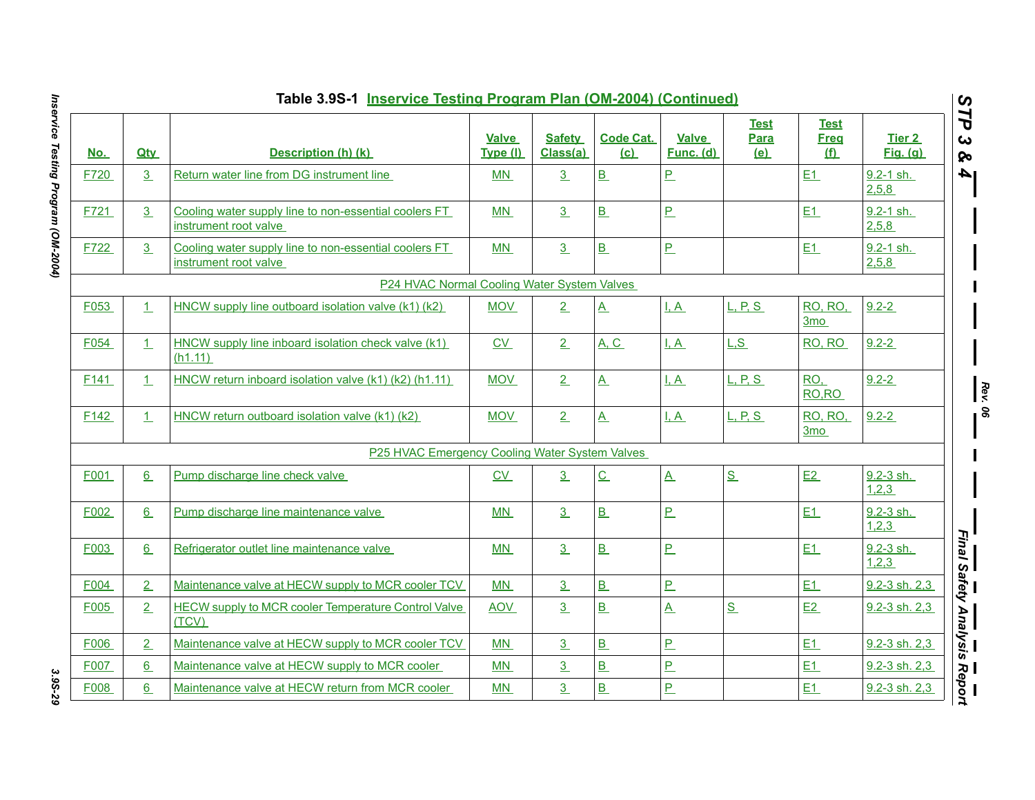|                  |            | Table 3.9S-1 Inservice Testing Program Plan (OM-2004) (Continued)              |                          |                           |                         |                           |                            |                                          |                           | $\boldsymbol{\omega}$ |
|------------------|------------|--------------------------------------------------------------------------------|--------------------------|---------------------------|-------------------------|---------------------------|----------------------------|------------------------------------------|---------------------------|-----------------------|
| <u>No.</u>       | <b>Qtv</b> | Description (h) (k)                                                            | <b>Valve</b><br>Type (I) | <b>Safety</b><br>Class(a) | <b>Code Cat.</b><br>(c) | <b>Valve</b><br>Func. (d) | <b>Test</b><br>Para<br>(e) | <b>Test</b><br><b>Freq</b><br><u>(f)</u> | Tier 2<br><b>Fig.</b> (g) | 7P<br>ట<br><b>Qo</b>  |
| F720             | 3          | Return water line from DG instrument line                                      | MN                       | 3                         | B                       | P                         |                            | E1                                       | $9.2 - 1$ sh.<br>2,5,8    | 4                     |
| F721             | 3          | Cooling water supply line to non-essential coolers FT<br>instrument root valve | MN                       | 3                         | B                       | $\overline{P}$            |                            | E1                                       | 9.2-1 sh.<br>2,5,8        |                       |
| F722             | 3          | Cooling water supply line to non-essential coolers FT<br>instrument root valve | MN                       | 3                         | B                       | P                         |                            | E1                                       | 9.2-1 sh.<br>2,5,8        |                       |
|                  |            | P24 HVAC Normal Cooling Water System Valves                                    |                          |                           |                         |                           |                            |                                          |                           |                       |
| F053             | $\perp$    | HNCW supply line outboard isolation valve (k1) (k2)                            | <b>MOV</b>               | 2                         | $\underline{A}$         | <u>I.A</u>                | L, P, S                    | <b>RO, RO.</b><br>3mo                    | $9.2 - 2$                 |                       |
| F054             | 1          | HNCW supply line inboard isolation check valve (k1)<br>(h1.11)                 | CV                       | 2                         | A, C                    | I, A                      | L.S                        | RO, RO                                   | $9.2 - 2$                 |                       |
| F <sub>141</sub> | 1          | HNCW return inboard isolation valve (k1) (k2) (h1.11)                          | <b>MOV</b>               | 2                         | $\mathbf{A}$            | $\overline{A}$            | L, P, S                    | RO,<br>RO, RO                            | $9.2 - 2$                 | $\frac{Re}{\sqrt{2}}$ |
| F <sub>142</sub> | 1          | HNCW return outboard isolation valve (k1) (k2)                                 | <b>MOV</b>               | 2                         | $\mathbf{A}$            | <u>I.A</u>                | L, P, S                    | <b>RO, RO,</b><br>3mo                    | $9.2 - 2$                 | ສ                     |
|                  |            | P25 HVAC Emergency Cooling Water System Valves                                 |                          |                           |                         |                           |                            |                                          |                           |                       |
| F001             | 6          | Pump discharge line check valve                                                | C <sub>V</sub>           | 3                         | $\overline{C}$          | $\overline{A}$            | S                          | E2                                       | 9.2-3 sh.<br>1,2,3        |                       |
| F002             | 6          | Pump discharge line maintenance valve                                          | <b>MN</b>                | $\overline{3}$            | B                       | $\overline{P}$            |                            | E1                                       | 9.2-3 sh.<br>1,2,3        |                       |
| F003             | 6          | Refrigerator outlet line maintenance valve                                     | <b>MN</b>                | 3                         | B                       | $\overline{P}$            |                            | E1                                       | 9.2-3 sh.<br>1,2,3        |                       |
| F004             | 2          | Maintenance valve at HECW supply to MCR cooler TCV                             | MN                       | 3 <sub>1</sub>            | B                       | P                         |                            | E1                                       | 9.2-3 sh. 2,3             |                       |
| F005             | 2          | <b>HECW supply to MCR cooler Temperature Control Valve</b><br>(TCV)            | <b>AOV</b>               | $\overline{3}$            | B                       | $\underline{A}$           | S                          | E2                                       | $9.2 - 3$ sh. $2,3$       | Final Safety Analysis |
| F006             | 2          | Maintenance valve at HECW supply to MCR cooler TCV                             | MN                       | 3 <sub>1</sub>            | B                       | $\overline{P}$            |                            | E1                                       | 9.2-3 sh. 2.3             |                       |
| F007             | 6          | Maintenance valve at HECW supply to MCR cooler                                 | MN                       | $\overline{3}$            | B                       | $\overline{P}$            |                            | E1                                       | 9.2-3 sh. 2,3             |                       |
| F008             | 6          | Maintenance valve at HECW return from MCR cooler                               | <b>MN</b>                | $\overline{3}$            | $\overline{B}$          | $\overline{P}$            |                            | E1                                       | $9.2 - 3$ sh. $2,3$       | = =<br>Report         |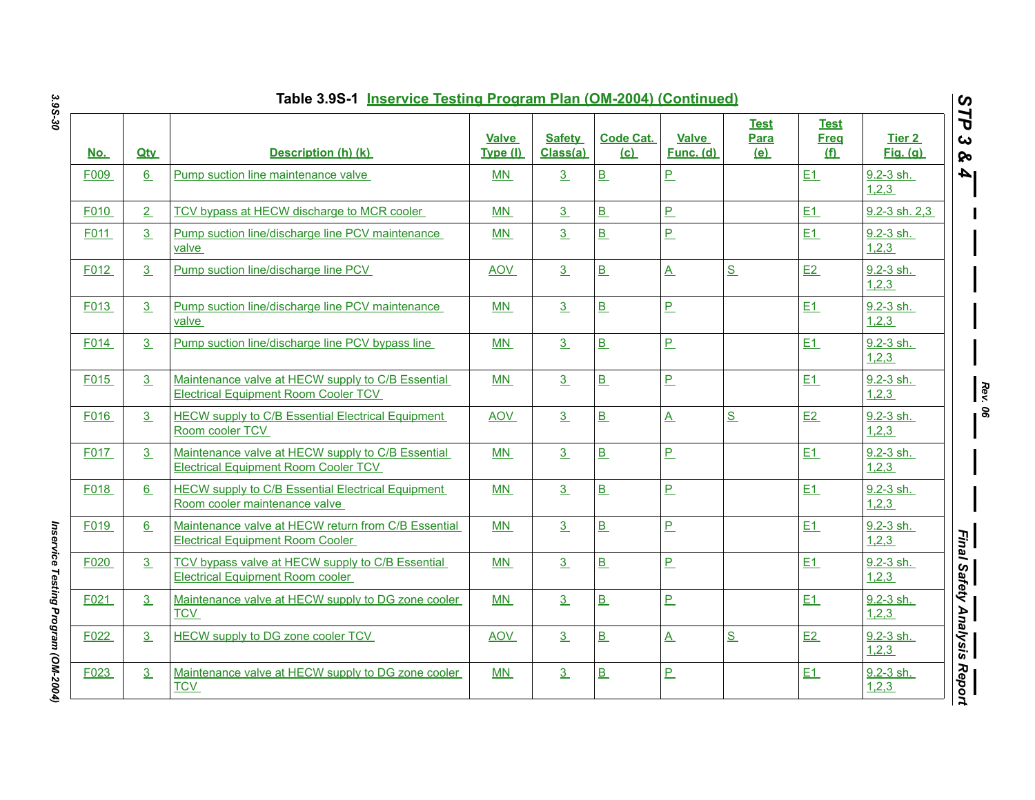|            |            | Table 3.9S-1 Inservice Testing Program Plan (OM-2004) (Continued)                                |                   |                           |                         |                           |                            |                                   |                           | $\boldsymbol{\omega}$              |
|------------|------------|--------------------------------------------------------------------------------------------------|-------------------|---------------------------|-------------------------|---------------------------|----------------------------|-----------------------------------|---------------------------|------------------------------------|
| <u>No.</u> | <b>Qty</b> | Description (h) (k)                                                                              | Valve<br>Type (I) | <b>Safety</b><br>Class(a) | <b>Code Cat.</b><br>(c) | <b>Valve</b><br>Func. (d) | <b>Test</b><br>Para<br>(e) | Test<br><b>Freq</b><br><u>(f)</u> | Tier 2<br><u>Fig. (g)</u> | ТP<br>$\boldsymbol{\omega}$<br>ନ୍ତ |
| F009       | 6          | Pump suction line maintenance valve                                                              | MN                | 3                         | B                       | $\overline{P}$            |                            | E1                                | 9.2-3 sh.<br>1,2,3        | l 4                                |
| F010       | 2          | TCV bypass at HECW discharge to MCR cooler                                                       | <b>MN</b>         | 3                         | B                       | P                         |                            | E1                                | 9.2-3 sh. 2,3             |                                    |
| F011       | 3          | Pump suction line/discharge line PCV maintenance<br>valve                                        | <b>MN</b>         | 3                         | B                       | P                         |                            | E1                                | 9.2-3 sh.<br>1,2,3        |                                    |
| F012       | 3          | Pump suction line/discharge line PCV                                                             | <b>AOV</b>        | 3                         | B                       | $\mathbf{A}$              | S                          | E2                                | $9.2 - 3$ sh.<br>1,2,3    |                                    |
| F013       | 3          | Pump suction line/discharge line PCV maintenance<br>valve                                        | MN                | 3                         | B                       | $\overline{P}$            |                            | E1                                | 9.2-3 sh.<br>1,2,3        |                                    |
| F014       | 3          | Pump suction line/discharge line PCV bypass line                                                 | <b>MN</b>         | 3                         | B                       | <u>P</u>                  |                            | E1                                | $9.2 - 3$ sh.<br>1,2,3    |                                    |
| F015       | 3          | Maintenance valve at HECW supply to C/B Essential<br><b>Electrical Equipment Room Cooler TCV</b> | <b>MN</b>         | 3                         | B                       | $\overline{P}$            |                            | E1                                | 9.2-3 sh.<br>1,2,3        | $\mathbb{R}$                       |
| F016       | 3          | <b>HECW supply to C/B Essential Electrical Equipment</b><br>Room cooler TCV                      | <b>AOV</b>        | 3                         | B                       | $\overline{\mathbf{A}}$   | S                          | E2                                | 9.2-3 sh.<br>1,2,3        | ၊ နွ                               |
| F017       | 3          | Maintenance valve at HECW supply to C/B Essential<br><b>Electrical Equipment Room Cooler TCV</b> | MN                | 3                         | B                       | P                         |                            | E1                                | 9.2-3 sh.<br>1,2,3        |                                    |
| F018       | 6          | <b>HECW supply to C/B Essential Electrical Equipment</b><br>Room cooler maintenance valve        | <b>MN</b>         | 3                         | B                       | $\overline{P}$            |                            | E1                                | $9.2 - 3$ sh.<br>1,2,3    |                                    |
| F019       | 6          | Maintenance valve at HECW return from C/B Essential<br><b>Electrical Equipment Room Cooler</b>   | MN                | 3                         | B                       | P                         |                            | E1                                | $9.2 - 3$ sh.<br>1,2,3    |                                    |
| F020       | 3          | TCV bypass valve at HECW supply to C/B Essential<br><b>Electrical Equipment Room cooler</b>      | <b>MN</b>         | 3                         | B                       | P                         |                            | E1                                | $9.2 - 3$ sh.<br>1,2,3    |                                    |
| F021       | 3          | Maintenance valve at HECW supply to DG zone cooler<br><b>TCV</b>                                 | <b>MN</b>         | 3                         | B                       | $\overline{P}$            |                            | E1                                | 9.2-3 sh.<br>1,2,3        | Final Safety Analysis              |
| F022       | 3          | <b>HECW supply to DG zone cooler TCV</b>                                                         | <b>AOV</b>        | 3 <sub>2</sub>            | B                       | $\underline{A}$           | S                          | E2                                | 9.2-3 sh.<br>1,2,3        |                                    |
| F023       | 3          | Maintenance valve at HECW supply to DG zone cooler<br><b>TCV</b>                                 | MN                | 3                         | B                       | $P_{-}$                   |                            | E1                                | 9.2-3 sh.<br>1,2,3        | Report                             |

Inservice Testing Program (OM-2004) *Inservice Testing Program (OM-2004)*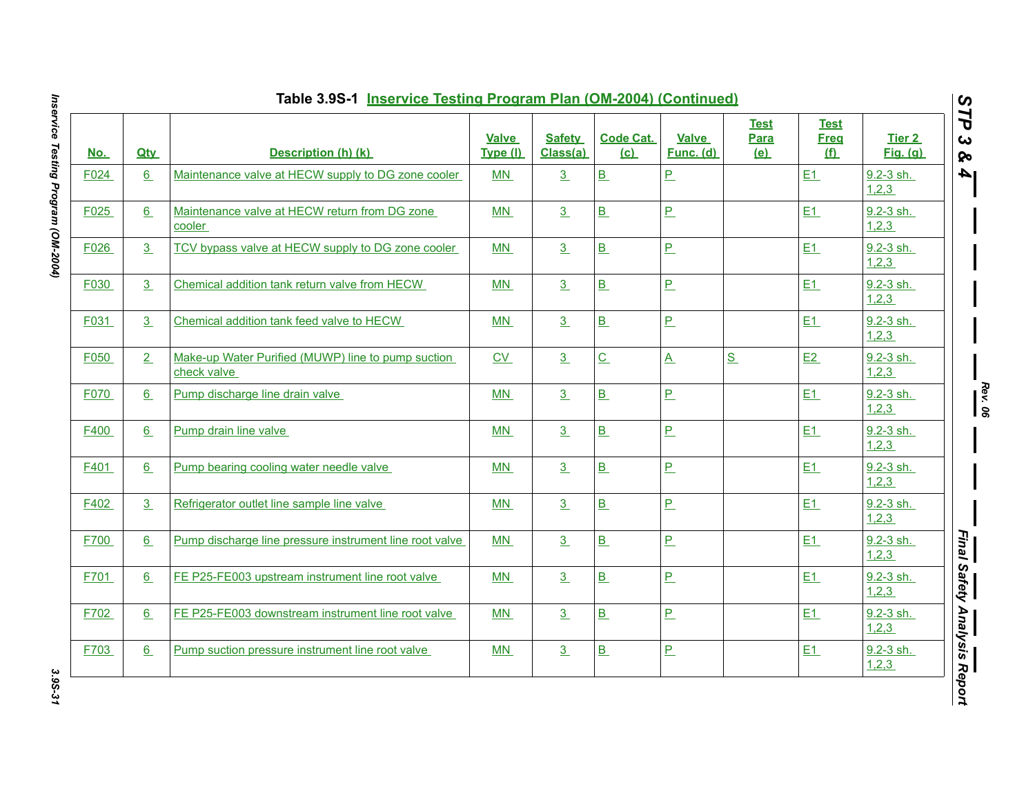| <u>No.</u> | <b>Qtv</b> | Description (h) (k)                                               | <b>Valve</b><br>Type (I) | <b>Safety</b><br>Class(a) | <b>Code Cat.</b><br>(c)  | <b>Valve</b><br>Func. (d) | <b>Test</b><br>Para<br><u>(e)</u> | <b>Test</b><br><b>Freg</b><br>f | Tier <sub>2</sub><br>Fig. (q) |
|------------|------------|-------------------------------------------------------------------|--------------------------|---------------------------|--------------------------|---------------------------|-----------------------------------|---------------------------------|-------------------------------|
| F024       | 6          | Maintenance valve at HECW supply to DG zone cooler                | MN                       | 3                         | B                        | $\overline{P}$            |                                   | E1                              | 9.2-3 sh.<br>1,2,3            |
| F025       | 6          | Maintenance valve at HECW return from DG zone<br>cooler           | MN                       | 3                         | B                        | $\overline{P}$            |                                   | E1                              | 9.2-3 sh.<br>1,2,3            |
| F026       | 3          | TCV bypass valve at HECW supply to DG zone cooler                 | MN                       | 3                         | $\underline{\mathbf{B}}$ | $\mathbf{P}$              |                                   | E1                              | $9.2 - 3$ sh.<br>1,2,3        |
| F030       | 3          | Chemical addition tank return valve from HECW                     | MN                       | 3                         | $\underline{\mathsf{B}}$ | $\underline{\mathsf{P}}$  |                                   | E1                              | $9.2 - 3$ sh.<br>1,2,3        |
| F031       | 3          | Chemical addition tank feed valve to HECW                         | MN                       | 3                         | $\underline{\mathsf{B}}$ | $\underline{\mathsf{P}}$  |                                   | E1                              | $9.2 - 3$ sh.<br>1,2,3        |
| F050       | 2          | Make-up Water Purified (MUWP) line to pump suction<br>check valve | CV                       | 3 <sub>2</sub>            | $\underline{C}$          | $\underline{A}$           | S                                 | E2                              | $9.2 - 3$ sh.<br>1,2,3        |
| F070       | 6          | Pump discharge line drain valve                                   | MN                       | 3                         | B                        | $\underline{\mathsf{P}}$  |                                   | E1                              | 9.2-3 sh.<br>1,2,3            |
| F400       | 6          | Pump drain line valve                                             | MN                       | 3                         | B                        | $P_{-}$                   |                                   | E1                              | 9.2-3 sh.<br>1,2,3            |
| F401       | 6          | Pump bearing cooling water needle valve                           | MN                       | 3                         | B                        | $\underline{\mathsf{P}}$  |                                   | E1                              | 9.2-3 sh.<br>1,2,3            |
| F402       | 3          | Refrigerator outlet line sample line valve                        | MN                       | 3                         | B                        | $\overline{P}$            |                                   | E1                              | $9.2 - 3$ sh.<br>1,2,3        |
| F700       | 6          | Pump discharge line pressure instrument line root valve           | MN                       | 3                         | B                        | $\overline{P}$            |                                   | E1                              | 9.2-3 sh.<br>1,2,3            |
| F701       | 6          | FE P25-FE003 upstream instrument line root valve                  | MN                       | 3                         | B                        | $\overline{P}$            |                                   | E1                              | 9.2-3 sh.<br>1,2,3            |
| F702       | 6          | FE P25-FE003 downstream instrument line root valve                | MN                       | 3                         | B                        | $\overline{P}$            |                                   | E1                              | 9.2-3 sh.<br>1,2,3            |
| F703       | 6          | Pump suction pressure instrument line root valve                  | MN                       | 3                         | B                        | $\overline{P}$            |                                   | E1                              | $9.2 - 3$ sh.<br>1,2,3        |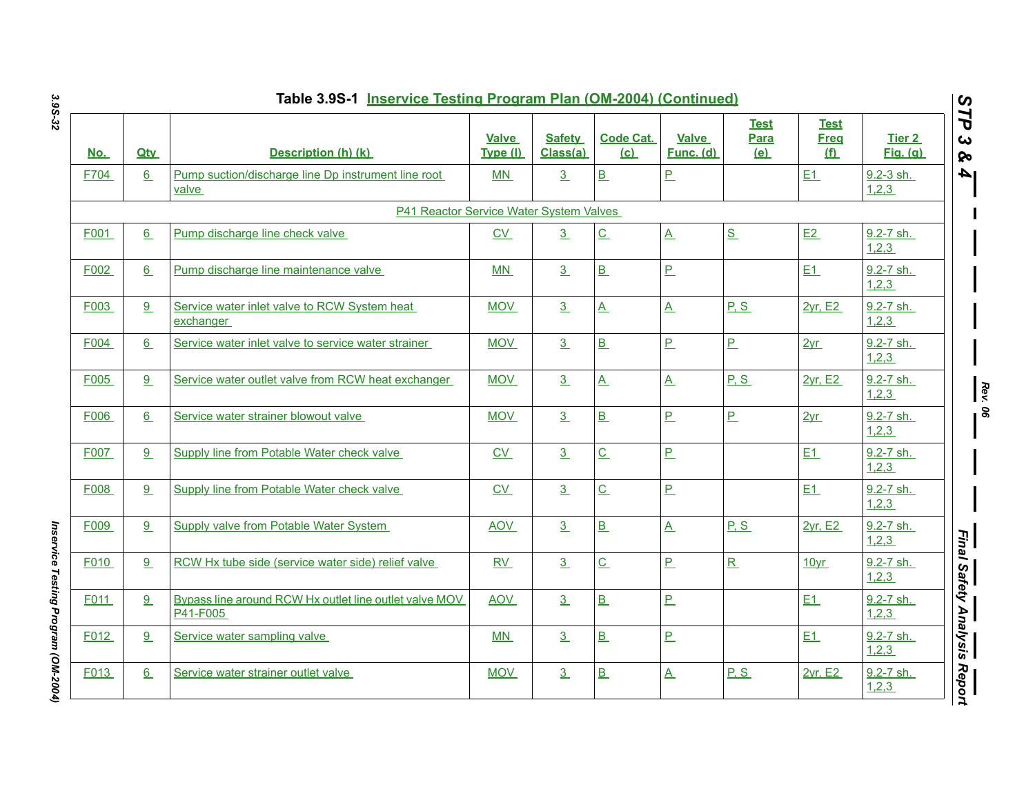| Table 3.9S-1 Inservice Testing Program Plan (OM-2004) (Continued) |                 |                                                                    |                          |                           |                          |                           |                                   |                                   |                           |  |  |
|-------------------------------------------------------------------|-----------------|--------------------------------------------------------------------|--------------------------|---------------------------|--------------------------|---------------------------|-----------------------------------|-----------------------------------|---------------------------|--|--|
| <u>No.</u>                                                        | <b>Qtv</b>      | Description (h) (k)                                                | <b>Valve</b><br>Type (I) | <b>Safety</b><br>Class(a) | <b>Code Cat.</b><br>(c)  | Valve<br><b>Func. (d)</b> | <b>Test</b><br>Para<br><u>(e)</u> | Test<br><b>Freq</b><br><u>(f)</u> | Tier 2<br><b>Fig.</b> (g) |  |  |
| F704                                                              | 6               | Pump suction/discharge line Dp instrument line root<br>valve       | MN                       | 3                         | B                        | P                         |                                   | E1                                | 9.2-3 sh.<br>1,2,3        |  |  |
|                                                                   |                 | P41 Reactor Service Water System Valves                            |                          |                           |                          |                           |                                   |                                   |                           |  |  |
| F001                                                              | 6               | Pump discharge line check valve                                    | $\underline{\text{CV}}$  | 3                         | $\underline{\mathsf{C}}$ | $\underline{A}$           | S                                 | E2                                | 9.2-7 sh.<br>1,2,3        |  |  |
| F002                                                              | $6\overline{6}$ | Pump discharge line maintenance valve                              | <b>MN</b>                | 3                         | B                        | P                         |                                   | E1                                | 9.2-7 sh.<br>1,2,3        |  |  |
| F003                                                              | 9               | Service water inlet valve to RCW System heat<br>exchanger          | <b>MOV</b>               | 3                         | $\underline{A}$          | $\underline{\mathsf{A}}$  | P.S                               | 2yr, E2                           | $9.2 - 7$ sh.<br>1,2,3    |  |  |
| F004                                                              | 6               | Service water inlet valve to service water strainer                | <b>MOV</b>               | 3                         | B                        | $\overline{P}$            | $\overline{P}$                    | 2yr                               | 9.2-7 sh.<br>1,2,3        |  |  |
| F005                                                              | 9               | Service water outlet valve from RCW heat exchanger                 | <b>MOV</b>               | 3                         | $\overline{A}$           | $\mathbf{A}$              | P.S                               | 2yr, E2                           | 9.2-7 sh.<br>1,2,3        |  |  |
| F006                                                              | 6               | Service water strainer blowout valve                               | <b>MOV</b>               | 3                         | $\underline{\mathbf{B}}$ | P                         | $\overline{P}$                    | 2yr                               | 9.2-7 sh.<br>1,2,3        |  |  |
| F007                                                              | 9               | Supply line from Potable Water check valve                         | $\underline{CV}$         | 3                         | $\underline{\mathsf{C}}$ | $P_{-}$                   |                                   | E1                                | 9.2-7 sh.<br>1,2,3        |  |  |
| F008                                                              | 9               | Supply line from Potable Water check valve                         | CV                       | 3                         | $\underline{C}$          | $\overline{P}$            |                                   | E1                                | 9.2-7 sh.<br>1,2,3        |  |  |
| F009                                                              | 9               | <b>Supply valve from Potable Water System</b>                      | <b>AOV</b>               | 3                         | $\underline{\mathbf{B}}$ | $\underline{A}$           | P.S                               | 2yr, E2                           | 9.2-7 sh.<br>1,2,3        |  |  |
| F010                                                              | 9               | RCW Hx tube side (service water side) relief valve                 | RV                       | 3                         | $\underline{\mathbf{C}}$ | $P_{-}$                   | $\overline{\mathbf{R}}$           | 10yr                              | 9.2-7 sh.<br>1,2,3        |  |  |
| F011                                                              | 9               | Bypass line around RCW Hx outlet line outlet valve MOV<br>P41-F005 | <b>AOV</b>               | 3                         | B                        | P                         |                                   | E1                                | 9.2-7 sh.<br>1,2,3        |  |  |
| F012                                                              | 9               | Service water sampling valve                                       | MN                       | 3                         | $\underline{\mathbf{B}}$ | P                         |                                   | E <sub>1</sub>                    | 9.2-7 sh.<br>1,2,3        |  |  |
| F013                                                              | $6\overline{6}$ | Service water strainer outlet valve                                | <b>MOV</b>               | 3                         | B                        | $\underline{A}$           | P.S                               | 2yr, E2                           | 9.2-7 sh.<br>1,2,3        |  |  |

Inservice Testing Program (OM-2004) *Inservice Testing Program (OM-2004)*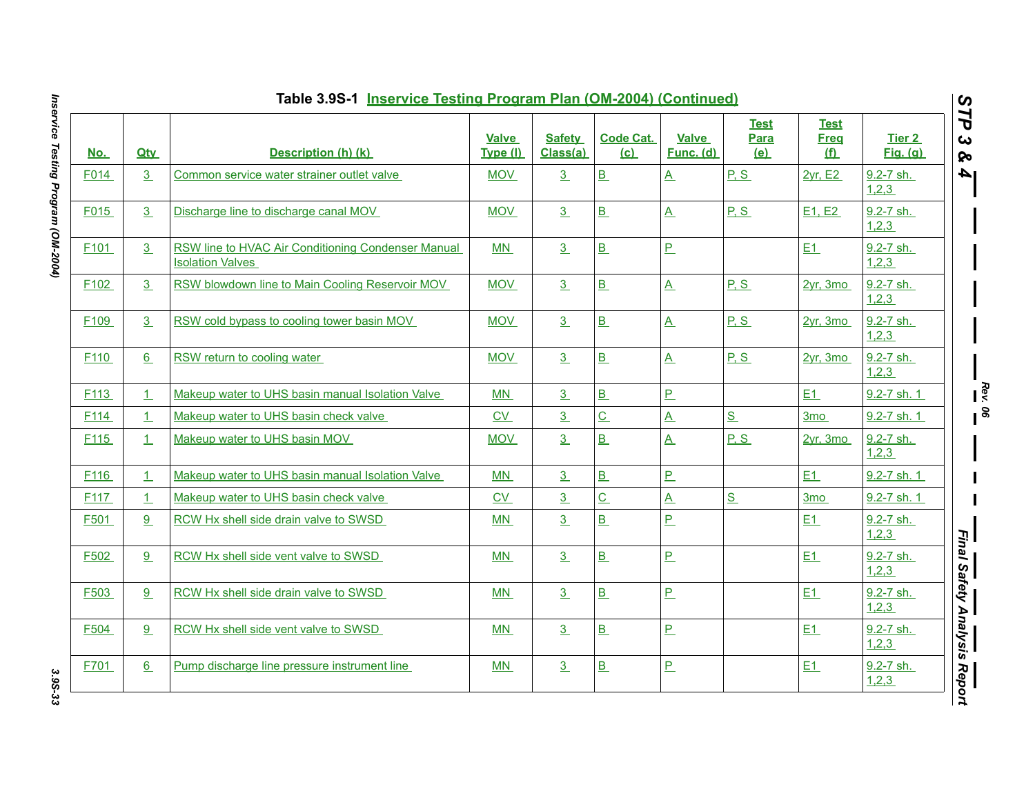|                  | Table 3.9S-1 Inservice Testing Program Plan (OM-2004) (Continued) |                                                                               |                          |                           |                          |                           |                            |                                 |                           |  |  |  |
|------------------|-------------------------------------------------------------------|-------------------------------------------------------------------------------|--------------------------|---------------------------|--------------------------|---------------------------|----------------------------|---------------------------------|---------------------------|--|--|--|
| <u>No.</u>       | <b>Qtv</b>                                                        | Description (h) (k)                                                           | <b>Valve</b><br>Type (I) | <b>Safety</b><br>Class(a) | <b>Code Cat.</b><br>(c)  | <b>Valve</b><br>Func. (d) | <b>Test</b><br>Para<br>(e) | <b>Test</b><br><b>Freg</b><br>f | Tier 2<br><b>Fig.</b> (g) |  |  |  |
| F014             | 3                                                                 | Common service water strainer outlet valve                                    | MOV                      | 3                         | B                        | $\underline{A}$           | P, S                       | 2yr, E2                         | 9.2-7 sh.<br>1,2,3        |  |  |  |
| F015             | 3                                                                 | Discharge line to discharge canal MOV                                         | <b>MOV</b>               | 3                         | B                        | $\underline{A}$           | P, S                       | E1, E2                          | 9.2-7 sh.<br>1,2,3        |  |  |  |
| F <sub>101</sub> | 3                                                                 | RSW line to HVAC Air Conditioning Condenser Manual<br><b>Isolation Valves</b> | MN                       | 3                         | B                        | $P_{-}$                   |                            | E1                              | 9.2-7 sh.<br>1,2,3        |  |  |  |
| F <sub>102</sub> | 3                                                                 | RSW blowdown line to Main Cooling Reservoir MOV                               | <b>MOV</b>               | 3                         | B                        | $\underline{A}$           | P, S                       | 2yr, 3mo                        | 9.2-7 sh.<br>1,2,3        |  |  |  |
| F <sub>109</sub> | 3                                                                 | RSW cold bypass to cooling tower basin MOV                                    | <b>MOV</b>               | 3                         | B                        | $\underline{A}$           | P, S                       | 2yr, 3mo                        | 9.2-7 sh.<br>1,2,3        |  |  |  |
| F <sub>110</sub> | 6                                                                 | RSW return to cooling water                                                   | <b>MOV</b>               | 3 <sup>2</sup>            | $\underline{\mathsf{B}}$ | $\mathbf{A}$              | P.S                        | 2vr, 3mo                        | 9.2-7 sh.<br>1,2,3        |  |  |  |
| F <sub>113</sub> | $\perp$                                                           | Makeup water to UHS basin manual Isolation Valve                              | MN                       | 3                         | B                        | $\overline{P}$            |                            | E1                              | 9.2-7 sh. 1               |  |  |  |
| F <sub>114</sub> | $\perp$                                                           | Makeup water to UHS basin check valve                                         | CV                       | $\overline{3}$            | $\underline{C}$          | $\underline{A}$           | S                          | 3 <sub>mo</sub>                 | 9.2-7 sh. 1               |  |  |  |
| F <sub>115</sub> | $\perp$                                                           | Makeup water to UHS basin MOV                                                 | <b>MOV</b>               | 3                         | B                        | $\mathbf{A}$              | P.S                        | 2yr, 3mo                        | 9.2-7 sh.<br>1,2,3        |  |  |  |
| F <sub>116</sub> | $\perp$                                                           | Makeup water to UHS basin manual Isolation Valve                              | <b>MN</b>                | 3                         | B                        | $\overline{P}$            |                            | E1                              | 9.2-7 sh. 1               |  |  |  |
| F <sub>117</sub> | $\perp$                                                           | Makeup water to UHS basin check valve                                         | CV                       | $\overline{3}$            | $\underline{C}$          | $\underline{A}$           | S                          | 3 <sub>mo</sub>                 | 9.2-7 sh. 1               |  |  |  |
| F501             | 9                                                                 | RCW Hx shell side drain valve to SWSD                                         | M <sub>N</sub>           | 3                         | B                        | $\overline{P}$            |                            | E1                              | 9.2-7 sh.<br>1,2,3        |  |  |  |
| F502             | 9                                                                 | RCW Hx shell side vent valve to SWSD                                          | MN                       | 3                         | B                        | $\overline{P}$            |                            | E1                              | 9.2-7 sh.<br>1,2,3        |  |  |  |
| F503             | 9                                                                 | RCW Hx shell side drain valve to SWSD                                         | MN                       | 3                         | B                        | $\overline{P}$            |                            | E1                              | $9.2 - 7$ sh.<br>1,2,3    |  |  |  |
| F504             | 9                                                                 | RCW Hx shell side vent valve to SWSD                                          | M <sub>N</sub>           | 3                         | $\underline{\mathsf{B}}$ | $\overline{P}$            |                            | E1                              | 9.2-7 sh.<br>1,2,3        |  |  |  |
| F701             | 6                                                                 | Pump discharge line pressure instrument line                                  | MN                       | 3                         | $\underline{\mathbf{B}}$ | $\overline{P}$            |                            | E1                              | 9.2-7 sh.<br>1,2,3        |  |  |  |

Inservice Testing Program (OM-2004) *Inservice Testing Program (OM-2004) 3.9S-33*

3.9S-33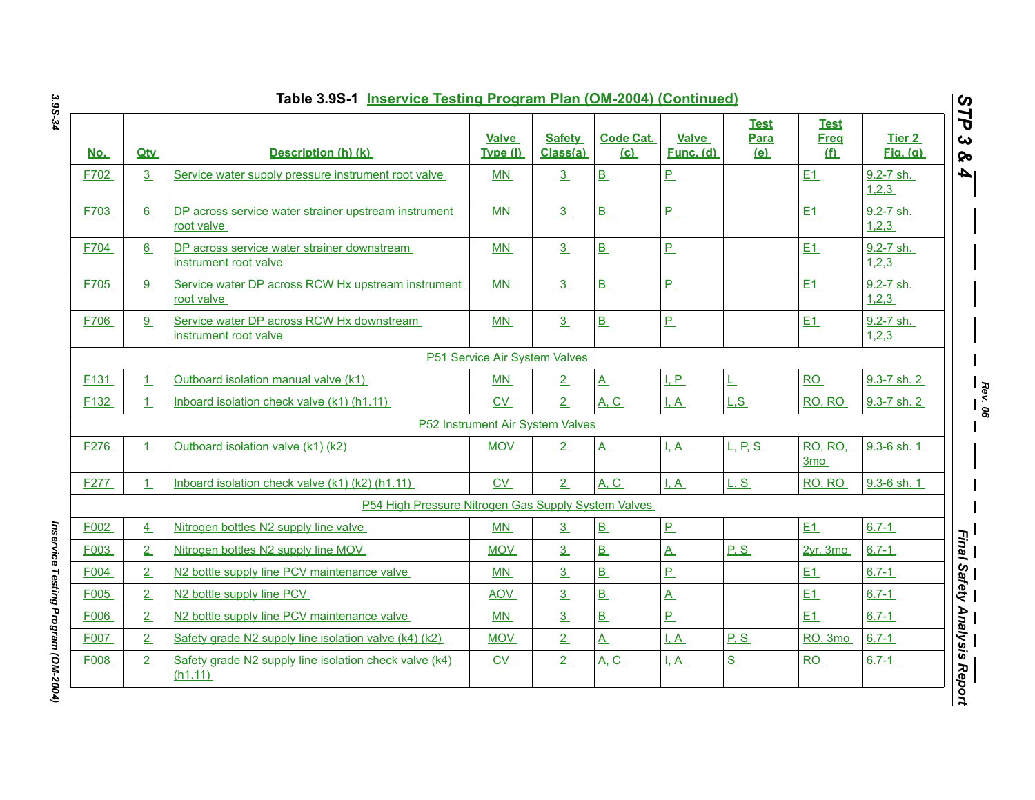| <u>No.</u>       | <b>Qtv</b>     | Description (h) (k)                                                  | <b>Valve</b><br>Type (I)      | <b>Safety</b><br>Class(a)        | <b>Code Cat.</b><br>(c)  | <b>Valve</b><br>Func. (d) | <b>Test</b><br>Para<br>(e) | Test<br>Freg<br><u>(f)</u> | Tier 2<br><b>Fig.</b> (g) |
|------------------|----------------|----------------------------------------------------------------------|-------------------------------|----------------------------------|--------------------------|---------------------------|----------------------------|----------------------------|---------------------------|
| F702             | 3              | Service water supply pressure instrument root valve                  | MN                            | $\underline{3}$                  | B                        | P                         |                            | E1                         | 9.2-7 sh.<br>1,2,3        |
| F703             | 6              | DP across service water strainer upstream instrument<br>root valve   | <b>MN</b>                     | $\overline{3}$                   | B                        | P                         |                            | E1                         | 9.2-7 sh.<br>1,2,3        |
| F704             | 6              | DP across service water strainer downstream<br>instrument root valve | <b>MN</b>                     | 3 <sub>1</sub>                   | $\underline{\mathbf{B}}$ | $\underline{\mathsf{P}}$  |                            | E1                         | 9.2-7 sh.<br>1,2,3        |
| F705             | 9              | Service water DP across RCW Hx upstream instrument<br>root valve     | MN                            | 3                                | B                        | P                         |                            | E1                         | 9.2-7 sh.<br>1,2,3        |
| F706             | 9 <sup>°</sup> | Service water DP across RCW Hx downstream<br>instrument root valve   | <b>MN</b>                     | 3                                | B                        | $\overline{P}$            |                            | E1                         | 9.2-7 sh.<br>1,2,3        |
|                  |                |                                                                      | P51 Service Air System Valves |                                  |                          |                           |                            |                            |                           |
| F <sub>131</sub> | $\perp$        | Outboard isolation manual valve (k1)                                 | MN                            | $\overline{2}$                   | $\mathbf{A}$             | I, P                      | L                          | RO                         | 9.3-7 sh. 2               |
| F132             | $\mathbf{1}$   | Inboard isolation check valve (k1) (h1.11)                           | <b>CV</b>                     | 2 <sub>1</sub>                   | A, C                     | I, A                      | L, S                       | RO, RO                     | 9.3-7 sh. 2               |
|                  |                |                                                                      |                               | P52 Instrument Air System Valves |                          |                           |                            |                            |                           |
| F276             | 1              | Outboard isolation valve (k1) (k2)                                   | <b>MOV</b>                    | 2                                | $\underline{A}$          | I, A                      | L, P, S                    | RO, RO,<br>3mo             | 9.3-6 sh. 1               |
| F277             | 1              | Inboard isolation check valve (k1) (k2) (h1.11)                      | CV                            | 2                                | A, C                     | I, A                      | L.S                        | RO, RO                     | 9.3-6 sh. 1               |
|                  |                | P54 High Pressure Nitrogen Gas Supply System Valves                  |                               |                                  |                          |                           |                            |                            |                           |
| F002             | $\overline{4}$ | Nitrogen bottles N2 supply line valve                                | MN                            | 3                                | B                        | $P_{-}$                   |                            | E1                         | $6.7 - 1$                 |
| F003             | 2              | Nitrogen bottles N2 supply line MOV                                  | <b>MOV</b>                    | 3 <sub>2</sub>                   | B                        | $\underline{A}$           | P.S                        | 2vr. 3mo                   | $6.7 - 1$                 |
| F004             | $\overline{2}$ | N2 bottle supply line PCV maintenance valve                          | MN                            | 3                                | B                        | <u>P</u>                  |                            | E1                         | $6.7 - 1$                 |
| F005             | $\overline{2}$ | N2 bottle supply line PCV                                            | <b>AOV</b>                    | $\overline{3}$                   | $\overline{B}$           | $\underline{A}$           |                            | E1                         | $6.7 - 1$                 |
| F006             | $\overline{2}$ | N2 bottle supply line PCV maintenance valve                          | MN                            | $\overline{3}$                   | B                        | $\overline{P}$            |                            | E1                         | $6.7 - 1$                 |
| F007             | $\overline{2}$ | Safety grade N2 supply line isolation valve (k4) (k2)                | <b>MOV</b>                    | $\overline{2}$                   | $\underline{A}$          | $\overline{A}$            | P S                        | RO, 3mo                    | $6.7 - 1$                 |
| F008             | 2              | Safety grade N2 supply line isolation check valve (k4)<br>(h1.11)    | $\underline{\text{CV}}$       | 2                                | <b>A, C</b>              | <u>I.A</u>                | S                          | RO                         | $6.7 - 1$                 |

Inservice Testing Program (OM-2004) *Inservice Testing Program (OM-2004)*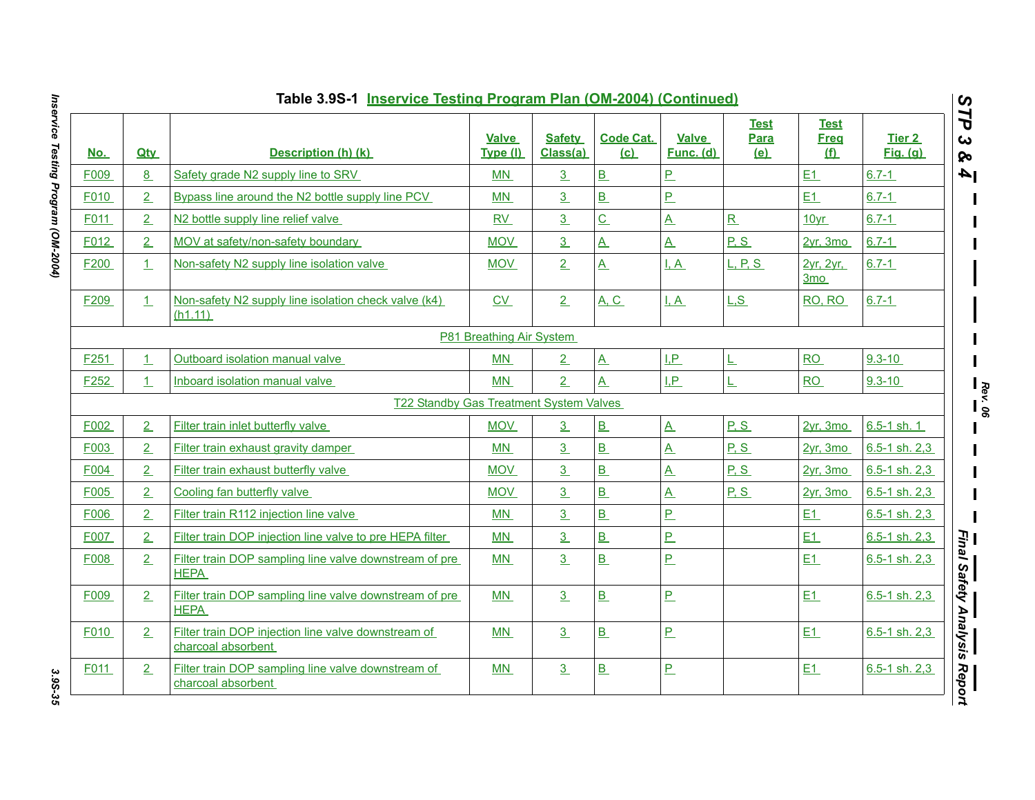|                  |                | Table 3.9S-1 Inservice Testing Program Plan (OM-2004) (Continued)         |                          |                           |                          |                           |                                   |                                   |                           |
|------------------|----------------|---------------------------------------------------------------------------|--------------------------|---------------------------|--------------------------|---------------------------|-----------------------------------|-----------------------------------|---------------------------|
| <u>No.</u>       | <b>Qtv</b>     | Description (h) (k)                                                       | <b>Valve</b><br>Type (I) | <b>Safety</b><br>Class(a) | <b>Code Cat.</b><br>(c)  | <b>Valve</b><br>Func. (d) | <b>Test</b><br><b>Para</b><br>(e) | <u>Test</u><br><b>Freq</b><br>(f) | Tier 2<br><b>Fig.</b> (g) |
| F009             | 8              | Safety grade N2 supply line to SRV                                        | <b>MN</b>                | $\overline{3}$            | B                        | P.                        |                                   | E1                                | $6.7 - 1$                 |
| F010             | 2              | Bypass line around the N2 bottle supply line PCV                          | MN                       | 3                         | B                        | P                         |                                   | E1                                | $6.7 - 1$                 |
| F011             | 2              | N2 bottle supply line relief valve                                        | <b>RV</b>                | $\overline{3}$            | $\overline{C}$           | $\overline{A}$            | $\overline{\mathbf{R}}$           | 10yr                              | $6.7 - 1$                 |
| F012             | $\overline{2}$ | MOV at safety/non-safety boundary                                         | <b>MOV</b>               | 3                         | $\overline{A}$           | $\overline{A}$            | P, S                              | 2yr, 3mo                          | $6.7 - 1$                 |
| F200             | $\perp$        | Non-safety N2 supply line isolation valve                                 | <b>MOV</b>               | 2                         | $\underline{A}$          | I.A                       | <u>L, P, S.</u>                   | 2vr. 2vr.<br>3 <sub>mo</sub>      | $6.7 - 1$                 |
| F209             | 1.             | Non-safety N2 supply line isolation check valve (k4)<br>(h1.11)           | CV                       | 2                         | <u>A, C</u>              | I, A                      | L.S                               | RO, RO                            | $6.7 - 1$                 |
|                  |                |                                                                           | P81 Breathing Air System |                           |                          |                           |                                   |                                   |                           |
| F251             | $\perp$        | Outboard isolation manual valve                                           | <b>MN</b>                | 2                         | $\underline{A}$          | I.P.                      | L                                 | RO                                | $9.3 - 10$                |
| F <sub>252</sub> | $\perp$        | Inboard isolation manual valve                                            | <b>MN</b>                | 2                         | $\overline{\mathbf{A}}$  | I.P                       | L                                 | RO                                | $9.3 - 10$                |
|                  |                | T22 Standby Gas Treatment System Valves                                   |                          |                           |                          |                           |                                   |                                   |                           |
| F002             | 2              | Filter train inlet butterfly valve                                        | <b>MOV</b>               | 3                         | B                        | $\overline{A}$            | P.S                               | 2yr, 3mo                          | $6.5 - 1$ sh. 1           |
| F003             | $\overline{2}$ | Filter train exhaust gravity damper                                       | MN                       | $\overline{3}$            | B                        | $\overline{A}$            | P.S                               | 2vr. 3mo                          | 6.5-1 sh. 2.3             |
| F004             | $\overline{2}$ | Filter train exhaust butterfly valve                                      | <b>MOV</b>               | $\overline{3}$            | <u>B</u>                 | $\overline{A}$            | P.S                               | 2yr, 3mo                          | $6.5 - 1$ sh. $2.3$       |
| F005             | 2              | Cooling fan butterfly valve                                               | <b>MOV</b>               | $\overline{3}$            | B                        | $\overline{A}$            | P, S                              | $2yr$ , 3mo                       | $6.5 - 1$ sh. $2,3$       |
| F006             | 2              | Filter train R112 injection line valve                                    | MN                       | 3                         | $\overline{B}$           | P.                        |                                   | E1                                | 6.5-1 sh. 2.3             |
| F007             | $\overline{2}$ | Filter train DOP injection line valve to pre HEPA filter                  | <b>MN</b>                | 3                         | $\overline{B}$           | $\overline{P}$            |                                   | E1                                | $6.5 - 1$ sh. 2,3         |
| F008             | 2              | Filter train DOP sampling line valve downstream of pre<br><b>HEPA</b>     | <b>MN</b>                | $\overline{3}$            | B                        | $\overline{P}$            |                                   | E1                                | $6.5 - 1$ sh. 2,3         |
| F009             | 2              | Filter train DOP sampling line valve downstream of pre<br><b>HEPA</b>     | MN                       | 3                         | B                        | $\overline{P}$            |                                   | E1                                | $6.5 - 1$ sh. 2,3         |
| F010             | 2              | Filter train DOP injection line valve downstream of<br>charcoal absorbent | MN.                      | 3                         | $\underline{\mathsf{B}}$ | $\overline{P}$            |                                   | E1                                | 6.5-1 sh. 2.3             |
| F011             | 2              | Filter train DOP sampling line valve downstream of<br>charcoal absorbent  | MN                       | $\overline{3}$            | $\underline{\mathsf{B}}$ | $\overline{P}$            |                                   | E1                                | $6.5 - 1$ sh. 2,3         |

Inservice Testing Program (OM-2004) *Inservice Testing Program (OM-2004) 3.9S-35*

3.9S-35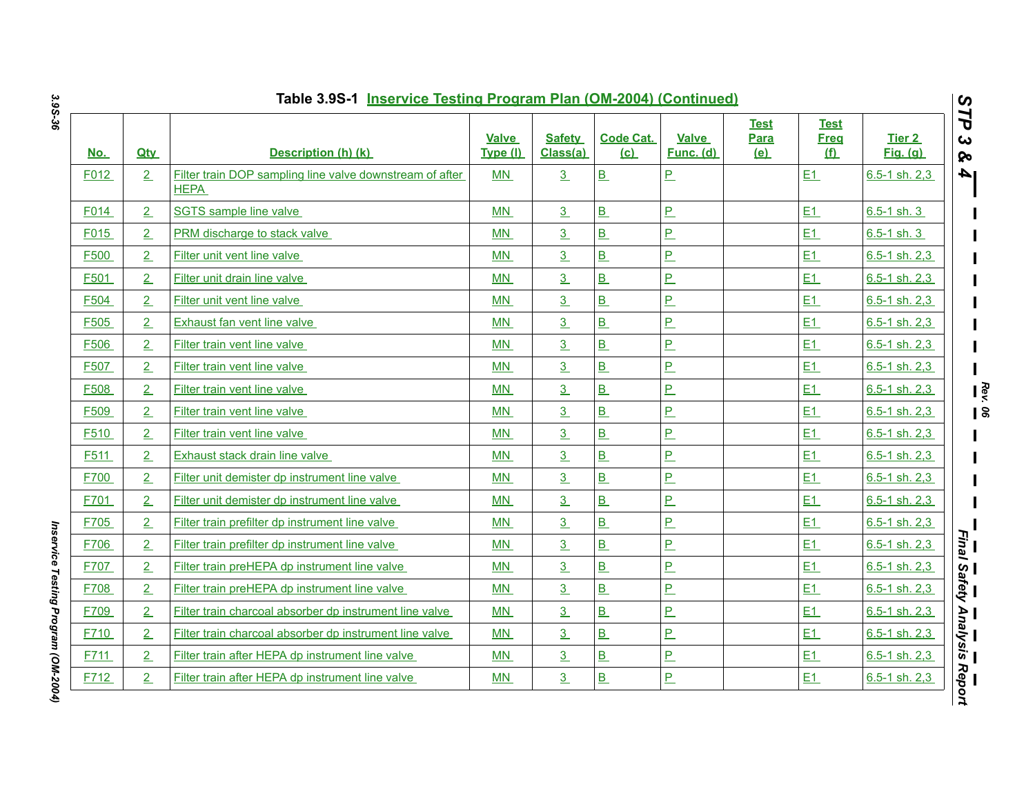| <u>No.</u> | <b>Qty</b>     | Description (h) (k)                                                     | <b>Valve</b><br>Type (I) | <b>Safety</b><br>Class(a) | <b>Code Cat.</b><br>(c) | <b>Valve</b><br>Func. (d) | <b>Test</b><br>Para<br>(e) | <b>Test</b><br><b>Freg</b><br>(f) | Tier 2<br><b>Fig.</b> (g) |
|------------|----------------|-------------------------------------------------------------------------|--------------------------|---------------------------|-------------------------|---------------------------|----------------------------|-----------------------------------|---------------------------|
| F012       | 2              | Filter train DOP sampling line valve downstream of after<br><b>HEPA</b> | <b>MN</b>                | 3                         | B                       | <u>P</u>                  |                            | E1                                | $6.5 - 1$ sh. 2,3         |
| F014       | $\overline{2}$ | SGTS sample line valve                                                  | <b>MN</b>                | $\underline{3}$           | B                       | <u>P</u>                  |                            | E1                                | $6.5 - 1$ sh. 3           |
| F015       | $\overline{2}$ | PRM discharge to stack valve                                            | <b>MN</b>                | $\overline{3}$            | B                       | $\overline{P}$            |                            | E1                                | $6.5 - 1$ sh. 3           |
| F500       | 2              | Filter unit vent line valve                                             | <b>MN</b>                | 3 <sub>2</sub>            | B                       | <u>P.</u>                 |                            | E1                                | $6.5 - 1$ sh. $2.3$       |
| F501       | $\overline{2}$ | Filter unit drain line valve                                            | MN                       | $\underline{3}$           | B                       | $\overline{P}$            |                            | E1                                | $6.5 - 1$ sh. 2,3         |
| F504       | $\overline{2}$ | Filter unit vent line valve                                             | <b>MN</b>                | $\overline{3}$            | B                       | $\overline{P}$            |                            | E1                                | $6.5 - 1$ sh. 2,3         |
| F505       | $\overline{2}$ | Exhaust fan vent line valve                                             | MN                       | 3 <sub>2</sub>            | B                       | P                         |                            | E1                                | 6.5-1 sh. 2,3             |
| F506       | $\overline{2}$ | Filter train vent line valve                                            | <b>MN</b>                | $\overline{3}$            | $\overline{B}$          | <u>P</u>                  |                            | E1                                | $6.5 - 1$ sh. 2,3         |
| F507       | $\overline{2}$ | Filter train vent line valve                                            | <b>MN</b>                | 3 <sub>1</sub>            | B                       | P                         |                            | E1                                | $6.5 - 1$ sh. $2,3$       |
| F508       | $\overline{2}$ | Filter train vent line valve                                            | MN                       | 3 <sub>2</sub>            | B                       | <u>P</u>                  |                            | E1                                | 6.5-1 sh. 2.3             |
| F509       | $\overline{2}$ | Filter train vent line valve                                            | <b>MN</b>                | $\overline{3}$            | B                       | <u>P</u>                  |                            | E1                                | $6.5 - 1$ sh. 2,3         |
| F510       | $\overline{2}$ | Filter train vent line valve                                            | <b>MN</b>                | 3 <sub>2</sub>            | B                       | P                         |                            | E1                                | $6.5 - 1$ sh. 2,3         |
| F511       | $\overline{2}$ | Exhaust stack drain line valve                                          | MN                       | 3 <sub>2</sub>            | B                       | <u>P.</u>                 |                            | E1                                | $6.5 - 1$ sh. 2,3         |
| F700       | $\overline{2}$ | Filter unit demister dp instrument line valve                           | <b>MN</b>                | $\overline{3}$            | $\overline{B}$          | $\overline{P}$            |                            | E1                                | $6.5 - 1$ sh. 2,3         |
| F701       | $\overline{2}$ | Filter unit demister dp instrument line valve                           | <b>MN</b>                | 3 <sub>2</sub>            | B                       | <u>P</u>                  |                            | E1                                | 6.5-1 sh. 2,3             |
| F705       | $\overline{2}$ | Filter train prefilter dp instrument line valve                         | MN                       | 3 <sub>2</sub>            | B                       | P                         |                            | E1                                | $6.5 - 1$ sh. 2,3         |
| F706       | $\overline{2}$ | Filter train prefilter dp instrument line valve                         | MN                       | $\overline{3}$            | B                       | $\overline{P}$            |                            | E1                                | $6.5 - 1$ sh. $2,3$       |
| F707       | $\overline{2}$ | Filter train preHEPA dp instrument line valve                           | MN                       | $\overline{3}$            | B                       | $\overline{P}$            |                            | E1                                | $6.5 - 1$ sh. 2,3         |
| F708       | 2              | Filter train preHEPA dp instrument line valve                           | MN                       | 3 <sub>2</sub>            | B                       | $\overline{P}$            |                            | E1                                | $6.5 - 1$ sh. 2,3         |
| F709       | $\overline{2}$ | Filter train charcoal absorber dp instrument line valve                 | <b>MN</b>                | $\overline{3}$            | B                       | $\overline{P}$            |                            | E1                                | $6.5 - 1$ sh. 2,3         |
| F710       | $\overline{2}$ | Filter train charcoal absorber dp instrument line valve                 | <b>MN</b>                | $\overline{3}$            | B                       | $\overline{P}$            |                            | E1                                | $6.5 - 1$ sh. 2,3         |
| F711       | 2              | Filter train after HEPA dp instrument line valve                        | MN                       | 3 <sub>2</sub>            | B                       | <u>P.</u>                 |                            | E1                                | 6.5-1 sh. 2,3             |
| F712       | $\overline{2}$ | Filter train after HEPA dp instrument line valve                        | <b>MN</b>                | $\underline{3}$           | B                       | $\overline{P}$            |                            | E1                                | $6.5 - 1$ sh. 2,3         |

*Inservice Testing Program (OM-2004)* 

Inservice Testing Program (OM-2004)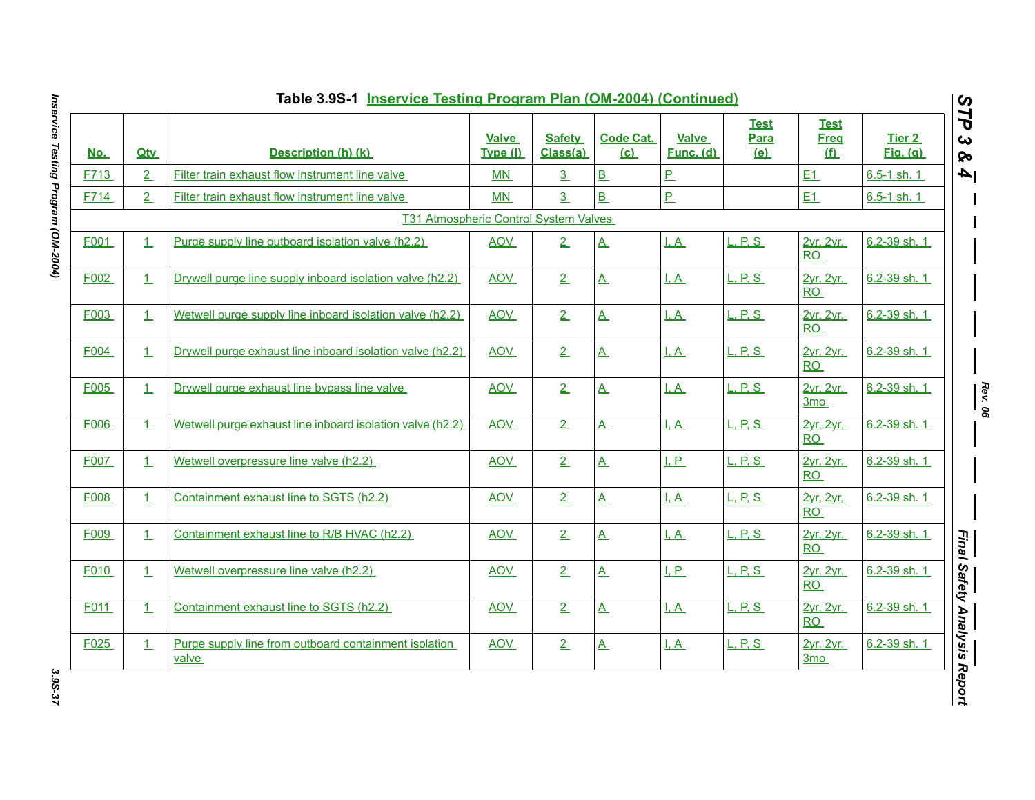| <u>No.</u> | <b>Qtv</b> | Description (h) (k)                                            | <b>Valve</b><br>Type (I) | <b>Safety</b><br>Class(a) | <b>Code Cat.</b><br>(c) | Valve<br>Func. (d) | <b>Test</b><br>Para<br><u>(e)</u> | <b>Test</b><br><b>Freg</b><br><u>(f)</u> | Tier 2<br><u>Fig. (g)</u> |
|------------|------------|----------------------------------------------------------------|--------------------------|---------------------------|-------------------------|--------------------|-----------------------------------|------------------------------------------|---------------------------|
| F713       | 2          | Filter train exhaust flow instrument line valve                | MN                       | $\overline{3}$            | B                       | $\overline{P}$     |                                   | E1                                       | $6.5 - 1$ sh. 1           |
| F714       | 2          | Filter train exhaust flow instrument line valve                | MN                       | $\overline{3}$            | B                       | P                  |                                   | E1                                       | 6.5-1 sh. 1               |
|            |            | T31 Atmospheric Control System Valves                          |                          |                           |                         |                    |                                   |                                          |                           |
| F001       | $\perp$    | Purge supply line outboard isolation valve (h2.2)              | <b>AOV</b>               | 2                         | $\underline{A}$         | <u>I, A</u>        | L, P, S                           | 2yr, 2yr,<br>RO                          | 6.2-39 sh. 1              |
| F002       | $\perp$    | Drywell purge line supply inboard isolation valve (h2.2)       | <b>AOV</b>               | 2                         | $\underline{A}$         | $\overline{A}$     | L, P, S                           | 2yr, 2yr,<br>RO                          | 6.2-39 sh. 1              |
| F003       | 1          | Wetwell purge supply line inboard isolation valve (h2.2)       | <b>AOV</b>               | 2                         | $\underline{A}$         | I, A               | <u>L. P. S.</u>                   | 2vr. 2vr.<br><b>RO</b>                   | 6.2-39 sh. 1              |
| F004       | 1          | Drywell purge exhaust line inboard isolation valve (h2.2)      | <b>AOV</b>               | 2                         | $\underline{A}$         | $\overline{A}$     | L, P, S                           | 2yr, 2yr,<br>RO                          | 6.2-39 sh. 1              |
| F005       | 1          | Drywell purge exhaust line bypass line valve                   | <b>AOV</b>               | 2                         | $\underline{A}$         | $\overline{A}$     | L, P, S                           | 2yr, 2yr,<br>3 <sub>mo</sub>             | 6.2-39 sh. 1              |
| F006       | $\perp$    | Wetwell purge exhaust line inboard isolation valve (h2.2)      | <b>AOV</b>               | 2                         | $\underline{A}$         | <u>I.A</u>         | L, P, S                           | 2yr, 2yr,<br><b>RO</b>                   | 6.2-39 sh. 1              |
| F007       | 1          | Wetwell overpressure line valve (h2.2)                         | <b>AOV</b>               | 2                         | $\underline{A}$         | LP                 | L, P, S                           | 2yr, 2yr,<br>RO                          | 6.2-39 sh. 1              |
| F008       | $\perp$    | Containment exhaust line to SGTS (h2.2)                        | <b>AOV</b>               | 2                         | $\underline{A}$         | $\overline{A}$     | L, P, S                           | 2yr, 2yr,<br><b>RO</b>                   | 6.2-39 sh. 1              |
| F009       | 1          | Containment exhaust line to R/B HVAC (h2.2)                    | <b>AOV</b>               | 2                         | $\underline{A}$         | I.A                | <b>L. P. S.</b>                   | 2vr. 2vr.<br>RO                          | 6.2-39 sh. 1              |
| F010       | 1          | Wetwell overpressure line valve (h2.2)                         | <b>AOV</b>               | 2                         | $\underline{A}$         | I, P               | L, P, S                           | 2yr, 2yr,<br>RO                          | 6.2-39 sh. 1              |
| F011       | 1          | Containment exhaust line to SGTS (h2.2)                        | <b>AOV</b>               | 2                         | $\underline{A}$         | $\overline{A}$     | L, P, S                           | 2yr, 2yr,<br>RO                          | 6.2-39 sh. 1              |
| F025       | $\perp$    | Purge supply line from outboard containment isolation<br>valve | <b>AOV</b>               | 2                         | $\underline{A}$         | <u>I, A</u>        | <b>L. P. S</b>                    | 2yr, 2yr,<br>3 <sub>mo</sub>             | 6.2-39 sh. 1              |

Inservice Testing Program (OM-2004) *Inservice Testing Program (OM-2004) 3.9S-37*

3.95-37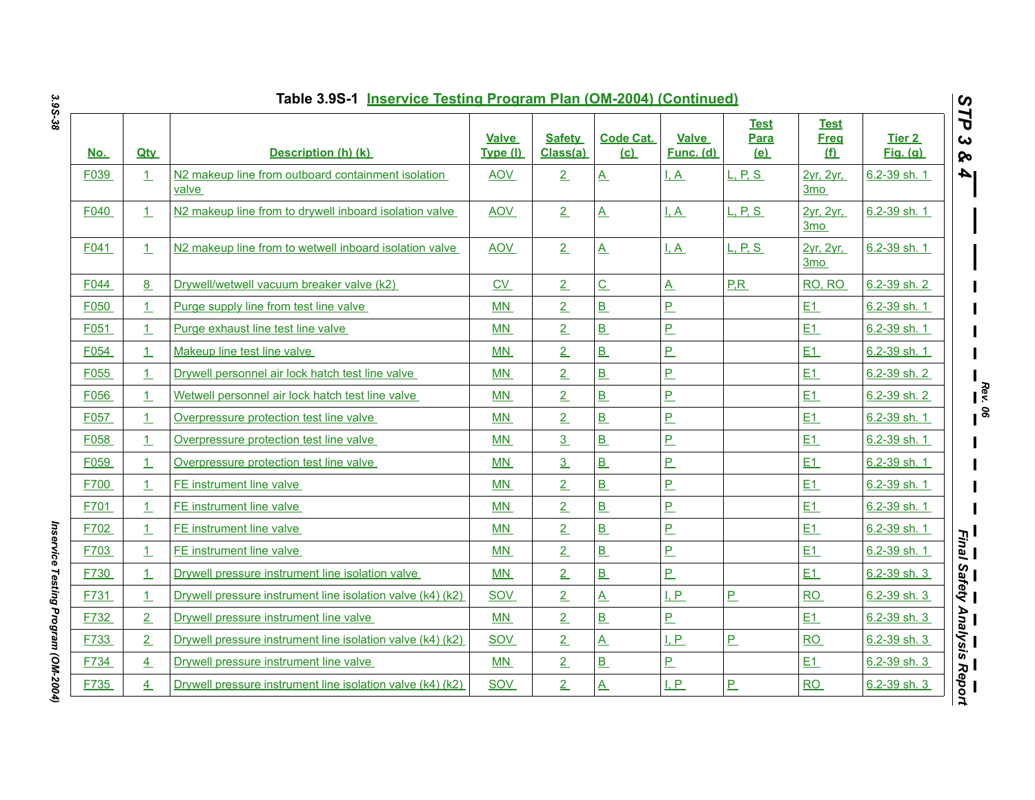|            |                | Table 3.9S-1 Inservice Testing Program Plan (OM-2004) (Continued)       |                          |                           |                         |                           |                                   |                                          |                           | $\boldsymbol{\omega}$              |
|------------|----------------|-------------------------------------------------------------------------|--------------------------|---------------------------|-------------------------|---------------------------|-----------------------------------|------------------------------------------|---------------------------|------------------------------------|
| <u>No.</u> | <b>Qty</b>     | Description (h) (k)                                                     | <b>Valve</b><br>Type (I) | <b>Safety</b><br>Class(a) | <b>Code Cat.</b><br>(c) | <b>Valve</b><br>Func. (d) | <b>Test</b><br>Para<br><u>(e)</u> | <b>Test</b><br><b>Freq</b><br><u>(f)</u> | Tier 2<br><b>Fig.</b> (g) | 7P<br>$\boldsymbol{\omega}$<br>ଚ୍ଚ |
| F039       | 1              | N <sub>2</sub> makeup line from outboard containment isolation<br>valve | <b>AOV</b>               | $\overline{2}$            | $\underline{A}$         | $\overline{A}$            | <u>L, P, S</u>                    | 2yr, 2yr,<br>3 <sub>mo</sub>             | 6.2-39 sh. 1              | l 4                                |
| F040       | $\perp$        | N2 makeup line from to drywell inboard isolation valve                  | <b>AOV</b>               | 2                         | $\underline{A}$         | I, A                      | <u>L, P, S</u>                    | 2yr, 2yr,<br>3 <sub>mo</sub>             | 6.2-39 sh. 1              |                                    |
| F041       | $\perp$        | N2 makeup line from to wetwell inboard isolation valve                  | <b>AOV</b>               | 2                         | $\overline{A}$          | I.A                       | <u>L. P. S.</u>                   | 2yr. 2yr.<br>3mo                         | 6.2-39 sh. 1              |                                    |
| F044       | 8              | Drywell/wetwell vacuum breaker valve (k2)                               | CV                       | 2                         | $\overline{C}$          | $\underline{A}$           | P.R                               | RO, RO                                   | 6.2-39 sh. 2              |                                    |
| F050       | $\perp$        | Purge supply line from test line valve                                  | MN                       | $\overline{2}$            | B                       | $\overline{P}$            |                                   | E1                                       | 6.2-39 sh. 1              |                                    |
| F051       | 1              | Purge exhaust line test line valve                                      | <b>MN</b>                | $\overline{2}$            | B                       | $\overline{P}$            |                                   | E1                                       | 6.2-39 sh. 1              |                                    |
| F054       | 1              | Makeup line test line valve                                             | <b>MN</b>                | $\overline{2}$            | B                       | P.                        |                                   | E1                                       | 6.2-39 sh. 1              |                                    |
| F055       | $\perp$        | Drywell personnel air lock hatch test line valve                        | MN                       | $\overline{2}$            | B                       | $P_{-}$                   |                                   | E1                                       | 6.2-39 sh. 2              |                                    |
| F056       | $\perp$        | Wetwell personnel air lock hatch test line valve                        | MN                       | $\overline{2}$            | B                       | P                         |                                   | E1                                       | 6.2-39 sh. 2              |                                    |
| F057       | $\perp$        | Overpressure protection test line valve                                 | <b>MN</b>                | $\overline{2}$            | B                       | P.                        |                                   | E1                                       | 6.2-39 sh. 1              |                                    |
| F058       | $\perp$        | Overpressure protection test line valve                                 | MN                       | $\overline{3}$            | B                       | P.                        |                                   | E1                                       | 6.2-39 sh. 1              |                                    |
| F059       | $\overline{1}$ | Overpressure protection test line valve                                 | <b>MN</b>                | $\overline{3}$            | B                       | $\overline{P}$            |                                   | E1                                       | 6.2-39 sh. 1              |                                    |
| F700       | 1              | <b>FE</b> instrument line valve                                         | <b>MN</b>                | $\overline{2}$            | B                       | $\overline{P}$            |                                   | E1                                       | 6.2-39 sh. 1              |                                    |
| F701       | 1              | FE instrument line valve                                                | MN                       | $\overline{2}$            | B                       | P.                        |                                   | E1                                       | 6.2-39 sh. 1              |                                    |
| F702       | $\overline{1}$ | FE instrument line valve                                                | MN                       | $\overline{2}$            | B                       | P.                        |                                   | E1                                       | 6.2-39 sh. 1              |                                    |
| F703       | 1              | FE instrument line valve                                                | <b>MN</b>                | $\overline{2}$            | B                       | $\overline{P}$            |                                   | E1                                       | 6.2-39 sh. 1              | l Einal<br>Final                   |
| F730       | 1              | Drywell pressure instrument line isolation valve                        | MN                       | $\overline{2}$            | B                       | P.                        |                                   | E1                                       | 6.2-39 sh. 3              | Safety                             |
| F731       | 1              | Drywell pressure instrument line isolation valve (k4) (k2)              | SOV                      | $\overline{2}$            | $\mathbf{A}$            | I, P                      | P                                 | RO                                       | 6.2-39 sh. 3              |                                    |
| F732       | $\overline{2}$ | Drywell pressure instrument line valve                                  | MN                       | $\overline{2}$            | B                       | P.                        |                                   | E1                                       | 6.2-39 sh. 3              | — — —<br>Analysis Report           |
| F733       | 2              | Drywell pressure instrument line isolation valve (k4) (k2)              | <b>SOV</b>               | $\overline{2}$            | $\mathbf{A}$            | I, P                      | $P_{-}$                           | <b>RO</b>                                | 6.2-39 sh. 3              |                                    |
| F734       | $\overline{4}$ | Drywell pressure instrument line valve                                  | MN                       | $\overline{2}$            | B                       | P                         |                                   | E1                                       | 6.2-39 sh. 3              |                                    |
| F735       | $\overline{4}$ | Drywell pressure instrument line isolation valve (k4) (k2)              | <b>SOV</b>               | $\overline{2}$            | $\underline{A}$         | I, P                      | P                                 | RO                                       | 6.2-39 sh. 3              |                                    |

Inservice Testing Program (OM-2004) *Inservice Testing Program (OM-2004)*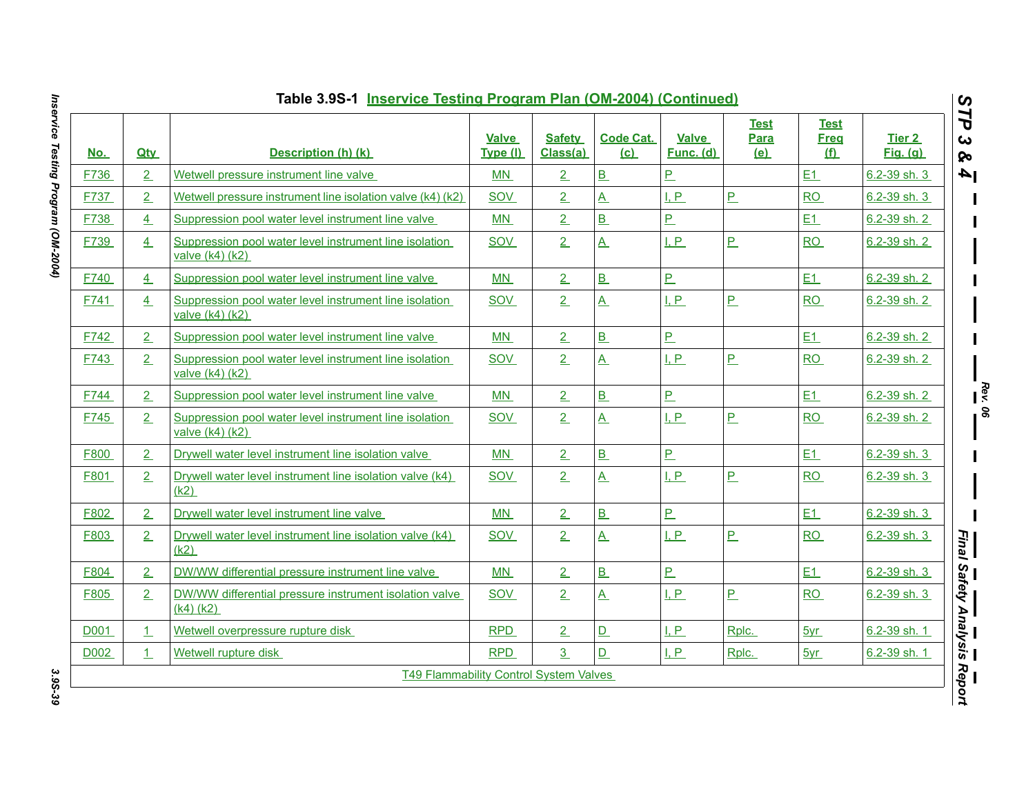| <u>No.</u> | <b>Qtv</b>     | Description (h) (k)                                                           | Valve<br>Type (I) | <b>Safety</b><br>Class(a) | <b>Code Cat.</b><br>(c) | Valve<br>Func. (d) | <b>Test</b><br>Para<br><u>(e)</u> | <b>Test</b><br><b>Freg</b><br><u>(f)</u> | Tier 2<br><b>Fig.</b> (g) |
|------------|----------------|-------------------------------------------------------------------------------|-------------------|---------------------------|-------------------------|--------------------|-----------------------------------|------------------------------------------|---------------------------|
| F736       | 2              | Wetwell pressure instrument line valve                                        | MN                | $2 \nightharpoonup$       | B                       | $\overline{P}$     |                                   | E1                                       | 6.2-39 sh. 3              |
| F737       | 2              | Wetwell pressure instrument line isolation valve (k4) (k2)                    | <b>SOV</b>        | 2                         | $\underline{A}$         | I, P               | $\overline{P}$                    | RO                                       | 6.2-39 sh. 3              |
| F738       | 4              | Suppression pool water level instrument line valve                            | MN                | $\overline{2}$            | $\overline{B}$          | $\overline{P}$     |                                   | E1                                       | 6.2-39 sh. 2              |
| F739       | 4              | Suppression pool water level instrument line isolation<br>valve (k4) (k2)     | <b>SOV</b>        | 2                         | $\underline{A}$         | I, P               | P                                 | <b>RO</b>                                | 6.2-39 sh. 2              |
| F740       | 4              | Suppression pool water level instrument line valve                            | MN                | 2                         | B                       | $\overline{P}$     |                                   | E1                                       | 6.2-39 sh. 2              |
| F741       | 4              | Suppression pool water level instrument line isolation<br>valve $(k4)$ $(k2)$ | <b>SOV</b>        | $\overline{2}$            | $\underline{A}$         | I, P               | P                                 | RO                                       | 6.2-39 sh. 2              |
| F742       | 2              | Suppression pool water level instrument line valve                            | <b>MN</b>         | 2 <sub>1</sub>            | B                       | $\overline{P}$     |                                   | E1                                       | 6.2-39 sh. 2              |
| F743       | 2              | Suppression pool water level instrument line isolation<br>valve $(k4)$ $(k2)$ | <b>SOV</b>        | 2                         | $\underline{A}$         | LP                 | P                                 | <b>RO</b>                                | 6.2-39 sh. 2              |
| F744       | $\overline{2}$ | Suppression pool water level instrument line valve                            | MN                | $\overline{2}$            | B                       | P                  |                                   | E1                                       | 6.2-39 sh. 2              |
| F745       | 2              | Suppression pool water level instrument line isolation<br>valve $(k4)$ $(k2)$ | <b>SOV</b>        | 2                         | $\underline{A}$         | I, P               | $P_{-}$                           | <b>RO</b>                                | 6.2-39 sh. 2              |
| F800       | 2              | Drywell water level instrument line isolation valve                           | <b>MN</b>         | 2                         | B                       | $\overline{P}$     |                                   | E1                                       | 6.2-39 sh. 3              |
| F801       | 2              | Drywell water level instrument line isolation valve (k4)<br>(k2)              | SOV               | $\overline{2}$            | $\overline{A}$          | I, P               | P                                 | <b>RO</b>                                | 6.2-39 sh. 3              |
| F802       | 2              | Drywell water level instrument line valve                                     | MN                | 2 <sub>1</sub>            | $\overline{B}$          | $\overline{P}$     |                                   | E1                                       | 6.2-39 sh. 3              |
| F803       | 2              | Drywell water level instrument line isolation valve (k4)<br>(k2)              | <b>SOV</b>        | 2                         | $\underline{A}$         | I, P               | $\overline{P}$                    | <b>RO</b>                                | 6.2-39 sh. 3              |
| F804       | 2              | DW/WW differential pressure instrument line valve                             | MN                | 2                         | B                       | $\overline{P}$     |                                   | E1                                       | 6.2-39 sh. 3              |
| F805       | 2              | DW/WW differential pressure instrument isolation valve<br>$(k4)$ $(k2)$       | <b>SOV</b>        | $\overline{2}$            | $\overline{A}$          | I, P               | P                                 | RO                                       | 6.2-39 sh. 3              |
| D001       | 1              | Wetwell overpressure rupture disk                                             | <b>RPD</b>        | $\overline{2}$            | $\overline{D}$          | I, P               | Rplc.                             | 5yr                                      | 6.2-39 sh. 1              |
|            | $\perp$        | Wetwell rupture disk                                                          | <b>RPD</b>        | $\overline{3}$            | D                       | I, P               | Rplc.                             | 5yr                                      | 6.2-39 sh. 1              |

Inservice Testing Program (OM-2004) *Inservice Testing Program (OM-2004) 3.9S-39*

3.9S-39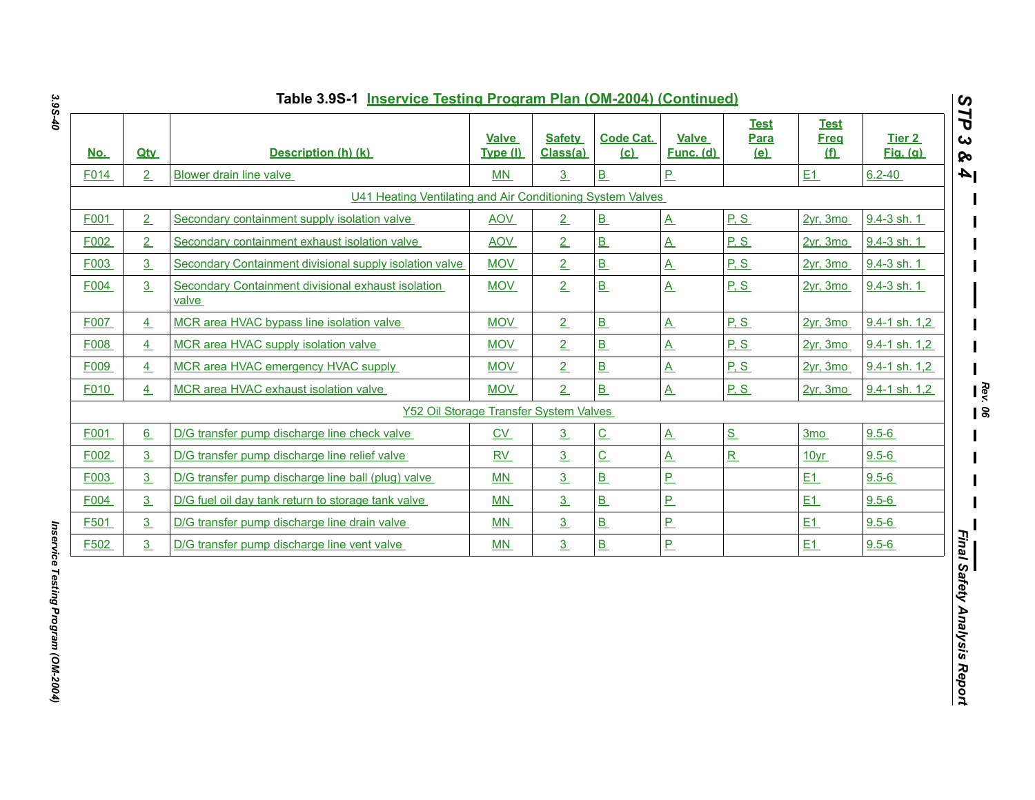| <u>No.</u> | <b>Qtv</b>     | Description (h) (k)                                         | <b>Valve</b><br>Type (I) | <b>Safety</b><br>Class(a) | <b>Code Cat.</b><br>(c)  | <b>Valve</b><br>Func. (d) | <b>Test</b><br>Para<br><u>(e)</u> | <b>Test</b><br><b>Freq</b><br>(f) | Tier 2<br><b>Fig.</b> (g) |
|------------|----------------|-------------------------------------------------------------|--------------------------|---------------------------|--------------------------|---------------------------|-----------------------------------|-----------------------------------|---------------------------|
| F014       | $\overline{2}$ | Blower drain line valve                                     | MN                       | 3                         | B                        | $P_{-}$                   |                                   | E1                                | $6.2 - 40$                |
|            |                | U41 Heating Ventilating and Air Conditioning System Valves  |                          |                           |                          |                           |                                   |                                   |                           |
| F001       | $\overline{2}$ | Secondary containment supply isolation valve                | <b>AOV</b>               | 2                         | B                        | $\underline{A}$           | P.S                               | $2yr$ , 3mo                       | 9.4-3 sh. 1               |
| F002       | $\overline{2}$ | Secondary containment exhaust isolation valve               | <b>AOV</b>               | 2                         | B                        | $\underline{A}$           | P.S                               | $2yr$ , 3mo                       | 9.4-3 sh. 1               |
| F003       | 3 <sub>2</sub> | Secondary Containment divisional supply isolation valve     | <b>MOV</b>               | 2                         | B                        | $\underline{A}$           | P.S                               | 2vr. 3mo                          | 9.4-3 sh. 1               |
| F004       | 3              | Secondary Containment divisional exhaust isolation<br>valve | <b>MOV</b>               | 2                         | B                        | $\underline{A}$           | P.S                               | $2yr$ , 3mo                       | 9.4-3 sh. 1               |
| F007       | $\overline{4}$ | MCR area HVAC bypass line isolation valve                   | <b>MOV</b>               | 2                         | B                        | $\overline{A}$            | P.S                               | $2vr$ , $3mo$                     | 9.4-1 sh. 1,2             |
| F008       | 4              | MCR area HVAC supply isolation valve                        | <b>MOV</b>               | 2                         | B                        | $\underline{A}$           | P.S                               | $2yr$ , 3mo                       | 9.4-1 sh. 1,2             |
| F009       | $\overline{4}$ | MCR area HVAC emergency HVAC supply                         | <b>MOV</b>               | 2                         | B                        | $\underline{A}$           | P.S                               | $2yr$ , 3mo                       | 9.4-1 sh. 1,2             |
| F010       | $\overline{4}$ | MCR area HVAC exhaust isolation valve                       | <b>MOV</b>               | 2                         | B                        | $\underline{A}$           | P.S                               | 2vr. 3mo                          | 9.4-1 sh. 1,2             |
|            |                | Y52 Oil Storage Transfer System Valves                      |                          |                           |                          |                           |                                   |                                   |                           |
| F001       | 6              | D/G transfer pump discharge line check valve                | $\underline{\text{CV}}$  | $\overline{3}$            | $\underline{\mathbf{C}}$ | $\underline{A}$           | $S_{-}$                           | 3 <sub>mo</sub>                   | $9.5 - 6$                 |
| F002       | 3              | D/G transfer pump discharge line relief valve               | RV                       | 3                         | $\underline{C}$          | $\underline{A}$           | $\underline{\mathsf{R}}$          | 10yr                              | $9.5 - 6$                 |
| F003       | $\overline{3}$ | D/G transfer pump discharge line ball (plug) valve          | MN                       | $\overline{3}$            | B                        | $\overline{P}$            |                                   | E1                                | $9.5 - 6$                 |
| F004       | $\overline{3}$ | D/G fuel oil day tank return to storage tank valve          | MN                       | 3                         | $\overline{B}$           | $\overline{P}$            |                                   | E1                                | $9.5 - 6$                 |
| F501       | $\overline{3}$ | D/G transfer pump discharge line drain valve                | MN                       | 3                         | B                        | $\overline{P}$            |                                   | E1                                | $9.5 - 6$                 |
| F502       | $\overline{3}$ | D/G transfer pump discharge line vent valve                 | M <sub>N</sub>           | $\overline{3}$            | B                        | $\overline{P}$            |                                   | E1                                | $9.5 - 6$                 |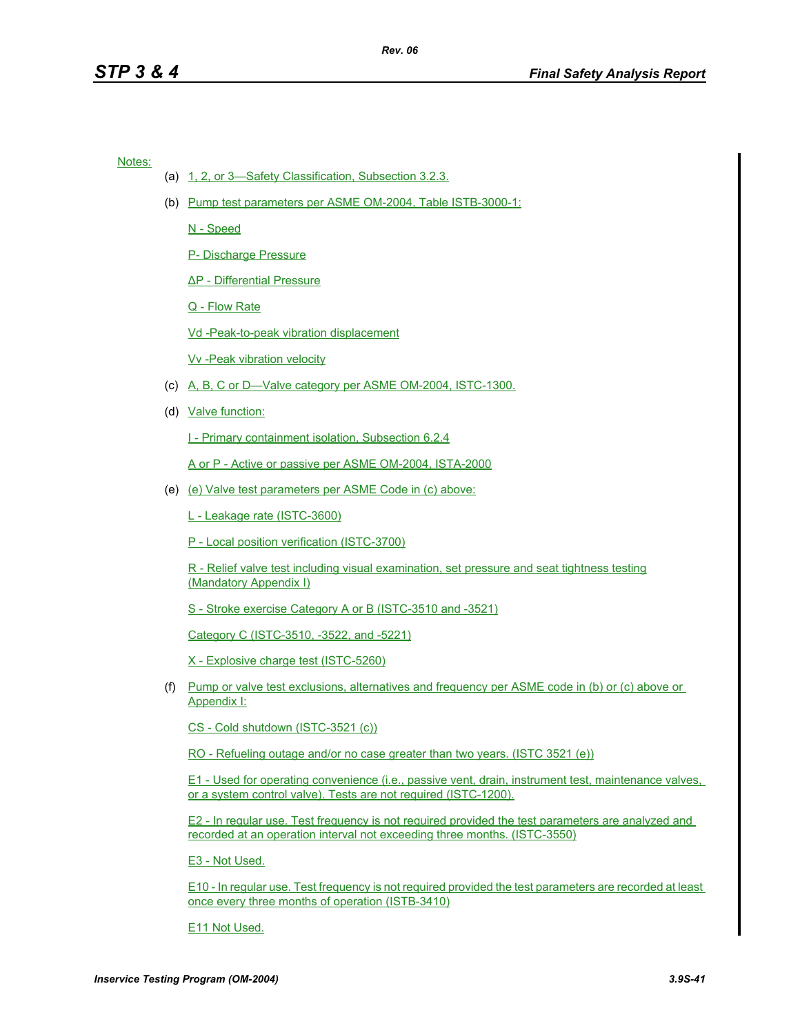Notes:

- (a) 1, 2, or 3—Safety Classification, Subsection 3.2.3.
- (b) Pump test parameters per ASME OM-2004, Table ISTB-3000-1:

N - Speed

P- Discharge Pressure

∆P - Differential Pressure

Q - Flow Rate

Vd -Peak-to-peak vibration displacement

Vv -Peak vibration velocity

- (c) A, B, C or D—Valve category per ASME OM-2004, ISTC-1300.
- (d) Valve function:

I - Primary containment isolation, Subsection 6.2.4

A or P - Active or passive per ASME OM-2004, ISTA-2000

(e) (e) Valve test parameters per ASME Code in (c) above:

L - Leakage rate (ISTC-3600)

P - Local position verification (ISTC-3700)

R - Relief valve test including visual examination, set pressure and seat tightness testing (Mandatory Appendix I)

S - Stroke exercise Category A or B (ISTC-3510 and -3521)

Category C (ISTC-3510, -3522, and -5221)

X - Explosive charge test (ISTC-5260)

(f) Pump or valve test exclusions, alternatives and frequency per ASME code in (b) or (c) above or Appendix I:

CS - Cold shutdown (ISTC-3521 (c))

RO - Refueling outage and/or no case greater than two years. (ISTC 3521 (e))

E1 - Used for operating convenience (i.e., passive vent, drain, instrument test, maintenance valves, or a system control valve). Tests are not required (ISTC-1200).

E2 - In regular use. Test frequency is not required provided the test parameters are analyzed and recorded at an operation interval not exceeding three months. (ISTC-3550)

E3 - Not Used.

E10 - In regular use. Test frequency is not required provided the test parameters are recorded at least once every three months of operation (ISTB-3410)

E11 Not Used.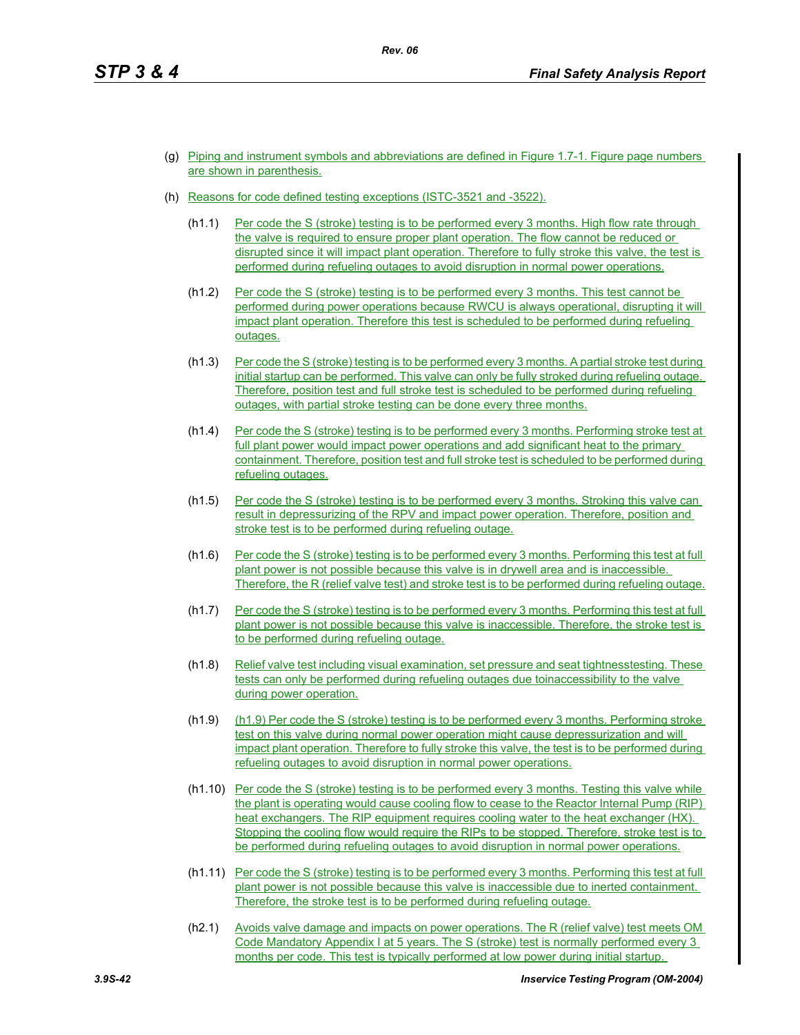- (g) Piping and instrument symbols and abbreviations are defined in Figure 1.7-1. Figure page numbers are shown in parenthesis.
- (h) Reasons for code defined testing exceptions (ISTC-3521 and -3522).
	- (h1.1) Per code the S (stroke) testing is to be performed every 3 months. High flow rate through the valve is required to ensure proper plant operation. The flow cannot be reduced or disrupted since it will impact plant operation. Therefore to fully stroke this valve, the test is performed during refueling outages to avoid disruption in normal power operations.
	- (h1.2) Per code the S (stroke) testing is to be performed every 3 months. This test cannot be performed during power operations because RWCU is always operational, disrupting it will impact plant operation. Therefore this test is scheduled to be performed during refueling outages.
	- (h1.3) Per code the S (stroke) testing is to be performed every 3 months. A partial stroke test during initial startup can be performed. This valve can only be fully stroked during refueling outage. Therefore, position test and full stroke test is scheduled to be performed during refueling outages, with partial stroke testing can be done every three months.
	- (h1.4) Per code the S (stroke) testing is to be performed every 3 months. Performing stroke test at full plant power would impact power operations and add significant heat to the primary containment. Therefore, position test and full stroke test is scheduled to be performed during refueling outages.
	- (h1.5) Per code the S (stroke) testing is to be performed every 3 months. Stroking this valve can result in depressurizing of the RPV and impact power operation. Therefore, position and stroke test is to be performed during refueling outage.
	- (h1.6) Per code the S (stroke) testing is to be performed every 3 months. Performing this test at full plant power is not possible because this valve is in drywell area and is inaccessible. Therefore, the R (relief valve test) and stroke test is to be performed during refueling outage.
	- (h1.7) Per code the S (stroke) testing is to be performed every 3 months. Performing this test at full plant power is not possible because this valve is inaccessible. Therefore, the stroke test is to be performed during refueling outage.
	- (h1.8) Relief valve test including visual examination, set pressure and seat tightnesstesting. These tests can only be performed during refueling outages due toinaccessibility to the valve during power operation.
	- (h1.9) (h1.9) Per code the S (stroke) testing is to be performed every 3 months. Performing stroke test on this valve during normal power operation might cause depressurization and will impact plant operation. Therefore to fully stroke this valve, the test is to be performed during refueling outages to avoid disruption in normal power operations.
	- (h1.10) Per code the S (stroke) testing is to be performed every 3 months. Testing this valve while the plant is operating would cause cooling flow to cease to the Reactor Internal Pump (RIP) heat exchangers. The RIP equipment requires cooling water to the heat exchanger (HX). Stopping the cooling flow would require the RIPs to be stopped. Therefore, stroke test is to be performed during refueling outages to avoid disruption in normal power operations.
	- (h1.11) Per code the S (stroke) testing is to be performed every 3 months. Performing this test at full plant power is not possible because this valve is inaccessible due to inerted containment. Therefore, the stroke test is to be performed during refueling outage.
	- (h2.1) Avoids valve damage and impacts on power operations. The R (relief valve) test meets OM Code Mandatory Appendix I at 5 years. The S (stroke) test is normally performed every 3 months per code. This test is typically performed at low power during initial startup.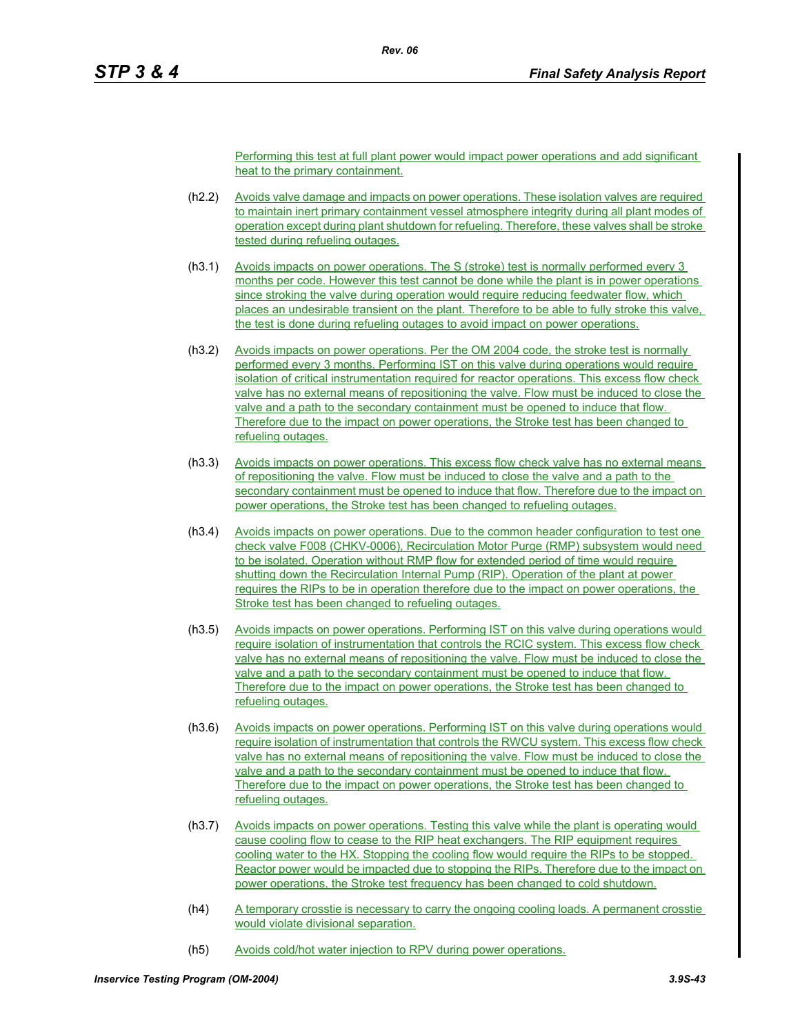Performing this test at full plant power would impact power operations and add significant heat to the primary containment.

- (h2.2) Avoids valve damage and impacts on power operations. These isolation valves are required to maintain inert primary containment vessel atmosphere integrity during all plant modes of operation except during plant shutdown for refueling. Therefore, these valves shall be stroke tested during refueling outages.
- (h3.1) Avoids impacts on power operations. The S (stroke) test is normally performed every 3 months per code. However this test cannot be done while the plant is in power operations since stroking the valve during operation would require reducing feedwater flow, which places an undesirable transient on the plant. Therefore to be able to fully stroke this valve, the test is done during refueling outages to avoid impact on power operations.
- (h3.2) Avoids impacts on power operations. Per the OM 2004 code, the stroke test is normally performed every 3 months. Performing IST on this valve during operations would require isolation of critical instrumentation required for reactor operations. This excess flow check valve has no external means of repositioning the valve. Flow must be induced to close the valve and a path to the secondary containment must be opened to induce that flow. Therefore due to the impact on power operations, the Stroke test has been changed to refueling outages.
- (h3.3) Avoids impacts on power operations. This excess flow check valve has no external means of repositioning the valve. Flow must be induced to close the valve and a path to the secondary containment must be opened to induce that flow. Therefore due to the impact on power operations, the Stroke test has been changed to refueling outages.
- (h3.4) Avoids impacts on power operations. Due to the common header configuration to test one check valve F008 (CHKV-0006), Recirculation Motor Purge (RMP) subsystem would need to be isolated. Operation without RMP flow for extended period of time would require shutting down the Recirculation Internal Pump (RIP). Operation of the plant at power requires the RIPs to be in operation therefore due to the impact on power operations, the Stroke test has been changed to refueling outages.
- (h3.5) Avoids impacts on power operations. Performing IST on this valve during operations would require isolation of instrumentation that controls the RCIC system. This excess flow check valve has no external means of repositioning the valve. Flow must be induced to close the valve and a path to the secondary containment must be opened to induce that flow. Therefore due to the impact on power operations, the Stroke test has been changed to refueling outages.
- (h3.6) Avoids impacts on power operations. Performing IST on this valve during operations would require isolation of instrumentation that controls the RWCU system. This excess flow check valve has no external means of repositioning the valve. Flow must be induced to close the valve and a path to the secondary containment must be opened to induce that flow. Therefore due to the impact on power operations, the Stroke test has been changed to refueling outages.
- (h3.7) Avoids impacts on power operations. Testing this valve while the plant is operating would cause cooling flow to cease to the RIP heat exchangers. The RIP equipment requires cooling water to the HX. Stopping the cooling flow would require the RIPs to be stopped. Reactor power would be impacted due to stopping the RIPs. Therefore due to the impact on power operations, the Stroke test frequency has been changed to cold shutdown.
- (h4) A temporary crosstie is necessary to carry the ongoing cooling loads. A permanent crosstie would violate divisional separation.
- (h5) Avoids cold/hot water injection to RPV during power operations.